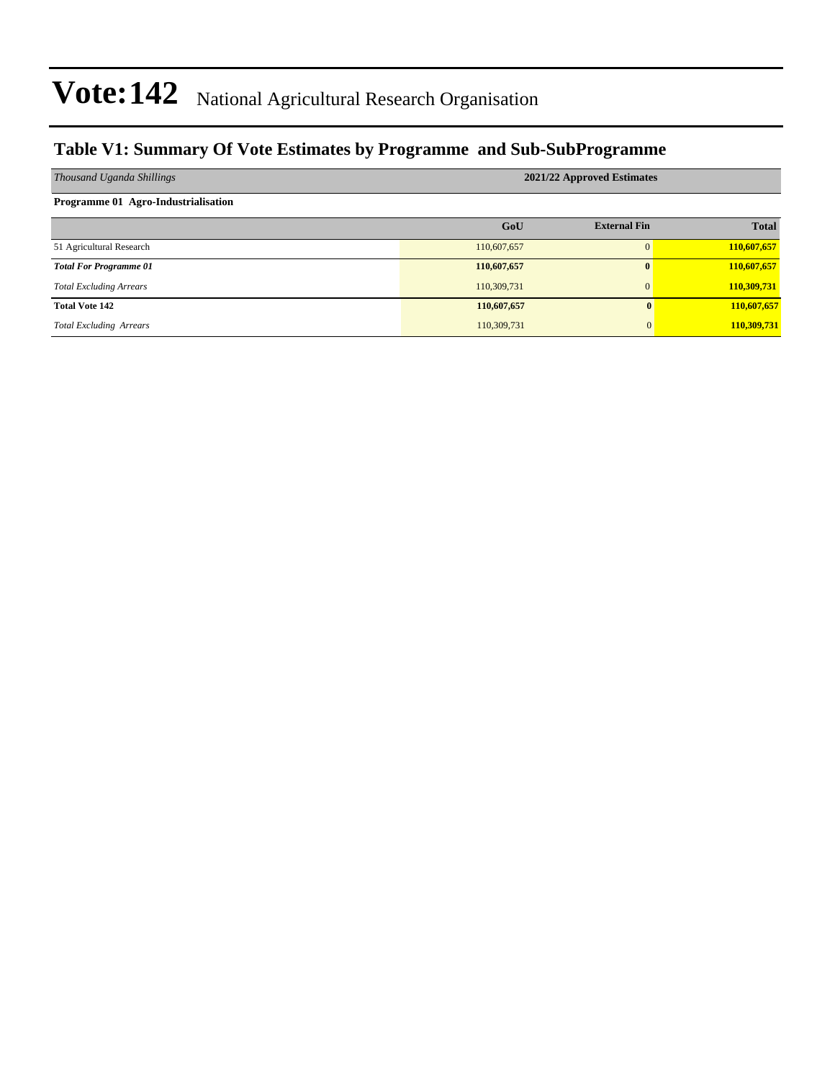#### **Table V1: Summary Of Vote Estimates by Programme and Sub-SubProgramme**

| Thousand Uganda Shillings           | 2021/22 Approved Estimates |                     |              |  |  |  |  |
|-------------------------------------|----------------------------|---------------------|--------------|--|--|--|--|
| Programme 01 Agro-Industrialisation |                            |                     |              |  |  |  |  |
|                                     | GoU                        | <b>External Fin</b> | <b>Total</b> |  |  |  |  |
| 51 Agricultural Research            | 110,607,657                | $\Omega$            | 110,607,657  |  |  |  |  |
| <b>Total For Programme 01</b>       | 110,607,657                | $\mathbf{0}$        | 110,607,657  |  |  |  |  |
| <b>Total Excluding Arrears</b>      | 110,309,731                | $\mathbf{0}$        | 110,309,731  |  |  |  |  |
| <b>Total Vote 142</b>               | 110,607,657                |                     | 110,607,657  |  |  |  |  |
| <b>Total Excluding Arrears</b>      | 110,309,731                | $\mathbf{0}$        | 110,309,731  |  |  |  |  |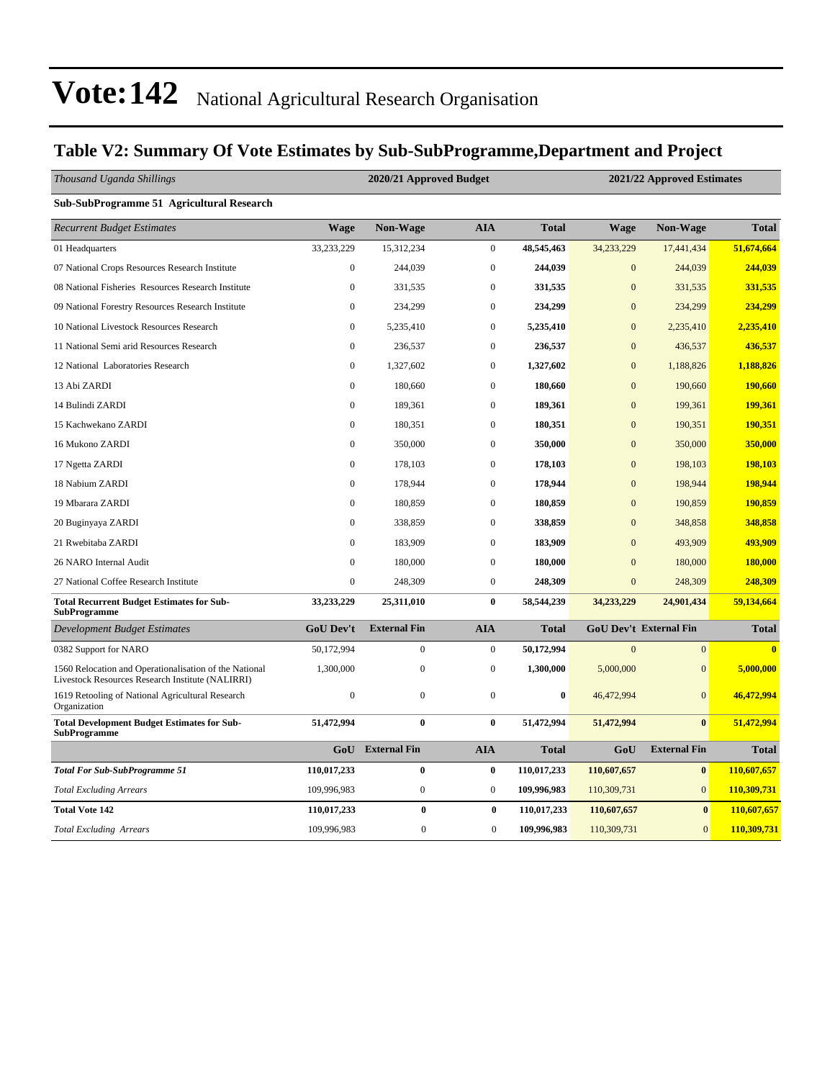#### **Table V2: Summary Of Vote Estimates by Sub-SubProgramme,Department and Project**

| Thousand Uganda Shillings                                                                                  | 2020/21 Approved Budget |                     |                  |              | 2021/22 Approved Estimates |                               |              |  |
|------------------------------------------------------------------------------------------------------------|-------------------------|---------------------|------------------|--------------|----------------------------|-------------------------------|--------------|--|
| Sub-SubProgramme 51 Agricultural Research                                                                  |                         |                     |                  |              |                            |                               |              |  |
| <b>Recurrent Budget Estimates</b>                                                                          | <b>Wage</b>             | <b>Non-Wage</b>     | <b>AIA</b>       | <b>Total</b> | Wage                       | <b>Non-Wage</b>               | <b>Total</b> |  |
| 01 Headquarters                                                                                            | 33,233,229              | 15,312,234          | $\boldsymbol{0}$ | 48,545,463   | 34,233,229                 | 17,441,434                    | 51,674,664   |  |
| 07 National Crops Resources Research Institute                                                             | $\boldsymbol{0}$        | 244,039             | $\boldsymbol{0}$ | 244,039      | $\mathbf{0}$               | 244,039                       | 244,039      |  |
| 08 National Fisheries Resources Research Institute                                                         | $\mathbf{0}$            | 331,535             | $\boldsymbol{0}$ | 331,535      | $\mathbf{0}$               | 331,535                       | 331,535      |  |
| 09 National Forestry Resources Research Institute                                                          | $\boldsymbol{0}$        | 234,299             | $\boldsymbol{0}$ | 234,299      | $\overline{0}$             | 234,299                       | 234,299      |  |
| 10 National Livestock Resources Research                                                                   | $\mathbf{0}$            | 5,235,410           | $\boldsymbol{0}$ | 5,235,410    | $\mathbf{0}$               | 2,235,410                     | 2,235,410    |  |
| 11 National Semi arid Resources Research                                                                   | $\boldsymbol{0}$        | 236,537             | $\boldsymbol{0}$ | 236,537      | $\mathbf{0}$               | 436,537                       | 436,537      |  |
| 12 National Laboratories Research                                                                          | $\boldsymbol{0}$        | 1,327,602           | $\boldsymbol{0}$ | 1,327,602    | $\mathbf{0}$               | 1,188,826                     | 1,188,826    |  |
| 13 Abi ZARDI                                                                                               | $\mathbf{0}$            | 180,660             | $\mathbf{0}$     | 180,660      | $\overline{0}$             | 190,660                       | 190,660      |  |
| 14 Bulindi ZARDI                                                                                           | $\overline{0}$          | 189,361             | $\boldsymbol{0}$ | 189,361      | $\mathbf{0}$               | 199,361                       | 199,361      |  |
| 15 Kachwekano ZARDI                                                                                        | $\overline{0}$          | 180,351             | $\mathbf{0}$     | 180,351      | $\overline{0}$             | 190,351                       | 190,351      |  |
| 16 Mukono ZARDI                                                                                            | $\mathbf{0}$            | 350,000             | $\boldsymbol{0}$ | 350,000      | $\mathbf{0}$               | 350,000                       | 350,000      |  |
| 17 Ngetta ZARDI                                                                                            | $\boldsymbol{0}$        | 178,103             | $\boldsymbol{0}$ | 178,103      | $\mathbf{0}$               | 198,103                       | 198,103      |  |
| 18 Nabium ZARDI                                                                                            | $\overline{0}$          | 178,944             | $\mathbf{0}$     | 178,944      | $\overline{0}$             | 198,944                       | 198,944      |  |
| 19 Mbarara ZARDI                                                                                           | $\mathbf{0}$            | 180,859             | $\mathbf{0}$     | 180,859      | $\overline{0}$             | 190,859                       | 190,859      |  |
| 20 Buginyaya ZARDI                                                                                         | $\boldsymbol{0}$        | 338,859             | $\boldsymbol{0}$ | 338,859      | $\mathbf{0}$               | 348,858                       | 348,858      |  |
| 21 Rwebitaba ZARDI                                                                                         | $\mathbf{0}$            | 183,909             | $\boldsymbol{0}$ | 183,909      | $\overline{0}$             | 493,909                       | 493,909      |  |
| 26 NARO Internal Audit                                                                                     | $\overline{0}$          | 180,000             | $\boldsymbol{0}$ | 180,000      | $\mathbf{0}$               | 180,000                       | 180,000      |  |
| 27 National Coffee Research Institute                                                                      | $\boldsymbol{0}$        | 248,309             | $\boldsymbol{0}$ | 248,309      | $\boldsymbol{0}$           | 248,309                       | 248,309      |  |
| <b>Total Recurrent Budget Estimates for Sub-</b><br><b>SubProgramme</b>                                    | 33,233,229              | 25,311,010          | $\bf{0}$         | 58,544,239   | 34,233,229                 | 24,901,434                    | 59,134,664   |  |
| <b>Development Budget Estimates</b>                                                                        | GoU Dev't               | <b>External Fin</b> | <b>AIA</b>       | <b>Total</b> |                            | <b>GoU Dev't External Fin</b> | <b>Total</b> |  |
| 0382 Support for NARO                                                                                      | 50,172,994              | $\boldsymbol{0}$    | $\boldsymbol{0}$ | 50,172,994   | $\mathbf{0}$               | $\overline{0}$                | $\bf{0}$     |  |
| 1560 Relocation and Operationalisation of the National<br>Livestock Resources Research Institute (NALIRRI) | 1,300,000               | $\boldsymbol{0}$    | $\boldsymbol{0}$ | 1,300,000    | 5,000,000                  | $\mathbf{0}$                  | 5,000,000    |  |
| 1619 Retooling of National Agricultural Research<br>Organization                                           | $\overline{0}$          | $\mathbf{0}$        | $\mathbf{0}$     | $\bf{0}$     | 46,472,994                 | $\overline{0}$                | 46,472,994   |  |
| <b>Total Development Budget Estimates for Sub-</b><br><b>SubProgramme</b>                                  | 51,472,994              | $\bf{0}$            | $\bf{0}$         | 51,472,994   | 51,472,994                 | $\bf{0}$                      | 51,472,994   |  |
|                                                                                                            | GoU                     | <b>External Fin</b> | <b>AIA</b>       | <b>Total</b> | GoU                        | <b>External Fin</b>           | <b>Total</b> |  |
| <b>Total For Sub-SubProgramme 51</b>                                                                       | 110,017,233             | $\bf{0}$            | $\bf{0}$         | 110,017,233  | 110,607,657                | $\bf{0}$                      | 110,607,657  |  |
| <b>Total Excluding Arrears</b>                                                                             | 109,996,983             | $\boldsymbol{0}$    | $\boldsymbol{0}$ | 109,996,983  | 110,309,731                | $\overline{0}$                | 110,309,731  |  |
| <b>Total Vote 142</b>                                                                                      | 110,017,233             | $\bf{0}$            | $\bf{0}$         | 110,017,233  | 110,607,657                | $\bf{0}$                      | 110,607,657  |  |
| <b>Total Excluding Arrears</b>                                                                             | 109,996,983             | $\boldsymbol{0}$    | $\boldsymbol{0}$ | 109,996,983  | 110,309,731                | $\mathbf{0}$                  | 110,309,731  |  |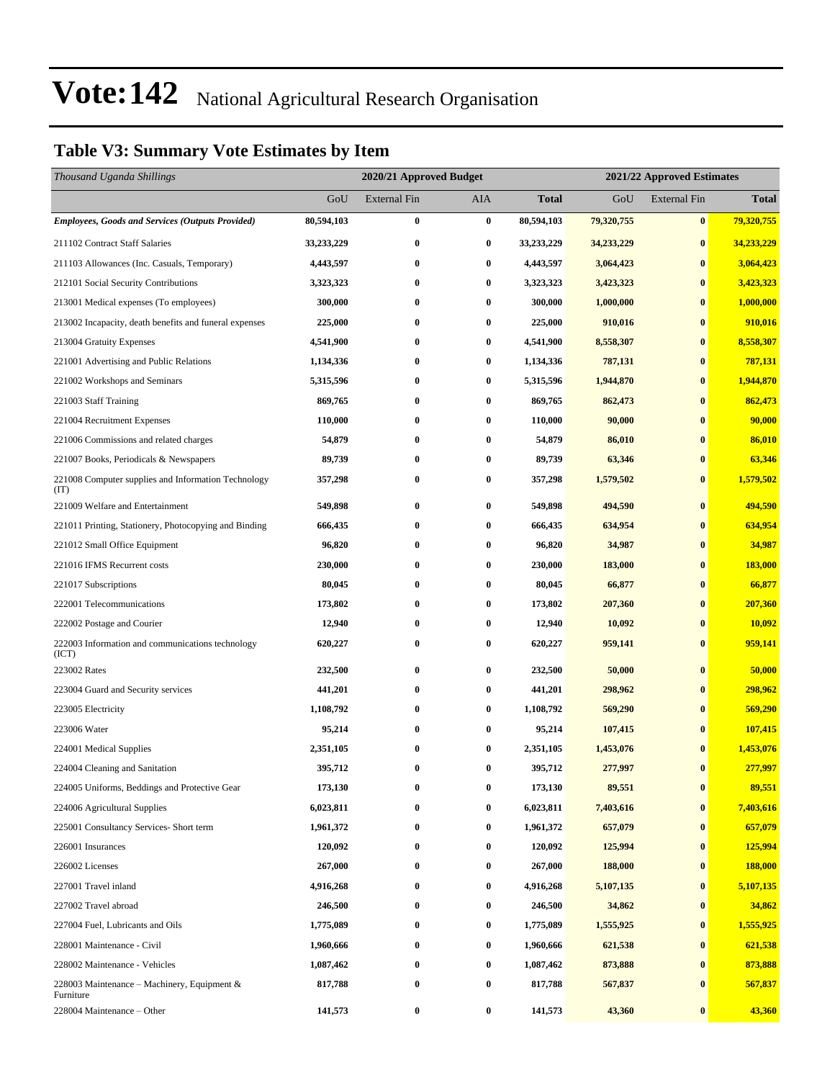#### **Table V3: Summary Vote Estimates by Item**

| Thousand Uganda Shillings                                   |            | 2020/21 Approved Budget |           |              | 2021/22 Approved Estimates |                     |              |  |
|-------------------------------------------------------------|------------|-------------------------|-----------|--------------|----------------------------|---------------------|--------------|--|
|                                                             | GoU        | <b>External Fin</b>     | AIA       | <b>Total</b> | GoU                        | <b>External Fin</b> | <b>Total</b> |  |
| <b>Employees, Goods and Services (Outputs Provided)</b>     | 80,594,103 | $\bf{0}$                | $\pmb{0}$ | 80,594,103   | 79,320,755                 | $\bf{0}$            | 79,320,755   |  |
| 211102 Contract Staff Salaries                              | 33,233,229 | $\bf{0}$                | $\bf{0}$  | 33,233,229   | 34,233,229                 | $\bf{0}$            | 34,233,229   |  |
| 211103 Allowances (Inc. Casuals, Temporary)                 | 4,443,597  | $\bf{0}$                | $\bf{0}$  | 4,443,597    | 3,064,423                  | $\bf{0}$            | 3,064,423    |  |
| 212101 Social Security Contributions                        | 3,323,323  | $\bf{0}$                | $\bf{0}$  | 3,323,323    | 3,423,323                  | $\bf{0}$            | 3,423,323    |  |
| 213001 Medical expenses (To employees)                      | 300,000    | $\bf{0}$                | $\bf{0}$  | 300,000      | 1,000,000                  | $\bf{0}$            | 1,000,000    |  |
| 213002 Incapacity, death benefits and funeral expenses      | 225,000    | $\bf{0}$                | $\bf{0}$  | 225,000      | 910,016                    | $\bf{0}$            | 910,016      |  |
| 213004 Gratuity Expenses                                    | 4,541,900  | $\bf{0}$                | $\bf{0}$  | 4,541,900    | 8,558,307                  | $\bf{0}$            | 8,558,307    |  |
| 221001 Advertising and Public Relations                     | 1,134,336  | $\bf{0}$                | $\bf{0}$  | 1,134,336    | 787,131                    | $\bf{0}$            | 787,131      |  |
| 221002 Workshops and Seminars                               | 5,315,596  | $\bf{0}$                | $\bf{0}$  | 5,315,596    | 1,944,870                  | $\bf{0}$            | 1,944,870    |  |
| 221003 Staff Training                                       | 869,765    | $\bf{0}$                | $\bf{0}$  | 869,765      | 862,473                    | $\bf{0}$            | 862,473      |  |
| 221004 Recruitment Expenses                                 | 110,000    | $\bf{0}$                | $\bf{0}$  | 110,000      | 90,000                     | $\bf{0}$            | 90,000       |  |
| 221006 Commissions and related charges                      | 54,879     | $\bf{0}$                | $\bf{0}$  | 54,879       | 86,010                     | $\bf{0}$            | 86,010       |  |
| 221007 Books, Periodicals & Newspapers                      | 89,739     | $\bf{0}$                | $\bf{0}$  | 89,739       | 63,346                     | $\bf{0}$            | 63,346       |  |
| 221008 Computer supplies and Information Technology<br>(TT) | 357,298    | $\bf{0}$                | $\bf{0}$  | 357,298      | 1,579,502                  | $\bf{0}$            | 1,579,502    |  |
| 221009 Welfare and Entertainment                            | 549,898    | $\bf{0}$                | $\bf{0}$  | 549,898      | 494,590                    | $\bf{0}$            | 494,590      |  |
| 221011 Printing, Stationery, Photocopying and Binding       | 666,435    | $\bf{0}$                | $\bf{0}$  | 666,435      | 634,954                    | $\bf{0}$            | 634,954      |  |
| 221012 Small Office Equipment                               | 96,820     | $\bf{0}$                | $\bf{0}$  | 96,820       | 34,987                     | $\bf{0}$            | 34,987       |  |
| 221016 IFMS Recurrent costs                                 | 230,000    | $\bf{0}$                | $\bf{0}$  | 230,000      | 183,000                    | $\bf{0}$            | 183,000      |  |
| 221017 Subscriptions                                        | 80,045     | $\bf{0}$                | $\bf{0}$  | 80,045       | 66,877                     | $\bf{0}$            | 66,877       |  |
| 222001 Telecommunications                                   | 173,802    | $\bf{0}$                | $\bf{0}$  | 173,802      | 207,360                    | $\bf{0}$            | 207,360      |  |
| 222002 Postage and Courier                                  | 12,940     | $\bf{0}$                | $\bf{0}$  | 12,940       | 10,092                     | $\bf{0}$            | 10,092       |  |
| 222003 Information and communications technology<br>(ICT)   | 620,227    | $\bf{0}$                | $\bf{0}$  | 620,227      | 959,141                    | $\bf{0}$            | 959,141      |  |
| 223002 Rates                                                | 232,500    | $\bf{0}$                | $\bf{0}$  | 232,500      | 50,000                     | $\bf{0}$            | 50,000       |  |
| 223004 Guard and Security services                          | 441,201    | $\bf{0}$                | $\bf{0}$  | 441,201      | 298,962                    | $\bf{0}$            | 298,962      |  |
| 223005 Electricity                                          | 1,108,792  | $\bf{0}$                | $\bf{0}$  | 1,108,792    | 569,290                    | $\bf{0}$            | 569,290      |  |
| 223006 Water                                                | 95,214     | $\bf{0}$                | $\bf{0}$  | 95,214       | 107,415                    | $\bf{0}$            | 107,415      |  |
| 224001 Medical Supplies                                     | 2,351,105  | $\bf{0}$                | $\bf{0}$  | 2,351,105    | 1,453,076                  | $\bf{0}$            | 1,453,076    |  |
| 224004 Cleaning and Sanitation                              | 395,712    | $\bf{0}$                | $\bf{0}$  | 395,712      | 277,997                    | $\bf{0}$            | 277,997      |  |
| 224005 Uniforms, Beddings and Protective Gear               | 173,130    | $\bf{0}$                | $\bf{0}$  | 173,130      | 89,551                     | $\bf{0}$            | 89,551       |  |
| 224006 Agricultural Supplies                                | 6,023,811  | $\bf{0}$                | $\bf{0}$  | 6,023,811    | 7,403,616                  | $\bf{0}$            | 7,403,616    |  |
| 225001 Consultancy Services- Short term                     | 1,961,372  | $\bf{0}$                | $\bf{0}$  | 1,961,372    | 657,079                    | $\bf{0}$            | 657,079      |  |
| 226001 Insurances                                           | 120,092    | $\bf{0}$                | $\bf{0}$  | 120,092      | 125,994                    | $\bf{0}$            | 125,994      |  |
| 226002 Licenses                                             | 267,000    | $\bf{0}$                | $\bf{0}$  | 267,000      | 188,000                    | $\bf{0}$            | 188,000      |  |
| 227001 Travel inland                                        | 4,916,268  | $\bf{0}$                | $\bf{0}$  | 4,916,268    | 5,107,135                  | $\bf{0}$            | 5,107,135    |  |
| 227002 Travel abroad                                        | 246,500    | $\bf{0}$                | $\bf{0}$  | 246,500      | 34,862                     | $\bf{0}$            | 34,862       |  |
| 227004 Fuel, Lubricants and Oils                            | 1,775,089  | $\bf{0}$                | $\bf{0}$  | 1,775,089    | 1,555,925                  | $\bf{0}$            | 1,555,925    |  |
| 228001 Maintenance - Civil                                  | 1,960,666  | $\bf{0}$                | $\bf{0}$  | 1,960,666    | 621,538                    | $\bf{0}$            | 621,538      |  |
| 228002 Maintenance - Vehicles                               | 1,087,462  | $\bf{0}$                | $\bf{0}$  | 1,087,462    | 873,888                    | $\bf{0}$            | 873,888      |  |
| 228003 Maintenance - Machinery, Equipment &<br>Furniture    | 817,788    | $\bf{0}$                | $\bf{0}$  | 817,788      | 567,837                    | $\bf{0}$            | 567,837      |  |
| 228004 Maintenance - Other                                  | 141,573    | $\boldsymbol{0}$        | $\bf{0}$  | 141,573      | 43,360                     | $\bf{0}$            | 43,360       |  |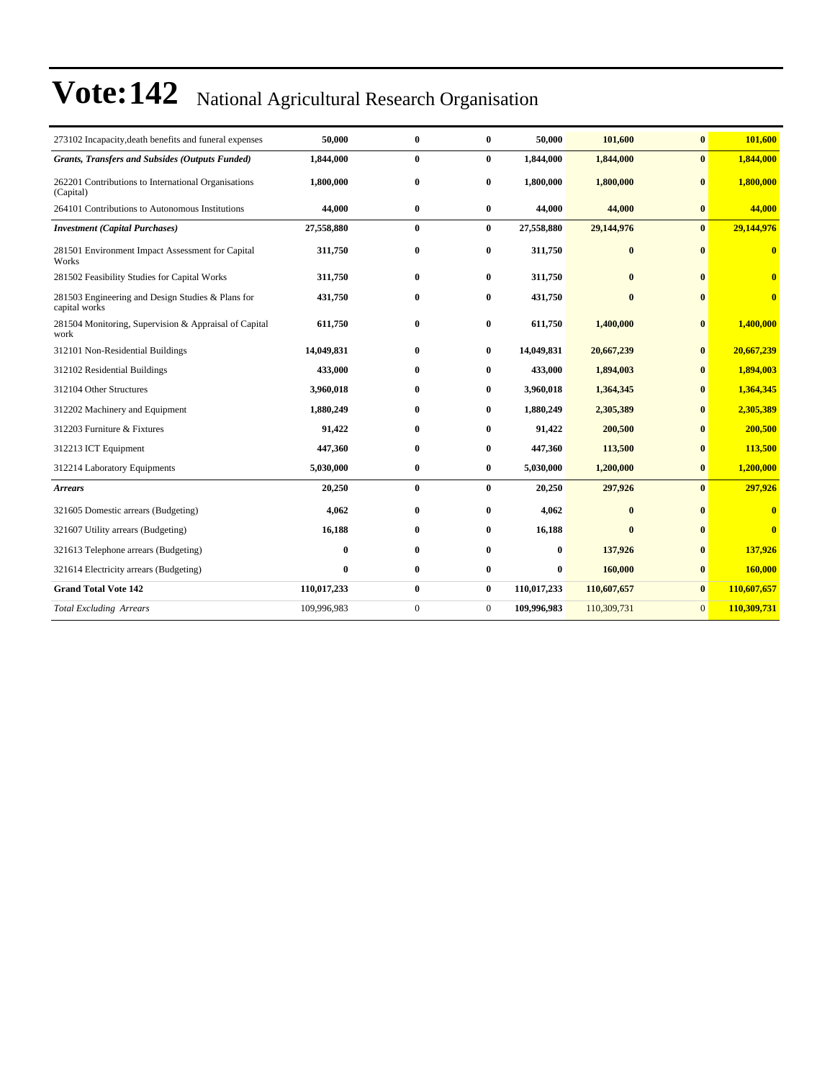| 273102 Incapacity, death benefits and funeral expenses             | 50,000       | $\bf{0}$     | $\bf{0}$       | 50,000      | 101,600      | $\bf{0}$       | 101,600                 |
|--------------------------------------------------------------------|--------------|--------------|----------------|-------------|--------------|----------------|-------------------------|
| <b>Grants, Transfers and Subsides (Outputs Funded)</b>             | 1,844,000    | $\bf{0}$     | $\bf{0}$       | 1,844,000   | 1,844,000    | $\bf{0}$       | 1,844,000               |
| 262201 Contributions to International Organisations<br>(Capital)   | 1,800,000    | $\bf{0}$     | $\bf{0}$       | 1,800,000   | 1,800,000    | $\mathbf{0}$   | 1,800,000               |
| 264101 Contributions to Autonomous Institutions                    | 44,000       | $\bf{0}$     | $\bf{0}$       | 44,000      | 44,000       | $\bf{0}$       | 44,000                  |
| <b>Investment</b> (Capital Purchases)                              | 27,558,880   | $\bf{0}$     | $\bf{0}$       | 27,558,880  | 29,144,976   | $\mathbf{0}$   | 29,144,976              |
| 281501 Environment Impact Assessment for Capital<br>Works          | 311,750      | $\bf{0}$     | $\bf{0}$       | 311,750     | $\bf{0}$     | $\mathbf{0}$   | $\bf{0}$                |
| 281502 Feasibility Studies for Capital Works                       | 311,750      | $\bf{0}$     | $\bf{0}$       | 311,750     | $\bf{0}$     | $\mathbf{0}$   | $\bf{0}$                |
| 281503 Engineering and Design Studies & Plans for<br>capital works | 431,750      | $\bf{0}$     | $\bf{0}$       | 431,750     | $\bf{0}$     | $\mathbf{0}$   | $\bf{0}$                |
| 281504 Monitoring, Supervision & Appraisal of Capital<br>work      | 611,750      | $\bf{0}$     | $\bf{0}$       | 611,750     | 1,400,000    | $\bf{0}$       | 1,400,000               |
| 312101 Non-Residential Buildings                                   | 14,049,831   | $\mathbf{0}$ | $\bf{0}$       | 14,049,831  | 20,667,239   | $\bf{0}$       | 20,667,239              |
| 312102 Residential Buildings                                       | 433,000      | $\bf{0}$     | $\bf{0}$       | 433,000     | 1,894,003    | $\bf{0}$       | 1,894,003               |
| 312104 Other Structures                                            | 3,960,018    | $\bf{0}$     | $\bf{0}$       | 3,960,018   | 1,364,345    | $\bf{0}$       | 1,364,345               |
| 312202 Machinery and Equipment                                     | 1,880,249    | $\bf{0}$     | $\bf{0}$       | 1,880,249   | 2,305,389    | $\bf{0}$       | 2,305,389               |
| 312203 Furniture & Fixtures                                        | 91,422       | $\bf{0}$     | $\bf{0}$       | 91,422      | 200,500      | $\bf{0}$       | 200,500                 |
| 312213 ICT Equipment                                               | 447,360      | $\bf{0}$     | $\bf{0}$       | 447,360     | 113,500      | $\bf{0}$       | 113,500                 |
| 312214 Laboratory Equipments                                       | 5,030,000    | $\bf{0}$     | $\bf{0}$       | 5,030,000   | 1,200,000    | $\bf{0}$       | 1,200,000               |
| <b>Arrears</b>                                                     | 20,250       | $\bf{0}$     | $\bf{0}$       | 20,250      | 297,926      | $\bf{0}$       | 297,926                 |
| 321605 Domestic arrears (Budgeting)                                | 4,062        | $\bf{0}$     | 0              | 4,062       | $\mathbf{0}$ | $\mathbf{0}$   | $\overline{\mathbf{0}}$ |
| 321607 Utility arrears (Budgeting)                                 | 16,188       | $\bf{0}$     | $\bf{0}$       | 16,188      | $\mathbf{0}$ | $\bf{0}$       | $\bf{0}$                |
| 321613 Telephone arrears (Budgeting)                               | $\mathbf{0}$ | $\mathbf{0}$ | 0              | $\bf{0}$    | 137,926      | $\bf{0}$       | 137,926                 |
| 321614 Electricity arrears (Budgeting)                             | $\bf{0}$     | $\bf{0}$     | $\bf{0}$       | $\bf{0}$    | 160,000      | $\bf{0}$       | 160,000                 |
| <b>Grand Total Vote 142</b>                                        | 110,017,233  | $\bf{0}$     | $\bf{0}$       | 110,017,233 | 110,607,657  | $\bf{0}$       | 110,607,657             |
| <b>Total Excluding Arrears</b>                                     | 109,996,983  | $\mathbf{0}$ | $\overline{0}$ | 109,996,983 | 110,309,731  | $\overline{0}$ | 110,309,731             |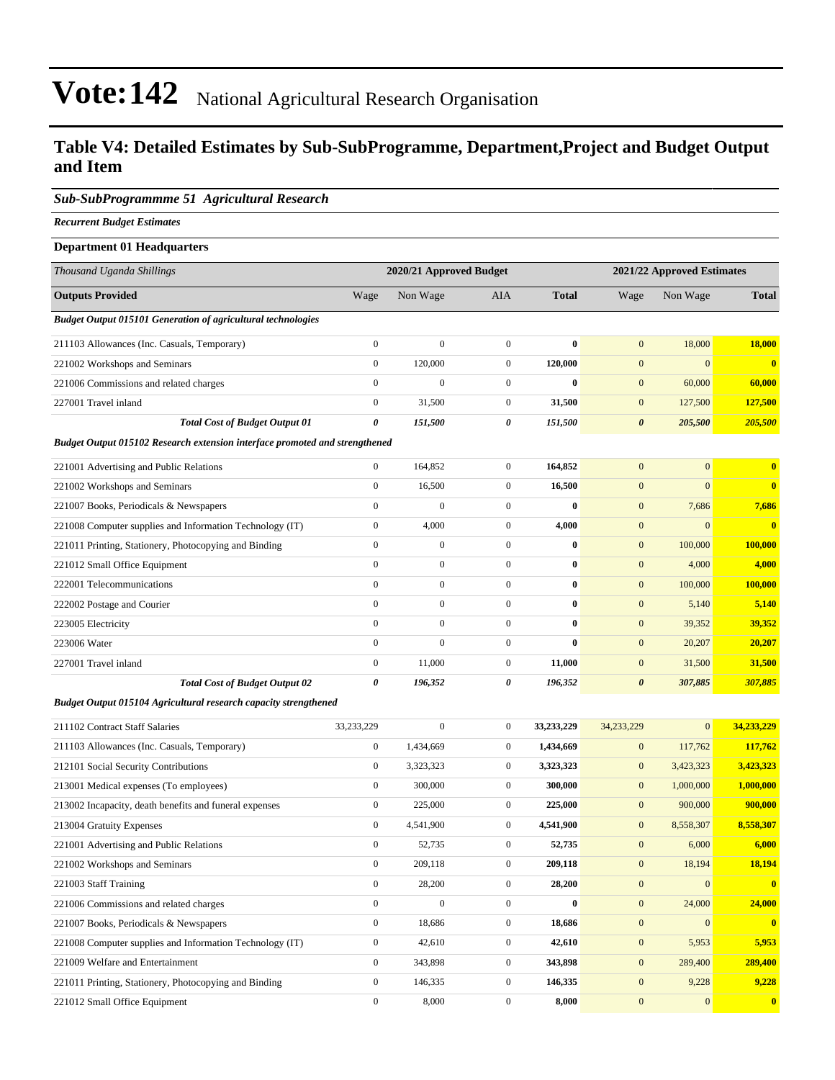#### **Table V4: Detailed Estimates by Sub-SubProgramme, Department,Project and Budget Output and Item**

#### *Sub-SubProgrammme 51 Agricultural Research*

*Recurrent Budget Estimates*

| <b>Department 01 Headquarters</b>                                           |                       |                         |                       |              |                            |                  |              |  |
|-----------------------------------------------------------------------------|-----------------------|-------------------------|-----------------------|--------------|----------------------------|------------------|--------------|--|
| Thousand Uganda Shillings                                                   |                       | 2020/21 Approved Budget |                       |              | 2021/22 Approved Estimates |                  |              |  |
| <b>Outputs Provided</b>                                                     | Wage                  | Non Wage                | <b>AIA</b>            | <b>Total</b> | Wage                       | Non Wage         | <b>Total</b> |  |
| <b>Budget Output 015101 Generation of agricultural technologies</b>         |                       |                         |                       |              |                            |                  |              |  |
| 211103 Allowances (Inc. Casuals, Temporary)                                 | $\boldsymbol{0}$      | $\boldsymbol{0}$        | $\mathbf{0}$          | $\bf{0}$     | $\mathbf{0}$               | 18,000           | 18,000       |  |
| 221002 Workshops and Seminars                                               | $\boldsymbol{0}$      | 120,000                 | $\mathbf{0}$          | 120,000      | $\mathbf{0}$               | $\mathbf{0}$     | $\mathbf{0}$ |  |
| 221006 Commissions and related charges                                      | $\mathbf{0}$          | $\boldsymbol{0}$        | $\mathbf{0}$          | $\bf{0}$     | $\mathbf{0}$               | 60,000           | 60,000       |  |
| 227001 Travel inland                                                        | $\boldsymbol{0}$      | 31,500                  | $\mathbf{0}$          | 31,500       | $\mathbf{0}$               | 127,500          | 127,500      |  |
| <b>Total Cost of Budget Output 01</b>                                       | $\boldsymbol{\theta}$ | 151,500                 | $\boldsymbol{\theta}$ | 151,500      | $\boldsymbol{\theta}$      | 205,500          | 205,500      |  |
| Budget Output 015102 Research extension interface promoted and strengthened |                       |                         |                       |              |                            |                  |              |  |
| 221001 Advertising and Public Relations                                     | $\boldsymbol{0}$      | 164,852                 | $\mathbf{0}$          | 164,852      | $\mathbf{0}$               | $\mathbf{0}$     | $\mathbf{0}$ |  |
| 221002 Workshops and Seminars                                               | $\boldsymbol{0}$      | 16,500                  | $\mathbf{0}$          | 16,500       | $\mathbf{0}$               | $\mathbf{0}$     | $\bf{0}$     |  |
| 221007 Books, Periodicals & Newspapers                                      | $\mathbf{0}$          | $\boldsymbol{0}$        | $\mathbf{0}$          | $\bf{0}$     | $\mathbf{0}$               | 7,686            | 7,686        |  |
| 221008 Computer supplies and Information Technology (IT)                    | $\boldsymbol{0}$      | 4,000                   | $\boldsymbol{0}$      | 4,000        | $\mathbf{0}$               | $\boldsymbol{0}$ | $\mathbf{0}$ |  |
| 221011 Printing, Stationery, Photocopying and Binding                       | $\boldsymbol{0}$      | $\boldsymbol{0}$        | $\boldsymbol{0}$      | $\bf{0}$     | $\boldsymbol{0}$           | 100,000          | 100,000      |  |
| 221012 Small Office Equipment                                               | $\boldsymbol{0}$      | $\boldsymbol{0}$        | $\mathbf{0}$          | $\bf{0}$     | $\mathbf{0}$               | 4,000            | 4,000        |  |
| 222001 Telecommunications                                                   | $\boldsymbol{0}$      | $\boldsymbol{0}$        | $\mathbf{0}$          | $\bf{0}$     | $\mathbf{0}$               | 100,000          | 100,000      |  |
| 222002 Postage and Courier                                                  | $\boldsymbol{0}$      | $\boldsymbol{0}$        | $\boldsymbol{0}$      | $\bf{0}$     | $\mathbf{0}$               | 5,140            | 5,140        |  |
| 223005 Electricity                                                          | $\mathbf{0}$          | $\boldsymbol{0}$        | $\mathbf{0}$          | $\bf{0}$     | $\mathbf{0}$               | 39,352           | 39,352       |  |
| 223006 Water                                                                | $\mathbf{0}$          | $\boldsymbol{0}$        | $\mathbf{0}$          | $\bf{0}$     | $\mathbf{0}$               | 20,207           | 20,207       |  |
| 227001 Travel inland                                                        | $\boldsymbol{0}$      | 11,000                  | $\boldsymbol{0}$      | 11,000       | $\boldsymbol{0}$           | 31,500           | 31,500       |  |
| <b>Total Cost of Budget Output 02</b>                                       | 0                     | 196,352                 | 0                     | 196,352      | $\boldsymbol{\theta}$      | 307,885          | 307,885      |  |
| Budget Output 015104 Agricultural research capacity strengthened            |                       |                         |                       |              |                            |                  |              |  |
| 211102 Contract Staff Salaries                                              | 33,233,229            | $\overline{0}$          | $\mathbf{0}$          | 33,233,229   | 34,233,229                 | $\mathbf{0}$     | 34,233,229   |  |
| 211103 Allowances (Inc. Casuals, Temporary)                                 | $\boldsymbol{0}$      | 1,434,669               | $\boldsymbol{0}$      | 1,434,669    | $\boldsymbol{0}$           | 117,762          | 117,762      |  |
| 212101 Social Security Contributions                                        | $\boldsymbol{0}$      | 3,323,323               | $\boldsymbol{0}$      | 3,323,323    | $\boldsymbol{0}$           | 3,423,323        | 3,423,323    |  |
| 213001 Medical expenses (To employees)                                      | $\boldsymbol{0}$      | 300,000                 | $\boldsymbol{0}$      | 300,000      | $\mathbf{0}$               | 1,000,000        | 1,000,000    |  |
| 213002 Incapacity, death benefits and funeral expenses                      | $\boldsymbol{0}$      | 225,000                 | $\boldsymbol{0}$      | 225,000      | $\boldsymbol{0}$           | 900,000          | 900,000      |  |
| 213004 Gratuity Expenses                                                    | $\boldsymbol{0}$      | 4,541,900               | $\mathbf{0}$          | 4,541,900    | $\mathbf{0}$               | 8,558,307        | 8,558,307    |  |
| 221001 Advertising and Public Relations                                     | $\boldsymbol{0}$      | 52,735                  | $\mathbf{0}$          | 52,735       | $\mathbf{0}$               | 6,000            | 6,000        |  |
| 221002 Workshops and Seminars                                               | $\boldsymbol{0}$      | 209,118                 | $\mathbf{0}$          | 209,118      | $\mathbf{0}$               | 18,194           | 18,194       |  |
| 221003 Staff Training                                                       | $\boldsymbol{0}$      | 28,200                  | $\boldsymbol{0}$      | 28,200       | $\boldsymbol{0}$           | $\boldsymbol{0}$ | $\bf{0}$     |  |
| 221006 Commissions and related charges                                      | $\boldsymbol{0}$      | $\boldsymbol{0}$        | $\mathbf{0}$          | $\bf{0}$     | $\boldsymbol{0}$           | 24,000           | 24,000       |  |
| 221007 Books, Periodicals & Newspapers                                      | $\boldsymbol{0}$      | 18,686                  | $\mathbf{0}$          | 18,686       | $\mathbf{0}$               | $\boldsymbol{0}$ | $\mathbf{0}$ |  |
| 221008 Computer supplies and Information Technology (IT)                    | $\mathbf{0}$          | 42,610                  | $\mathbf{0}$          | 42,610       | $\overline{0}$             | 5,953            | 5,953        |  |

221009 Welfare and Entertainment 0 343,898 0 **343,898** 0 289,400 **289,400** 221011 Printing, Stationery, Photocopying and Binding 0 146,335 0 **146,335** 0 9,228 **9,228**

221012 Small Office Equipment 0 8,000 0 **8,000** 0 0 **0**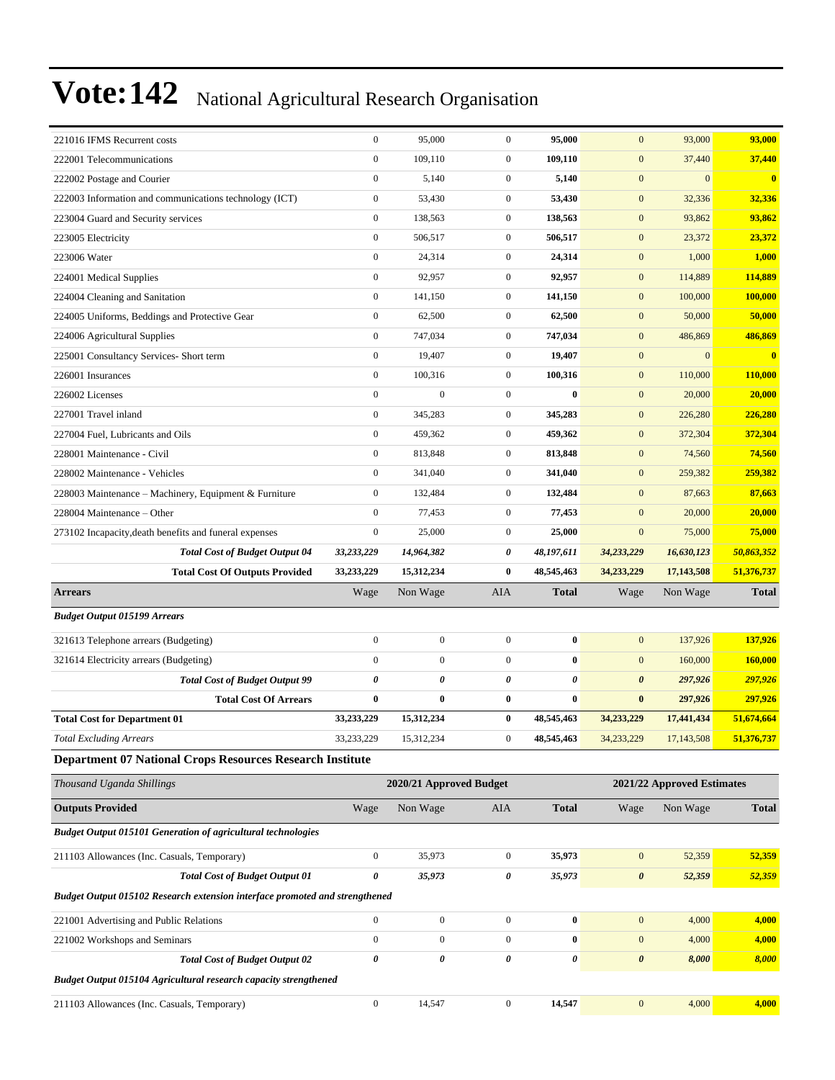| 221016 IFMS Recurrent costs                                                                               | $\boldsymbol{0}$                   | 95,000                               | $\boldsymbol{0}$               | 95,000                | $\mathbf{0}$                   | 93,000                     | 93,000         |
|-----------------------------------------------------------------------------------------------------------|------------------------------------|--------------------------------------|--------------------------------|-----------------------|--------------------------------|----------------------------|----------------|
| 222001 Telecommunications                                                                                 | $\boldsymbol{0}$                   | 109,110                              | $\overline{0}$                 | 109,110               | $\mathbf{0}$                   | 37,440                     | 37,440         |
| 222002 Postage and Courier                                                                                | $\boldsymbol{0}$                   | 5,140                                | $\mathbf{0}$                   | 5,140                 | $\mathbf{0}$                   | $\mathbf{0}$               | $\bf{0}$       |
| 222003 Information and communications technology (ICT)                                                    | $\boldsymbol{0}$                   | 53,430                               | $\mathbf{0}$                   | 53,430                | $\mathbf{0}$                   | 32,336                     | 32,336         |
| 223004 Guard and Security services                                                                        | $\boldsymbol{0}$                   | 138,563                              | $\boldsymbol{0}$               | 138,563               | $\mathbf{0}$                   | 93,862                     | 93,862         |
| 223005 Electricity                                                                                        | $\boldsymbol{0}$                   | 506,517                              | $\boldsymbol{0}$               | 506,517               | $\mathbf{0}$                   | 23,372                     | 23,372         |
| 223006 Water                                                                                              | $\boldsymbol{0}$                   | 24,314                               | $\boldsymbol{0}$               | 24,314                | $\boldsymbol{0}$               | 1,000                      | 1,000          |
| 224001 Medical Supplies                                                                                   | $\boldsymbol{0}$                   | 92,957                               | $\mathbf{0}$                   | 92,957                | $\mathbf{0}$                   | 114,889                    | 114,889        |
| 224004 Cleaning and Sanitation                                                                            | $\boldsymbol{0}$                   | 141,150                              | $\overline{0}$                 | 141,150               | $\boldsymbol{0}$               | 100,000                    | 100,000        |
| 224005 Uniforms, Beddings and Protective Gear                                                             | $\boldsymbol{0}$                   | 62,500                               | $\boldsymbol{0}$               | 62,500                | $\mathbf{0}$                   | 50,000                     | 50,000         |
| 224006 Agricultural Supplies                                                                              | $\boldsymbol{0}$                   | 747,034                              | $\boldsymbol{0}$               | 747,034               | $\mathbf{0}$                   | 486,869                    | 486,869        |
| 225001 Consultancy Services- Short term                                                                   | $\boldsymbol{0}$                   | 19,407                               | $\boldsymbol{0}$               | 19,407                | $\mathbf{0}$                   | $\mathbf{0}$               | $\bf{0}$       |
| 226001 Insurances                                                                                         | $\boldsymbol{0}$                   | 100,316                              | $\mathbf{0}$                   | 100,316               | $\mathbf{0}$                   | 110,000                    | 110,000        |
| 226002 Licenses                                                                                           | $\mathbf{0}$                       | $\overline{0}$                       | $\overline{0}$                 | $\bf{0}$              | $\boldsymbol{0}$               | 20,000                     | 20,000         |
| 227001 Travel inland                                                                                      | $\mathbf{0}$                       | 345,283                              | $\boldsymbol{0}$               | 345,283               | $\mathbf{0}$                   | 226,280                    | 226,280        |
| 227004 Fuel, Lubricants and Oils                                                                          | $\boldsymbol{0}$                   | 459,362                              | $\boldsymbol{0}$               | 459,362               | $\mathbf{0}$                   | 372,304                    | 372,304        |
| 228001 Maintenance - Civil                                                                                | $\boldsymbol{0}$                   | 813,848                              | $\overline{0}$                 | 813,848               | $\mathbf{0}$                   | 74,560                     | 74,560         |
| 228002 Maintenance - Vehicles                                                                             | $\boldsymbol{0}$                   | 341,040                              | $\mathbf{0}$                   | 341,040               | $\mathbf{0}$                   | 259,382                    | 259,382        |
| 228003 Maintenance – Machinery, Equipment & Furniture                                                     | $\boldsymbol{0}$                   | 132,484                              | $\mathbf{0}$                   | 132,484               | $\mathbf{0}$                   | 87,663                     | 87,663         |
| 228004 Maintenance - Other                                                                                | $\mathbf{0}$                       | 77,453                               | $\mathbf{0}$                   | 77,453                | $\mathbf{0}$                   | 20,000                     | 20,000         |
| 273102 Incapacity, death benefits and funeral expenses                                                    | $\boldsymbol{0}$                   | 25,000                               | $\mathbf{0}$                   | 25,000                | $\mathbf{0}$                   | 75,000                     | 75,000         |
| <b>Total Cost of Budget Output 04</b>                                                                     | 33,233,229                         | 14,964,382                           | 0                              | 48,197,611            | 34,233,229                     | 16,630,123                 | 50,863,352     |
| <b>Total Cost Of Outputs Provided</b>                                                                     | 33,233,229                         |                                      | $\bf{0}$                       | 48,545,463            | 34,233,229                     | 17,143,508                 | 51,376,737     |
|                                                                                                           |                                    | 15,312,234                           |                                |                       |                                |                            |                |
| <b>Arrears</b>                                                                                            | Wage                               | Non Wage                             | AIA                            | Total                 | Wage                           | Non Wage                   | <b>Total</b>   |
| <b>Budget Output 015199 Arrears</b>                                                                       |                                    |                                      |                                |                       |                                |                            |                |
| 321613 Telephone arrears (Budgeting)                                                                      | $\boldsymbol{0}$                   | $\boldsymbol{0}$                     | $\overline{0}$                 | $\bf{0}$              | $\mathbf{0}$                   | 137,926                    | 137,926        |
| 321614 Electricity arrears (Budgeting)                                                                    | $\mathbf{0}$                       | $\boldsymbol{0}$                     | $\overline{0}$                 | $\bf{0}$              | $\mathbf{0}$                   | 160,000                    | 160,000        |
| <b>Total Cost of Budget Output 99</b>                                                                     | $\pmb{\theta}$                     | 0                                    | 0                              | $\boldsymbol{\theta}$ | $\boldsymbol{\theta}$          | 297,926                    | 297,926        |
| <b>Total Cost Of Arrears</b>                                                                              | $\bf{0}$                           | 0                                    | $\bf{0}$                       | $\bf{0}$              | $\bf{0}$                       | 297,926                    | 297,926        |
| <b>Total Cost for Department 01</b>                                                                       | 33,233,229                         | 15,312,234                           | $\bf{0}$                       | 48,545,463            | 34,233,229                     | 17,441,434                 | 51,674,664     |
| <b>Total Excluding Arrears</b>                                                                            | 33,233,229                         | 15,312,234                           | $\overline{0}$                 | 48,545,463            | 34, 233, 229                   | 17,143,508                 | 51,376,737     |
| <b>Department 07 National Crops Resources Research Institute</b>                                          |                                    |                                      |                                |                       |                                |                            |                |
| Thousand Uganda Shillings                                                                                 |                                    | 2020/21 Approved Budget              |                                |                       |                                | 2021/22 Approved Estimates |                |
| <b>Outputs Provided</b>                                                                                   | Wage                               | Non Wage                             | AIA                            | <b>Total</b>          | Wage                           | Non Wage                   | <b>Total</b>   |
| <b>Budget Output 015101 Generation of agricultural technologies</b>                                       |                                    |                                      |                                |                       |                                |                            |                |
| 211103 Allowances (Inc. Casuals, Temporary)                                                               | $\boldsymbol{0}$                   | 35,973                               | $\boldsymbol{0}$               | 35,973                | $\boldsymbol{0}$               | 52,359                     | 52,359         |
| <b>Total Cost of Budget Output 01</b>                                                                     | $\pmb{\theta}$                     | 35,973                               | 0                              | 35,973                | $\boldsymbol{\theta}$          | 52,359                     | 52,359         |
| Budget Output 015102 Research extension interface promoted and strengthened                               |                                    |                                      |                                |                       |                                |                            |                |
|                                                                                                           |                                    |                                      |                                |                       |                                |                            |                |
| 221001 Advertising and Public Relations                                                                   | $\boldsymbol{0}$                   | $\boldsymbol{0}$<br>$\boldsymbol{0}$ | $\mathbf{0}$<br>$\overline{0}$ | $\bf{0}$<br>$\bf{0}$  | $\boldsymbol{0}$               | 4,000                      | 4,000          |
| 221002 Workshops and Seminars                                                                             | $\boldsymbol{0}$<br>$\pmb{\theta}$ | $\pmb{\theta}$                       | 0                              | 0                     | $\mathbf{0}$<br>$\pmb{\theta}$ | 4,000<br>8,000             | 4,000<br>8,000 |
| <b>Total Cost of Budget Output 02</b><br>Budget Output 015104 Agricultural research capacity strengthened |                                    |                                      |                                |                       |                                |                            |                |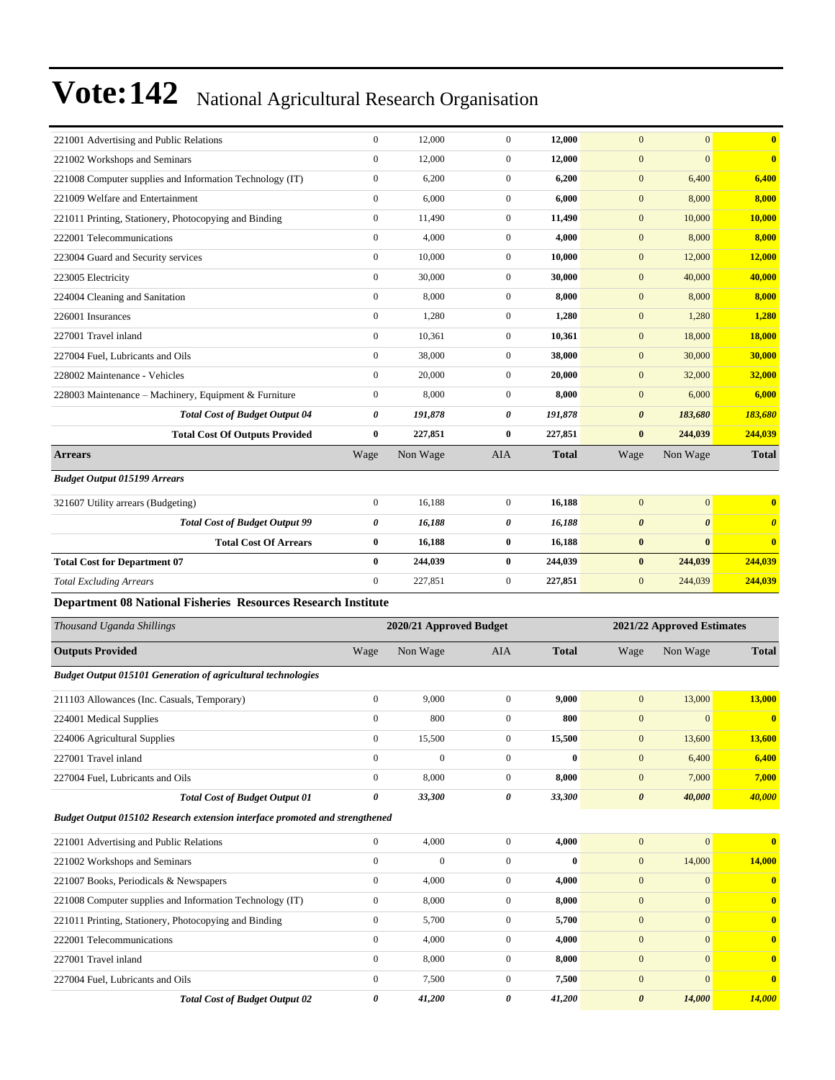| 221001 Advertising and Public Relations                                     |                  |                         |                  |              |                       |                            |                       |  |  |  |
|-----------------------------------------------------------------------------|------------------|-------------------------|------------------|--------------|-----------------------|----------------------------|-----------------------|--|--|--|
|                                                                             | $\boldsymbol{0}$ | 12,000                  | $\boldsymbol{0}$ | 12,000       | $\mathbf{0}$          | $\mathbf{0}$               | $\bf{0}$              |  |  |  |
| 221002 Workshops and Seminars                                               | $\boldsymbol{0}$ | 12,000                  | $\boldsymbol{0}$ | 12,000       | $\mathbf{0}$          | $\boldsymbol{0}$           | $\bf{0}$              |  |  |  |
| 221008 Computer supplies and Information Technology (IT)                    | $\boldsymbol{0}$ | 6,200                   | $\boldsymbol{0}$ | 6,200        | $\boldsymbol{0}$      | 6,400                      | 6,400                 |  |  |  |
| 221009 Welfare and Entertainment                                            | $\boldsymbol{0}$ | 6,000                   | $\boldsymbol{0}$ | 6,000        | $\mathbf{0}$          | 8,000                      | 8,000                 |  |  |  |
| 221011 Printing, Stationery, Photocopying and Binding                       | $\boldsymbol{0}$ | 11,490                  | $\boldsymbol{0}$ | 11,490       | $\boldsymbol{0}$      | 10,000                     | 10,000                |  |  |  |
| 222001 Telecommunications                                                   | $\boldsymbol{0}$ | 4,000                   | $\boldsymbol{0}$ | 4,000        | $\mathbf{0}$          | 8,000                      | 8,000                 |  |  |  |
| 223004 Guard and Security services                                          | $\boldsymbol{0}$ | 10,000                  | $\boldsymbol{0}$ | 10,000       | $\mathbf{0}$          | 12,000                     | <b>12,000</b>         |  |  |  |
| 223005 Electricity                                                          | $\boldsymbol{0}$ | 30,000                  | $\boldsymbol{0}$ | 30,000       | $\boldsymbol{0}$      | 40,000                     | 40,000                |  |  |  |
| 224004 Cleaning and Sanitation                                              | $\boldsymbol{0}$ | 8,000                   | $\boldsymbol{0}$ | 8,000        | $\mathbf{0}$          | 8,000                      | 8,000                 |  |  |  |
| 226001 Insurances                                                           | $\boldsymbol{0}$ | 1,280                   | $\boldsymbol{0}$ | 1,280        | $\mathbf{0}$          | 1,280                      | 1,280                 |  |  |  |
| 227001 Travel inland                                                        | $\boldsymbol{0}$ | 10,361                  | $\boldsymbol{0}$ | 10,361       | $\mathbf{0}$          | 18,000                     | <b>18,000</b>         |  |  |  |
| 227004 Fuel, Lubricants and Oils                                            | $\boldsymbol{0}$ | 38,000                  | $\boldsymbol{0}$ | 38,000       | $\mathbf{0}$          | 30,000                     | 30,000                |  |  |  |
| 228002 Maintenance - Vehicles                                               | $\boldsymbol{0}$ | 20,000                  | $\boldsymbol{0}$ | 20,000       | $\boldsymbol{0}$      | 32,000                     | 32,000                |  |  |  |
| 228003 Maintenance - Machinery, Equipment & Furniture                       | $\boldsymbol{0}$ | 8,000                   | $\boldsymbol{0}$ | 8,000        | $\mathbf{0}$          | 6,000                      | 6,000                 |  |  |  |
| <b>Total Cost of Budget Output 04</b>                                       | 0                | 191,878                 | 0                | 191,878      | $\boldsymbol{\theta}$ | 183,680                    | 183,680               |  |  |  |
| <b>Total Cost Of Outputs Provided</b>                                       | $\bf{0}$         | 227,851                 | 0                | 227,851      | $\bf{0}$              | 244,039                    | 244,039               |  |  |  |
| <b>Arrears</b>                                                              | Wage             | Non Wage                | <b>AIA</b>       | <b>Total</b> | Wage                  | Non Wage                   | <b>Total</b>          |  |  |  |
| <b>Budget Output 015199 Arrears</b>                                         |                  |                         |                  |              |                       |                            |                       |  |  |  |
| 321607 Utility arrears (Budgeting)                                          | $\boldsymbol{0}$ | 16,188                  | $\boldsymbol{0}$ | 16,188       | $\mathbf{0}$          | $\boldsymbol{0}$           | $\bf{0}$              |  |  |  |
| <b>Total Cost of Budget Output 99</b>                                       | 0                | 16,188                  | 0                | 16,188       | $\boldsymbol{\theta}$ | $\boldsymbol{\theta}$      | $\boldsymbol{\theta}$ |  |  |  |
| <b>Total Cost Of Arrears</b>                                                | $\bf{0}$         | 16,188                  | 0                | 16,188       | $\bf{0}$              | $\bf{0}$                   | $\bf{0}$              |  |  |  |
| <b>Total Cost for Department 07</b>                                         | $\bf{0}$         | 244,039                 | 0                | 244,039      | $\bf{0}$              | 244,039                    | 244,039               |  |  |  |
| <b>Total Excluding Arrears</b>                                              | $\mathbf{0}$     | 227,851                 | $\boldsymbol{0}$ | 227,851      | $\mathbf{0}$          | 244,039                    | 244,039               |  |  |  |
| <b>Department 08 National Fisheries Resources Research Institute</b>        |                  |                         |                  |              |                       |                            |                       |  |  |  |
|                                                                             |                  |                         |                  |              |                       |                            |                       |  |  |  |
| Thousand Uganda Shillings                                                   |                  | 2020/21 Approved Budget |                  |              |                       | 2021/22 Approved Estimates |                       |  |  |  |
| <b>Outputs Provided</b>                                                     | Wage             | Non Wage                | <b>AIA</b>       | <b>Total</b> | Wage                  | Non Wage                   | <b>Total</b>          |  |  |  |
| <b>Budget Output 015101 Generation of agricultural technologies</b>         |                  |                         |                  |              |                       |                            |                       |  |  |  |
| 211103 Allowances (Inc. Casuals, Temporary)                                 | $\boldsymbol{0}$ | 9,000                   | $\mathbf{0}$     | 9,000        | $\mathbf{0}$          | 13,000                     | 13,000                |  |  |  |
| 224001 Medical Supplies                                                     | $\boldsymbol{0}$ | 800                     | $\boldsymbol{0}$ | 800          | $\mathbf{0}$          | $\boldsymbol{0}$           | $\bf{0}$              |  |  |  |
| 224006 Agricultural Supplies                                                | $\boldsymbol{0}$ | 15,500                  | $\boldsymbol{0}$ | 15,500       | $\boldsymbol{0}$      | 13,600                     | 13,600                |  |  |  |
| 227001 Travel inland                                                        | $\boldsymbol{0}$ | $\boldsymbol{0}$        | $\boldsymbol{0}$ | $\bf{0}$     | $\mathbf{0}$          | 6,400                      | 6,400                 |  |  |  |
| 227004 Fuel, Lubricants and Oils                                            | $\boldsymbol{0}$ | 8,000                   | $\overline{0}$   | 8,000        | $\mathbf{0}$          | 7,000                      | 7,000                 |  |  |  |
| <b>Total Cost of Budget Output 01</b>                                       | 0                | 33,300                  | 0                | 33,300       | $\boldsymbol{\theta}$ | 40,000                     | 40,000                |  |  |  |
| Budget Output 015102 Research extension interface promoted and strengthened |                  |                         |                  |              |                       |                            |                       |  |  |  |
| 221001 Advertising and Public Relations                                     | $\boldsymbol{0}$ | 4,000                   | $\boldsymbol{0}$ | 4,000        | $\boldsymbol{0}$      | $\boldsymbol{0}$           | $\bf{0}$              |  |  |  |
| 221002 Workshops and Seminars                                               | $\boldsymbol{0}$ | $\boldsymbol{0}$        | $\boldsymbol{0}$ | $\bf{0}$     | $\mathbf{0}$          | 14,000                     | 14,000                |  |  |  |
| 221007 Books, Periodicals & Newspapers                                      | $\boldsymbol{0}$ | 4,000                   | $\boldsymbol{0}$ | 4,000        | $\mathbf{0}$          | $\mathbf{0}$               | $\mathbf{0}$          |  |  |  |
| 221008 Computer supplies and Information Technology (IT)                    | $\boldsymbol{0}$ | 8,000                   | $\boldsymbol{0}$ | 8,000        | $\mathbf{0}$          | $\mathbf{0}$               | $\mathbf{0}$          |  |  |  |
| 221011 Printing, Stationery, Photocopying and Binding                       | $\boldsymbol{0}$ | 5,700                   | $\boldsymbol{0}$ | 5,700        | $\mathbf{0}$          | $\mathbf{0}$               | $\boldsymbol{0}$      |  |  |  |
| 222001 Telecommunications                                                   | $\boldsymbol{0}$ | 4,000                   | $\boldsymbol{0}$ | 4,000        | $\mathbf{0}$          | $\vert 0 \vert$            | $\bf{0}$              |  |  |  |
| 227001 Travel inland                                                        | $\boldsymbol{0}$ | 8,000                   | $\boldsymbol{0}$ | 8,000        | $\mathbf{0}$          | $\mathbf{0}$               | $\bf{0}$              |  |  |  |
| 227004 Fuel, Lubricants and Oils                                            | $\boldsymbol{0}$ | 7,500                   | $\boldsymbol{0}$ | 7,500        | $\mathbf{0}$          | $\mathbf{0}$               | $\mathbf{0}$          |  |  |  |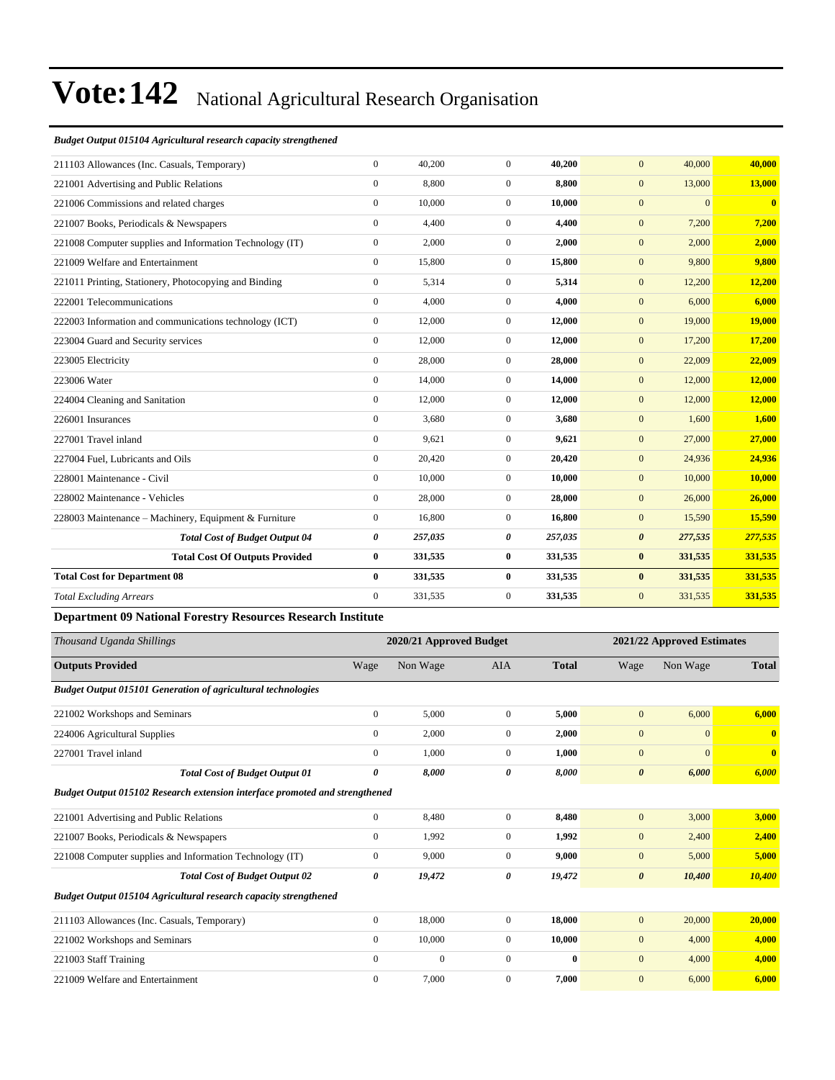#### *Budget Output 015104 Agricultural research capacity strengthened*

| 211103 Allowances (Inc. Casuals, Temporary)              | $\mathbf{0}$ | 40,200  | $\overline{0}$ | 40,200  | 40,000<br>$\mathbf{0}$           | 40,000        |
|----------------------------------------------------------|--------------|---------|----------------|---------|----------------------------------|---------------|
| 221001 Advertising and Public Relations                  | $\mathbf{0}$ | 8,800   | $\overline{0}$ | 8,800   | 13,000<br>$\mathbf{0}$           | 13,000        |
| 221006 Commissions and related charges                   | $\mathbf{0}$ | 10,000  | $\overline{0}$ | 10.000  | $\mathbf{0}$<br>$\overline{0}$   | $\bf{0}$      |
| 221007 Books, Periodicals & Newspapers                   | $\mathbf{0}$ | 4,400   | $\overline{0}$ | 4,400   | $\mathbf{0}$<br>7,200            | 7,200         |
| 221008 Computer supplies and Information Technology (IT) | $\mathbf{0}$ | 2,000   | $\overline{0}$ | 2,000   | $\mathbf{0}$<br>2,000            | 2,000         |
| 221009 Welfare and Entertainment                         | $\mathbf{0}$ | 15,800  | $\overline{0}$ | 15,800  | 9,800<br>$\mathbf{0}$            | 9,800         |
| 221011 Printing, Stationery, Photocopying and Binding    | $\mathbf{0}$ | 5,314   | $\overline{0}$ | 5,314   | $\mathbf{0}$<br>12,200           | 12,200        |
| 222001 Telecommunications                                | $\mathbf{0}$ | 4,000   | $\overline{0}$ | 4,000   | 6,000<br>$\mathbf{0}$            | 6,000         |
| 222003 Information and communications technology (ICT)   | $\mathbf{0}$ | 12,000  | $\overline{0}$ | 12,000  | 19,000<br>$\mathbf{0}$           | <b>19,000</b> |
| 223004 Guard and Security services                       | $\mathbf{0}$ | 12,000  | $\overline{0}$ | 12,000  | $\mathbf{0}$<br>17,200           | 17,200        |
| 223005 Electricity                                       | $\mathbf{0}$ | 28,000  | $\overline{0}$ | 28,000  | $\mathbf{0}$<br>22,009           | 22,009        |
| 223006 Water                                             | $\mathbf{0}$ | 14,000  | $\overline{0}$ | 14,000  | $\mathbf{0}$<br>12,000           | 12,000        |
| 224004 Cleaning and Sanitation                           | $\mathbf{0}$ | 12,000  | $\overline{0}$ | 12,000  | $\mathbf{0}$<br>12,000           | 12,000        |
| 226001 Insurances                                        | $\mathbf{0}$ | 3,680   | $\overline{0}$ | 3,680   | $\mathbf{0}$<br>1,600            | 1,600         |
| 227001 Travel inland                                     | $\mathbf{0}$ | 9,621   | $\overline{0}$ | 9,621   | $\mathbf{0}$<br>27,000           | 27,000        |
| 227004 Fuel, Lubricants and Oils                         | $\mathbf{0}$ | 20,420  | $\overline{0}$ | 20,420  | $\mathbf{0}$<br>24,936           | 24,936        |
| 228001 Maintenance - Civil                               | $\mathbf{0}$ | 10,000  | $\overline{0}$ | 10,000  | $\mathbf{0}$<br>10,000           | 10,000        |
| 228002 Maintenance - Vehicles                            | $\mathbf{0}$ | 28,000  | $\overline{0}$ | 28,000  | $\mathbf{0}$<br>26,000           | 26,000        |
| 228003 Maintenance - Machinery, Equipment & Furniture    | $\mathbf{0}$ | 16,800  | $\overline{0}$ | 16,800  | 15,590<br>$\mathbf{0}$           | 15,590        |
| <b>Total Cost of Budget Output 04</b>                    | 0            | 257,035 | 0              | 257,035 | $\boldsymbol{\theta}$<br>277,535 | 277,535       |
| <b>Total Cost Of Outputs Provided</b>                    | $\bf{0}$     | 331,535 | $\bf{0}$       | 331,535 | $\bf{0}$<br>331,535              | 331,535       |
| <b>Total Cost for Department 08</b>                      | $\bf{0}$     | 331,535 | $\bf{0}$       | 331,535 | $\bf{0}$<br>331,535              | 331,535       |
| <b>Total Excluding Arrears</b>                           | $\mathbf{0}$ | 331,535 | $\overline{0}$ | 331,535 | $\mathbf{0}$<br>331,535          | 331,535       |
|                                                          |              |         |                |         |                                  |               |

#### **Department 09 National Forestry Resources Research Institute**

| Thousand Uganda Shillings                                                          |                  | 2020/21 Approved Budget |                |              |                       | 2021/22 Approved Estimates |                         |
|------------------------------------------------------------------------------------|------------------|-------------------------|----------------|--------------|-----------------------|----------------------------|-------------------------|
| <b>Outputs Provided</b>                                                            | Wage             | Non Wage                | AIA            | <b>Total</b> | Wage                  | Non Wage                   | <b>Total</b>            |
| <b>Budget Output 015101 Generation of agricultural technologies</b>                |                  |                         |                |              |                       |                            |                         |
| 221002 Workshops and Seminars                                                      | $\boldsymbol{0}$ | 5,000                   | $\overline{0}$ | 5,000        | $\mathbf{0}$          | 6,000                      | 6,000                   |
| 224006 Agricultural Supplies                                                       | $\mathbf{0}$     | 2,000                   | $\overline{0}$ | 2,000        | $\mathbf{0}$          | $\Omega$                   | $\overline{\mathbf{0}}$ |
| 227001 Travel inland                                                               | $\overline{0}$   | 1,000                   | $\overline{0}$ | 1,000        | $\mathbf{0}$          | $\overline{0}$             | $\mathbf{0}$            |
| <b>Total Cost of Budget Output 01</b>                                              | 0                | 8,000                   | 0              | 8,000        | $\boldsymbol{\theta}$ | 6,000                      | 6,000                   |
| <b>Budget Output 015102 Research extension interface promoted and strengthened</b> |                  |                         |                |              |                       |                            |                         |
| 221001 Advertising and Public Relations                                            | $\mathbf{0}$     | 8,480                   | $\overline{0}$ | 8,480        | $\mathbf{0}$          | 3,000                      | 3,000                   |
| 221007 Books, Periodicals & Newspapers                                             | $\mathbf{0}$     | 1,992                   | $\overline{0}$ | 1,992        | $\mathbf{0}$          | 2,400                      | 2,400                   |
| 221008 Computer supplies and Information Technology (IT)                           | $\mathbf{0}$     | 9,000                   | $\overline{0}$ | 9,000        | $\mathbf{0}$          | 5,000                      | 5,000                   |
| <b>Total Cost of Budget Output 02</b>                                              | 0                | 19,472                  | 0              | 19,472       | $\boldsymbol{\theta}$ | 10,400                     | 10,400                  |
| Budget Output 015104 Agricultural research capacity strengthened                   |                  |                         |                |              |                       |                            |                         |
| 211103 Allowances (Inc. Casuals, Temporary)                                        | $\boldsymbol{0}$ | 18,000                  | $\overline{0}$ | 18,000       | $\mathbf{0}$          | 20,000                     | 20,000                  |
| 221002 Workshops and Seminars                                                      | $\overline{0}$   | 10,000                  | $\overline{0}$ | 10,000       | $\mathbf{0}$          | 4,000                      | 4,000                   |
| 221003 Staff Training                                                              | $\mathbf{0}$     | $\boldsymbol{0}$        | $\overline{0}$ | $\bf{0}$     | $\mathbf{0}$          | 4,000                      | 4,000                   |
| 221009 Welfare and Entertainment                                                   | $\mathbf{0}$     | 7,000                   | $\overline{0}$ | 7.000        | $\mathbf{0}$          | 6,000                      | 6.000                   |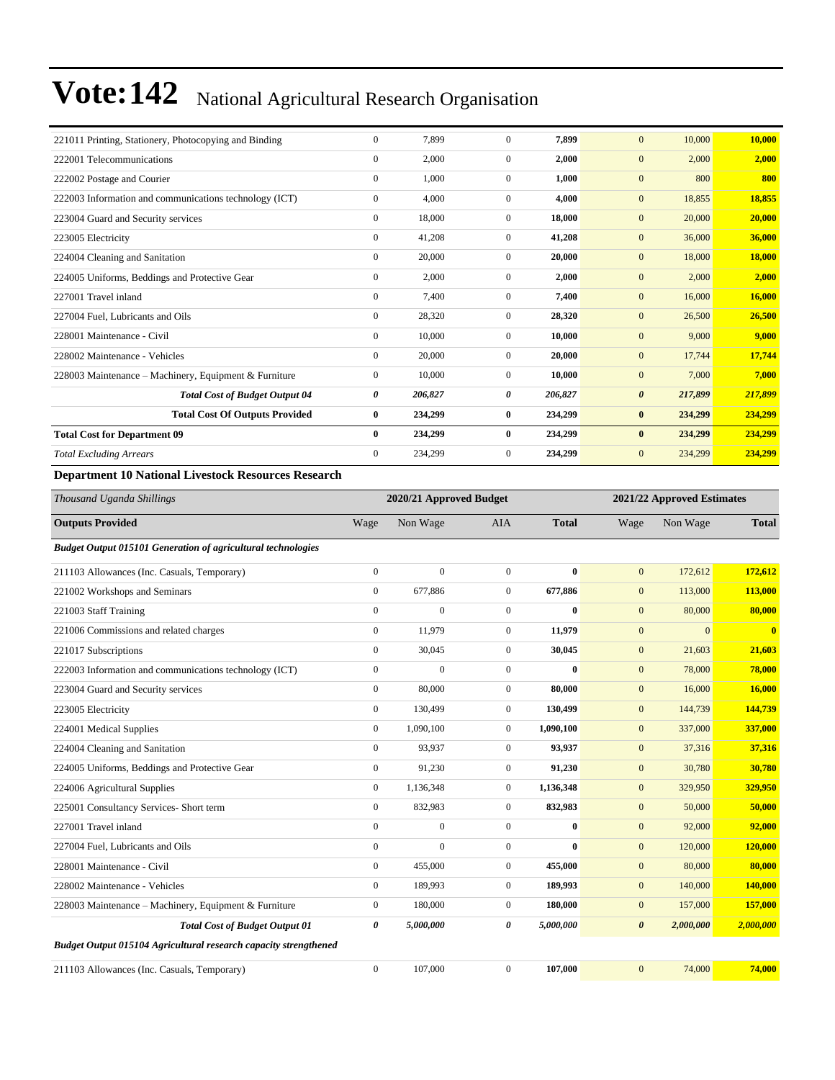| 221011 Printing, Stationery, Photocopying and Binding      | $\mathbf{0}$ | 7.899   | $\Omega$       | 7.899   | $\mathbf{0}$<br>10,000           | 10,000        |
|------------------------------------------------------------|--------------|---------|----------------|---------|----------------------------------|---------------|
| 222001 Telecommunications                                  | $\mathbf{0}$ | 2,000   | $\mathbf{0}$   | 2,000   | $\mathbf{0}$<br>2,000            | 2,000         |
| 222002 Postage and Courier                                 | $\mathbf{0}$ | 1,000   | $\mathbf{0}$   | 1,000   | 800<br>$\mathbf{0}$              | 800           |
| 222003 Information and communications technology (ICT)     | $\mathbf{0}$ | 4,000   | $\overline{0}$ | 4,000   | $\mathbf{0}$<br>18,855           | 18,855        |
| 223004 Guard and Security services                         | $\mathbf{0}$ | 18,000  | $\overline{0}$ | 18,000  | 20,000<br>$\mathbf{0}$           | 20,000        |
| 223005 Electricity                                         | $\mathbf{0}$ | 41,208  | $\overline{0}$ | 41,208  | 36,000<br>$\mathbf{0}$           | 36,000        |
| 224004 Cleaning and Sanitation                             | $\mathbf{0}$ | 20,000  | $\overline{0}$ | 20,000  | 18,000<br>$\mathbf{0}$           | <b>18,000</b> |
| 224005 Uniforms, Beddings and Protective Gear              | $\mathbf{0}$ | 2,000   | $\mathbf{0}$   | 2,000   | $\mathbf{0}$<br>2,000            | 2,000         |
| 227001 Travel inland                                       | $\mathbf{0}$ | 7,400   | $\mathbf{0}$   | 7,400   | $\mathbf{0}$<br>16,000           | 16,000        |
| 227004 Fuel, Lubricants and Oils                           | $\mathbf{0}$ | 28,320  | $\mathbf{0}$   | 28,320  | $\mathbf{0}$<br>26,500           | 26,500        |
| 228001 Maintenance - Civil                                 | $\mathbf{0}$ | 10,000  | $\overline{0}$ | 10.000  | 9,000<br>$\mathbf{0}$            | 9.000         |
| 228002 Maintenance - Vehicles                              | $\mathbf{0}$ | 20,000  | $\overline{0}$ | 20,000  | $\mathbf{0}$<br>17,744           | 17,744        |
| 228003 Maintenance – Machinery, Equipment & Furniture      | $\mathbf{0}$ | 10,000  | $\mathbf{0}$   | 10.000  | $\mathbf{0}$<br>7,000            | 7,000         |
| <b>Total Cost of Budget Output 04</b>                      | 0            | 206,827 | 0              | 206,827 | $\boldsymbol{\theta}$<br>217,899 | 217,899       |
| <b>Total Cost Of Outputs Provided</b>                      | $\bf{0}$     | 234,299 | $\bf{0}$       | 234,299 | 234,299<br>$\bf{0}$              | 234,299       |
| <b>Total Cost for Department 09</b>                        | $\bf{0}$     | 234,299 | $\bf{0}$       | 234,299 | 234,299<br>$\bf{0}$              | 234,299       |
| <b>Total Excluding Arrears</b>                             | $\mathbf{0}$ | 234,299 | 0              | 234,299 | 234,299<br>$\mathbf{0}$          | 234,299       |
| <b>Department 10 National Livestock Resources Research</b> |              |         |                |         |                                  |               |

*Thousand Uganda Shillings* **2020/21 Approved Budget 2021/22 Approved Estimates Outputs Provided** Wage Non Wage AIA **Total** Wage Non Wage **Total** *Budget Output 015101 Generation of agricultural technologies* 211103 Allowances (Inc. Casuals, Temporary) 0 0 0 **0** 0 172,612 **172,612** 221002 Workshops and Seminars 0 677,886 0 **677,886** 0 113,000 **113,000** 221003 Staff Training 0 0 0 **0** 0 80,000 **80,000** 221006 Commissions and related charges 0 11,979 0 **11,979** 0 0 **0** 221017 Subscriptions 0 30,045 0 **30,045** 0 21,603 **21,603** 222003 Information and communications technology (ICT) 0 0 0 **0** 0 78,000 **78,000** 223004 Guard and Security services 0 80,000 0 **80,000** 0 16,000 **16,000** 223005 Electricity 0 130,499 0 **130,499** 0 144,739 **144,739** 224001 Medical Supplies 0 1,090,100 0 **1,090,100** 0 337,000 **337,000** 224004 Cleaning and Sanitation 0 93,937 0 **93,937** 0 37,316 **37,316** 224005 Uniforms, Beddings and Protective Gear 0 91,230 0 **91,230** 0 30,780 **30,780** 224006 Agricultural Supplies 0 1,136,348 0 **1,136,348** 0 329,950 **329,950** 225001 Consultancy Services- Short term 0 832,983 0 **832,983** 0 50,000 **50,000** 227001 Travel inland 0 0 0 **0** 0 92,000 **92,000** 227004 Fuel, Lubricants and Oils 0 0 0 **0** 0 120,000 **120,000** 228001 Maintenance - Civil 0 455,000 0 **455,000** 0 80,000 **80,000** 228002 Maintenance - Vehicles 0 189,993 0 **189,993** 0 140,000 **140,000** 228003 Maintenance ±Machinery, Equipment & Furniture 0 180,000 0 **180,000** 0 157,000 **157,000** *Total Cost of Budget Output 01 0 5,000,000 0 5,000,000 0 2,000,000 2,000,000 Budget Output 015104 Agricultural research capacity strengthened* 211103 Allowances (Inc. Casuals, Temporary) 0 107,000 0 **107,000** 0 74,000 **74,000**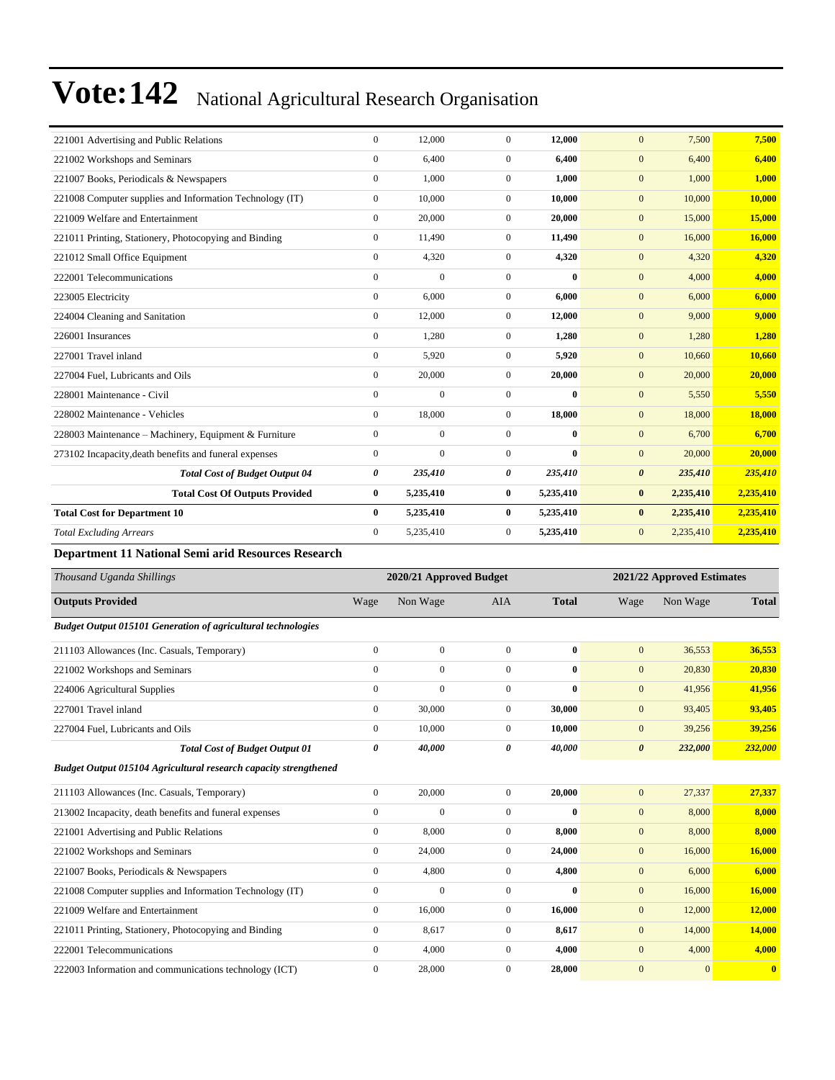| 221001 Advertising and Public Relations                  | $\mathbf{0}$     | 12,000         | $\Omega$       | 12,000       | $\mathbf{0}$<br>7,500            | 7,500     |
|----------------------------------------------------------|------------------|----------------|----------------|--------------|----------------------------------|-----------|
| 221002 Workshops and Seminars                            | $\mathbf{0}$     | 6,400          | $\overline{0}$ | 6,400        | 6,400<br>$\mathbf{0}$            | 6,400     |
| 221007 Books, Periodicals & Newspapers                   | $\mathbf{0}$     | 1,000          | $\overline{0}$ | 1,000        | 1,000<br>$\boldsymbol{0}$        | 1,000     |
| 221008 Computer supplies and Information Technology (IT) | $\mathbf{0}$     | 10,000         | $\Omega$       | 10,000       | $\mathbf{0}$<br>10,000           | 10,000    |
| 221009 Welfare and Entertainment                         | $\mathbf{0}$     | 20,000         | $\Omega$       | 20,000       | $\mathbf{0}$<br>15,000           | 15,000    |
| 221011 Printing, Stationery, Photocopying and Binding    | $\boldsymbol{0}$ | 11,490         | $\overline{0}$ | 11,490       | $\mathbf{0}$<br>16,000           | 16,000    |
| 221012 Small Office Equipment                            | $\mathbf{0}$     | 4,320          | $\overline{0}$ | 4,320        | $\mathbf{0}$<br>4,320            | 4,320     |
| 222001 Telecommunications                                | $\mathbf{0}$     | $\mathbf{0}$   | $\Omega$       | $\mathbf{0}$ | $\overline{0}$<br>4,000          | 4,000     |
| 223005 Electricity                                       | $\mathbf{0}$     | 6.000          | $\overline{0}$ | 6.000        | $\mathbf{0}$<br>6,000            | 6.000     |
| 224004 Cleaning and Sanitation                           | $\boldsymbol{0}$ | 12,000         | $\overline{0}$ | 12,000       | $\mathbf{0}$<br>9,000            | 9,000     |
| 226001 Insurances                                        | $\mathbf{0}$     | 1,280          | $\overline{0}$ | 1,280        | $\mathbf{0}$<br>1,280            | 1,280     |
| 227001 Travel inland                                     | $\mathbf{0}$     | 5,920          | $\overline{0}$ | 5,920        | $\mathbf{0}$<br>10,660           | 10,660    |
| 227004 Fuel, Lubricants and Oils                         | $\mathbf{0}$     | 20,000         | $\overline{0}$ | 20,000       | $\mathbf{0}$<br>20,000           | 20,000    |
| 228001 Maintenance - Civil                               | $\mathbf{0}$     | $\overline{0}$ | $\Omega$       | $\mathbf{0}$ | $\mathbf{0}$<br>5,550            | 5,550     |
| 228002 Maintenance - Vehicles                            | $\mathbf{0}$     | 18,000         | $\overline{0}$ | 18,000       | 18,000<br>$\mathbf{0}$           | 18,000    |
| 228003 Maintenance - Machinery, Equipment & Furniture    | $\mathbf{0}$     | $\overline{0}$ | $\Omega$       | $\mathbf{0}$ | $\mathbf{0}$<br>6,700            | 6,700     |
| 273102 Incapacity, death benefits and funeral expenses   | $\mathbf{0}$     | $\overline{0}$ | $\overline{0}$ | $\mathbf{0}$ | $\mathbf{0}$<br>20,000           | 20,000    |
| <b>Total Cost of Budget Output 04</b>                    | 0                | 235,410        | 0              | 235,410      | $\boldsymbol{\theta}$<br>235,410 | 235,410   |
| <b>Total Cost Of Outputs Provided</b>                    | $\bf{0}$         | 5,235,410      | $\bf{0}$       | 5,235,410    | 2,235,410<br>$\bf{0}$            | 2,235,410 |
| <b>Total Cost for Department 10</b>                      | $\mathbf{0}$     | 5,235,410      | $\mathbf{0}$   | 5,235,410    | 2,235,410<br>$\bf{0}$            | 2,235,410 |
| <b>Total Excluding Arrears</b>                           | $\Omega$         | 5,235,410      | $\overline{0}$ | 5,235,410    | $\mathbf{0}$<br>2,235,410        | 2,235,410 |
|                                                          |                  |                |                |              |                                  |           |

#### **Department 11 National Semi arid Resources Research**

| Thousand Uganda Shillings                                           | 2020/21 Approved Budget |                |                  |              |                       | 2021/22 Approved Estimates |              |  |
|---------------------------------------------------------------------|-------------------------|----------------|------------------|--------------|-----------------------|----------------------------|--------------|--|
| <b>Outputs Provided</b>                                             | Wage                    | Non Wage       | <b>AIA</b>       | <b>Total</b> | Wage                  | Non Wage                   | <b>Total</b> |  |
| <b>Budget Output 015101 Generation of agricultural technologies</b> |                         |                |                  |              |                       |                            |              |  |
| 211103 Allowances (Inc. Casuals, Temporary)                         | $\mathbf{0}$            | $\overline{0}$ | $\Omega$         | $\bf{0}$     | $\mathbf{0}$          | 36,553                     | 36,553       |  |
| 221002 Workshops and Seminars                                       | $\mathbf{0}$            | $\theta$       | $\mathbf{0}$     | $\bf{0}$     | $\mathbf{0}$          | 20,830                     | 20,830       |  |
| 224006 Agricultural Supplies                                        | $\mathbf{0}$            | $\mathbf{0}$   | $\mathbf{0}$     | $\bf{0}$     | $\mathbf{0}$          | 41,956                     | 41,956       |  |
| 227001 Travel inland                                                | $\boldsymbol{0}$        | 30,000         | $\mathbf{0}$     | 30,000       | $\mathbf{0}$          | 93,405                     | 93,405       |  |
| 227004 Fuel, Lubricants and Oils                                    | $\mathbf{0}$            | 10,000         | $\overline{0}$   | 10,000       | $\mathbf{0}$          | 39,256                     | 39,256       |  |
| <b>Total Cost of Budget Output 01</b>                               | 0                       | 40,000         | 0                | 40,000       | $\boldsymbol{\theta}$ | 232,000                    | 232,000      |  |
| Budget Output 015104 Agricultural research capacity strengthened    |                         |                |                  |              |                       |                            |              |  |
| 211103 Allowances (Inc. Casuals, Temporary)                         | $\mathbf{0}$            | 20,000         | $\Omega$         | 20,000       | $\mathbf{0}$          | 27,337                     | 27,337       |  |
| 213002 Incapacity, death benefits and funeral expenses              | $\Omega$                | $\Omega$       | $\Omega$         | $\mathbf{0}$ | $\mathbf{0}$          | 8,000                      | 8,000        |  |
| 221001 Advertising and Public Relations                             | $\overline{0}$          | 8,000          | $\mathbf{0}$     | 8.000        | $\mathbf{0}$          | 8,000                      | 8,000        |  |
| 221002 Workshops and Seminars                                       | $\boldsymbol{0}$        | 24,000         | $\boldsymbol{0}$ | 24,000       | $\mathbf{0}$          | 16,000                     | 16,000       |  |
| 221007 Books, Periodicals & Newspapers                              | $\overline{0}$          | 4,800          | $\overline{0}$   | 4,800        | $\mathbf{0}$          | 6,000                      | 6.000        |  |
| 221008 Computer supplies and Information Technology (IT)            | $\mathbf{0}$            | $\mathbf{0}$   | $\mathbf{0}$     | $\bf{0}$     | $\mathbf{0}$          | 16,000                     | 16,000       |  |
| 221009 Welfare and Entertainment                                    | $\mathbf{0}$            | 16,000         | $\overline{0}$   | 16,000       | $\mathbf{0}$          | 12,000                     | 12,000       |  |
| 221011 Printing, Stationery, Photocopying and Binding               | $\mathbf{0}$            | 8,617          | $\mathbf{0}$     | 8,617        | $\mathbf{0}$          | 14,000                     | 14,000       |  |
| 222001 Telecommunications                                           | $\mathbf{0}$            | 4,000          | $\overline{0}$   | 4.000        | $\mathbf{0}$          | 4,000                      | 4,000        |  |
| 222003 Information and communications technology (ICT)              | $\mathbf{0}$            | 28,000         | $\Omega$         | 28,000       | $\overline{0}$        | $\overline{0}$             | $\bf{0}$     |  |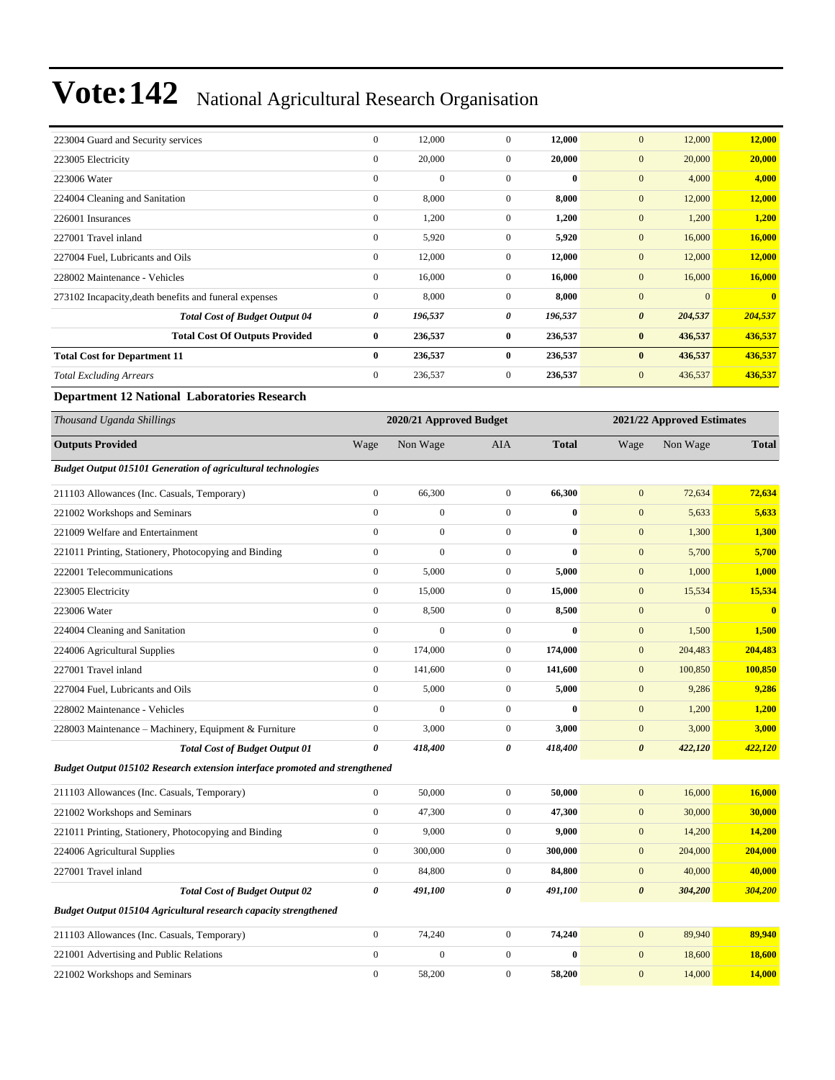| 223004 Guard and Security services                                          | $\boldsymbol{0}$ | 12,000                  | $\mathbf{0}$     | 12,000       | $\mathbf{0}$          | 12,000                     | 12,000                  |
|-----------------------------------------------------------------------------|------------------|-------------------------|------------------|--------------|-----------------------|----------------------------|-------------------------|
| 223005 Electricity                                                          | $\boldsymbol{0}$ | 20,000                  | $\boldsymbol{0}$ | 20,000       | $\mathbf{0}$          | 20,000                     | 20,000                  |
| 223006 Water                                                                | $\boldsymbol{0}$ | $\boldsymbol{0}$        | $\overline{0}$   | $\bf{0}$     | $\mathbf{0}$          | 4,000                      | 4,000                   |
| 224004 Cleaning and Sanitation                                              | $\mathbf{0}$     | 8,000                   | $\overline{0}$   | 8,000        | $\mathbf{0}$          | 12,000                     | 12,000                  |
| 226001 Insurances                                                           | $\boldsymbol{0}$ | 1,200                   | $\mathbf{0}$     | 1,200        | $\mathbf{0}$          | 1,200                      | 1,200                   |
| 227001 Travel inland                                                        | $\boldsymbol{0}$ | 5,920                   | $\overline{0}$   | 5,920        | $\mathbf{0}$          | 16,000                     | 16,000                  |
| 227004 Fuel, Lubricants and Oils                                            | $\boldsymbol{0}$ | 12,000                  | $\mathbf{0}$     | 12,000       | $\mathbf{0}$          | 12,000                     | 12,000                  |
| 228002 Maintenance - Vehicles                                               | $\boldsymbol{0}$ | 16,000                  | $\overline{0}$   | 16,000       | $\mathbf{0}$          | 16,000                     | 16,000                  |
| 273102 Incapacity, death benefits and funeral expenses                      | $\boldsymbol{0}$ | 8,000                   | $\mathbf{0}$     | 8,000        | $\mathbf{0}$          | $\mathbf{0}$               | $\mathbf{0}$            |
| <b>Total Cost of Budget Output 04</b>                                       | 0                | 196,537                 | 0                | 196,537      | $\boldsymbol{\theta}$ | 204,537                    | 204,537                 |
| <b>Total Cost Of Outputs Provided</b>                                       | $\bf{0}$         | 236,537                 | $\bf{0}$         | 236,537      | $\bf{0}$              | 436,537                    | 436,537                 |
| <b>Total Cost for Department 11</b>                                         | $\bf{0}$         | 236,537                 | $\bf{0}$         | 236,537      | $\bf{0}$              | 436,537                    | 436,537                 |
| <b>Total Excluding Arrears</b>                                              | $\boldsymbol{0}$ | 236,537                 | $\boldsymbol{0}$ | 236,537      | $\boldsymbol{0}$      | 436,537                    | 436,537                 |
| <b>Department 12 National Laboratories Research</b>                         |                  |                         |                  |              |                       |                            |                         |
| Thousand Uganda Shillings                                                   |                  | 2020/21 Approved Budget |                  |              |                       | 2021/22 Approved Estimates |                         |
| <b>Outputs Provided</b>                                                     | Wage             | Non Wage                | AIA              | <b>Total</b> | Wage                  | Non Wage                   | <b>Total</b>            |
| <b>Budget Output 015101 Generation of agricultural technologies</b>         |                  |                         |                  |              |                       |                            |                         |
| 211103 Allowances (Inc. Casuals, Temporary)                                 | $\mathbf{0}$     | 66,300                  | $\overline{0}$   | 66,300       | $\mathbf{0}$          | 72,634                     | 72,634                  |
| 221002 Workshops and Seminars                                               | $\boldsymbol{0}$ | $\overline{0}$          | $\mathbf{0}$     | $\bf{0}$     | $\mathbf{0}$          | 5,633                      | 5,633                   |
| 221009 Welfare and Entertainment                                            | $\mathbf{0}$     | $\boldsymbol{0}$        | $\overline{0}$   | $\bf{0}$     | $\mathbf{0}$          | 1,300                      | 1,300                   |
| 221011 Printing, Stationery, Photocopying and Binding                       | $\boldsymbol{0}$ | $\boldsymbol{0}$        | $\overline{0}$   | $\bf{0}$     | $\mathbf{0}$          | 5,700                      | 5,700                   |
| 222001 Telecommunications                                                   | $\boldsymbol{0}$ | 5,000                   | $\overline{0}$   | 5,000        | $\mathbf{0}$          | 1,000                      | 1,000                   |
| 223005 Electricity                                                          | $\mathbf{0}$     | 15,000                  | $\mathbf{0}$     | 15,000       | $\mathbf{0}$          | 15,534                     | 15,534                  |
| 223006 Water                                                                | $\boldsymbol{0}$ | 8,500                   | $\mathbf{0}$     | 8,500        | $\mathbf{0}$          | $\mathbf{0}$               | $\overline{\mathbf{0}}$ |
| 224004 Cleaning and Sanitation                                              | $\boldsymbol{0}$ | $\boldsymbol{0}$        | $\overline{0}$   | $\bf{0}$     | $\mathbf{0}$          | 1,500                      | 1,500                   |
| 224006 Agricultural Supplies                                                | $\boldsymbol{0}$ | 174,000                 | $\mathbf{0}$     | 174,000      | $\mathbf{0}$          | 204,483                    | 204,483                 |
| 227001 Travel inland                                                        | $\boldsymbol{0}$ | 141,600                 | $\overline{0}$   | 141,600      | $\mathbf{0}$          | 100,850                    | 100,850                 |
| 227004 Fuel, Lubricants and Oils                                            | $\mathbf{0}$     | 5,000                   | $\mathbf{0}$     | 5,000        | $\mathbf{0}$          | 9,286                      | 9,286                   |
| 228002 Maintenance - Vehicles                                               | $\boldsymbol{0}$ | $\mathbf{0}$            | $\boldsymbol{0}$ | $\bf{0}$     | $\mathbf{0}$          | 1,200                      | 1,200                   |
| 228003 Maintenance – Machinery, Equipment & Furniture                       | $\boldsymbol{0}$ | 3,000                   | $\boldsymbol{0}$ | 3,000        | $\mathbf{0}$          | 3,000                      | 3,000                   |
| <b>Total Cost of Budget Output 01</b>                                       | 0                | 418,400                 | 0                | 418,400      | $\boldsymbol{\theta}$ | 422,120                    | 422,120                 |
| Budget Output 015102 Research extension interface promoted and strengthened |                  |                         |                  |              |                       |                            |                         |
| 211103 Allowances (Inc. Casuals, Temporary)                                 | $\boldsymbol{0}$ | 50,000                  | $\boldsymbol{0}$ | 50,000       | $\boldsymbol{0}$      | 16,000                     | 16,000                  |
| 221002 Workshops and Seminars                                               | $\mathbf{0}$     | 47,300                  | $\boldsymbol{0}$ | 47,300       | $\mathbf{0}$          | 30,000                     | 30,000                  |
| 221011 Printing, Stationery, Photocopying and Binding                       | $\boldsymbol{0}$ | 9,000                   | $\boldsymbol{0}$ | 9,000        | $\mathbf{0}$          | 14,200                     | 14,200                  |
| 224006 Agricultural Supplies                                                | $\boldsymbol{0}$ | 300,000                 | $\boldsymbol{0}$ | 300,000      | $\boldsymbol{0}$      | 204,000                    | 204,000                 |
| 227001 Travel inland                                                        | $\boldsymbol{0}$ | 84,800                  | $\boldsymbol{0}$ | 84,800       | $\boldsymbol{0}$      | 40,000                     | 40,000                  |
| <b>Total Cost of Budget Output 02</b>                                       | $\pmb{\theta}$   | 491,100                 | 0                | 491,100      | $\boldsymbol{\theta}$ | 304,200                    | 304,200                 |
| Budget Output 015104 Agricultural research capacity strengthened            |                  |                         |                  |              |                       |                            |                         |
| 211103 Allowances (Inc. Casuals, Temporary)                                 | $\boldsymbol{0}$ | 74,240                  | $\boldsymbol{0}$ | 74,240       | $\mathbf{0}$          | 89,940                     | 89,940                  |
| 221001 Advertising and Public Relations                                     | $\boldsymbol{0}$ | $\boldsymbol{0}$        | $\boldsymbol{0}$ | $\bf{0}$     | $\boldsymbol{0}$      | 18,600                     | 18,600                  |
| 221002 Workshops and Seminars                                               | $\boldsymbol{0}$ | 58,200                  | $\boldsymbol{0}$ | 58,200       | $\boldsymbol{0}$      | 14,000                     | <b>14,000</b>           |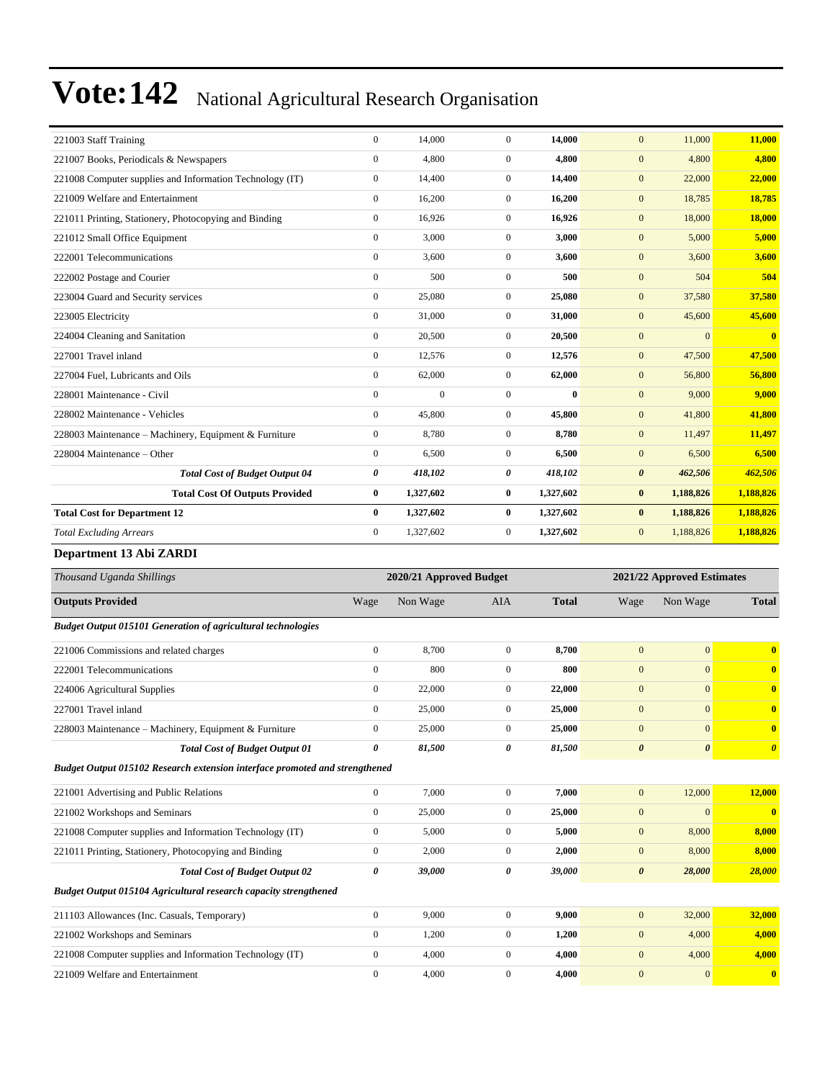| 221003 Staff Training                                    | $\mathbf{0}$     | 14,000       | $\Omega$       | 14,000    | 11,000<br>$\mathbf{0}$           | 11,000                  |
|----------------------------------------------------------|------------------|--------------|----------------|-----------|----------------------------------|-------------------------|
| 221007 Books, Periodicals & Newspapers                   | $\boldsymbol{0}$ | 4,800        | $\overline{0}$ | 4,800     | 4,800<br>$\mathbf{0}$            | 4,800                   |
| 221008 Computer supplies and Information Technology (IT) | $\mathbf{0}$     | 14,400       | $\overline{0}$ | 14,400    | 22,000<br>$\mathbf{0}$           | 22,000                  |
| 221009 Welfare and Entertainment                         | $\mathbf{0}$     | 16,200       | $\Omega$       | 16,200    | $\mathbf{0}$<br>18,785           | 18,785                  |
| 221011 Printing, Stationery, Photocopying and Binding    | $\overline{0}$   | 16.926       | $\overline{0}$ | 16.926    | 18,000<br>$\mathbf{0}$           | 18,000                  |
| 221012 Small Office Equipment                            | $\overline{0}$   | 3,000        | $\mathbf{0}$   | 3,000     | 5,000<br>$\mathbf{0}$            | 5,000                   |
| 222001 Telecommunications                                | $\overline{0}$   | 3,600        | $\mathbf{0}$   | 3,600     | 3,600<br>$\mathbf{0}$            | 3,600                   |
| 222002 Postage and Courier                               | $\mathbf{0}$     | 500          | $\mathbf{0}$   | 500       | $\mathbf{0}$<br>504              | 504                     |
| 223004 Guard and Security services                       | $\overline{0}$   | 25,080       | $\overline{0}$ | 25,080    | $\mathbf{0}$<br>37,580           | 37,580                  |
| 223005 Electricity                                       | $\overline{0}$   | 31,000       | $\mathbf{0}$   | 31,000    | $\mathbf{0}$<br>45,600           | 45,600                  |
| 224004 Cleaning and Sanitation                           | $\overline{0}$   | 20,500       | $\overline{0}$ | 20,500    | $\overline{0}$<br>$\mathbf{0}$   | $\overline{\mathbf{0}}$ |
| 227001 Travel inland                                     | $\mathbf{0}$     | 12,576       | $\Omega$       | 12,576    | $\mathbf{0}$<br>47,500           | 47,500                  |
| 227004 Fuel, Lubricants and Oils                         | $\mathbf{0}$     | 62,000       | $\overline{0}$ | 62,000    | $\mathbf{0}$<br>56,800           | 56,800                  |
| 228001 Maintenance - Civil                               | $\mathbf{0}$     | $\mathbf{0}$ | $\mathbf{0}$   | $\bf{0}$  | $\mathbf{0}$<br>9,000            | 9,000                   |
| 228002 Maintenance - Vehicles                            | $\mathbf{0}$     | 45,800       | $\overline{0}$ | 45,800    | 41,800<br>$\mathbf{0}$           | 41,800                  |
| 228003 Maintenance – Machinery, Equipment & Furniture    | $\overline{0}$   | 8,780        | $\Omega$       | 8,780     | 11,497<br>$\mathbf{0}$           | 11,497                  |
| 228004 Maintenance - Other                               | $\Omega$         | 6,500        | $\Omega$       | 6,500     | $\mathbf{0}$<br>6,500            | 6,500                   |
| <b>Total Cost of Budget Output 04</b>                    | 0                | 418,102      | 0              | 418,102   | $\boldsymbol{\theta}$<br>462,506 | 462,506                 |
| <b>Total Cost Of Outputs Provided</b>                    | $\bf{0}$         | 1,327,602    | $\bf{0}$       | 1,327,602 | 1,188,826<br>$\bf{0}$            | 1,188,826               |
| <b>Total Cost for Department 12</b>                      | $\mathbf{0}$     | 1,327,602    | $\bf{0}$       | 1,327,602 | 1,188,826<br>$\bf{0}$            | 1,188,826               |
| <b>Total Excluding Arrears</b>                           | $\Omega$         | 1,327,602    | $\Omega$       | 1,327,602 | $\mathbf{0}$<br>1,188,826        | 1,188,826               |

#### **Department 13 Abi ZARDI**

| Thousand Uganda Shillings                                                   |                | 2020/21 Approved Budget |                |              |                       | 2021/22 Approved Estimates |                         |
|-----------------------------------------------------------------------------|----------------|-------------------------|----------------|--------------|-----------------------|----------------------------|-------------------------|
| <b>Outputs Provided</b>                                                     | Wage           | Non Wage                | <b>AIA</b>     | <b>Total</b> | Wage                  | Non Wage                   | <b>Total</b>            |
| <b>Budget Output 015101 Generation of agricultural technologies</b>         |                |                         |                |              |                       |                            |                         |
| 221006 Commissions and related charges                                      | $\overline{0}$ | 8,700                   | $\mathbf{0}$   | 8,700        | $\overline{0}$        | $\mathbf{0}$               | $\overline{\mathbf{0}}$ |
| 222001 Telecommunications                                                   | $\overline{0}$ | 800                     | $\overline{0}$ | 800          | $\mathbf{0}$          | $\mathbf{0}$               | $\mathbf{0}$            |
| 224006 Agricultural Supplies                                                | $\overline{0}$ | 22,000                  | $\overline{0}$ | 22,000       | $\mathbf{0}$          | $\mathbf{0}$               | $\bf{0}$                |
| 227001 Travel inland                                                        | $\Omega$       | 25,000                  | $\overline{0}$ | 25,000       | $\overline{0}$        | $\mathbf{0}$               | $\mathbf{0}$            |
| 228003 Maintenance - Machinery, Equipment & Furniture                       | $\overline{0}$ | 25,000                  | $\overline{0}$ | 25,000       | $\mathbf{0}$          | $\mathbf{0}$               | $\bf{0}$                |
| <b>Total Cost of Budget Output 01</b>                                       | 0              | 81,500                  | 0              | 81,500       | $\boldsymbol{\theta}$ | $\boldsymbol{\theta}$      | $\boldsymbol{\theta}$   |
| Budget Output 015102 Research extension interface promoted and strengthened |                |                         |                |              |                       |                            |                         |
| 221001 Advertising and Public Relations                                     | $\overline{0}$ | 7,000                   | $\overline{0}$ | 7,000        | $\mathbf{0}$          | 12,000                     | 12,000                  |
| 221002 Workshops and Seminars                                               | $\overline{0}$ | 25,000                  | $\overline{0}$ | 25,000       | $\mathbf{0}$          | $\mathbf{0}$               | $\overline{\mathbf{0}}$ |
| 221008 Computer supplies and Information Technology (IT)                    | $\overline{0}$ | 5,000                   | $\overline{0}$ | 5,000        | $\mathbf{0}$          | 8,000                      | 8,000                   |
| 221011 Printing, Stationery, Photocopying and Binding                       | $\overline{0}$ | 2,000                   | $\overline{0}$ | 2,000        | $\mathbf{0}$          | 8,000                      | 8,000                   |
| <b>Total Cost of Budget Output 02</b>                                       | 0              | 39,000                  | 0              | 39,000       | $\boldsymbol{\theta}$ | 28,000                     | 28,000                  |
| Budget Output 015104 Agricultural research capacity strengthened            |                |                         |                |              |                       |                            |                         |
| 211103 Allowances (Inc. Casuals, Temporary)                                 | $\overline{0}$ | 9,000                   | $\overline{0}$ | 9,000        | $\mathbf{0}$          | 32,000                     | 32,000                  |
| 221002 Workshops and Seminars                                               | $\overline{0}$ | 1,200                   | $\overline{0}$ | 1,200        | $\mathbf{0}$          | 4,000                      | 4,000                   |
| 221008 Computer supplies and Information Technology (IT)                    | $\overline{0}$ | 4,000                   | $\overline{0}$ | 4,000        | $\mathbf{0}$          | 4,000                      | 4,000                   |
| 221009 Welfare and Entertainment                                            | $\overline{0}$ | 4,000                   | $\mathbf{0}$   | 4,000        | $\overline{0}$        | $\mathbf{0}$               | $\mathbf{0}$            |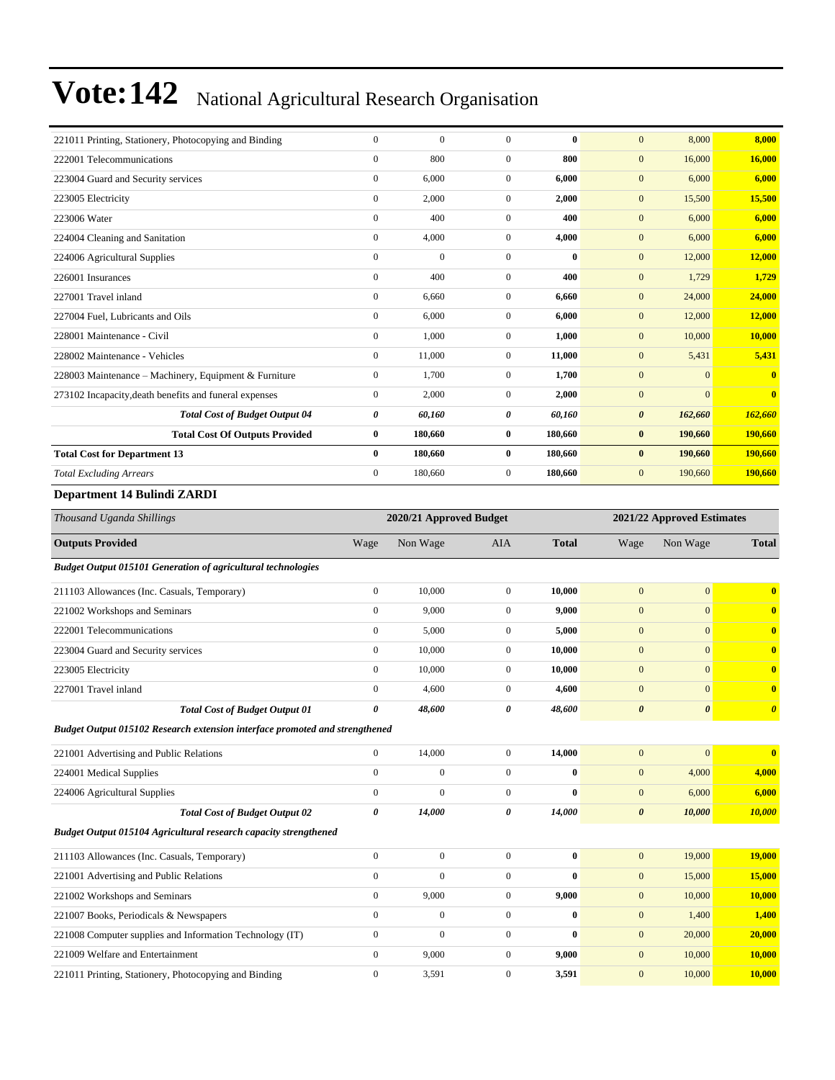| 221011 Printing, Stationery, Photocopying and Binding                       | $\mathbf{0}$     | $\boldsymbol{0}$        | $\boldsymbol{0}$ | $\bf{0}$     | $\mathbf{0}$          | 8,000                      | 8,000                                                                                                  |
|-----------------------------------------------------------------------------|------------------|-------------------------|------------------|--------------|-----------------------|----------------------------|--------------------------------------------------------------------------------------------------------|
| 222001 Telecommunications                                                   | $\boldsymbol{0}$ | 800                     | $\boldsymbol{0}$ | 800          | $\boldsymbol{0}$      | 16,000                     | 16,000                                                                                                 |
| 223004 Guard and Security services                                          | $\boldsymbol{0}$ | 6,000                   | $\overline{0}$   | 6,000        | $\boldsymbol{0}$      | 6,000                      | 6,000                                                                                                  |
| 223005 Electricity                                                          | $\boldsymbol{0}$ | 2,000                   | $\boldsymbol{0}$ | 2,000        | $\boldsymbol{0}$      | 15,500                     | 15,500                                                                                                 |
| 223006 Water                                                                | $\boldsymbol{0}$ | 400                     | $\overline{0}$   | 400          | $\mathbf{0}$          | 6,000                      | 6,000                                                                                                  |
| 224004 Cleaning and Sanitation                                              | $\boldsymbol{0}$ | 4,000                   | $\overline{0}$   | 4,000        | $\mathbf{0}$          | 6,000                      | 6,000                                                                                                  |
| 224006 Agricultural Supplies                                                | $\mathbf{0}$     | $\boldsymbol{0}$        | $\overline{0}$   | $\bf{0}$     | $\mathbf{0}$          | 12,000                     | 12,000                                                                                                 |
| 226001 Insurances                                                           | $\mathbf{0}$     | 400                     | $\overline{0}$   | 400          | $\boldsymbol{0}$      | 1,729                      | 1,729                                                                                                  |
| 227001 Travel inland                                                        | $\boldsymbol{0}$ | 6,660                   | $\boldsymbol{0}$ | 6,660        | $\boldsymbol{0}$      | 24,000                     | 24,000                                                                                                 |
| 227004 Fuel, Lubricants and Oils                                            | $\boldsymbol{0}$ | 6,000                   | $\overline{0}$   | 6,000        | $\mathbf{0}$          | 12,000                     | 12,000                                                                                                 |
| 228001 Maintenance - Civil                                                  | $\boldsymbol{0}$ | 1,000                   | $\mathbf{0}$     | 1,000        | $\mathbf{0}$          | 10,000                     | 10,000                                                                                                 |
| 228002 Maintenance - Vehicles                                               | $\boldsymbol{0}$ | 11,000                  | $\mathbf{0}$     | 11,000       | $\boldsymbol{0}$      | 5,431                      | 5,431                                                                                                  |
| 228003 Maintenance - Machinery, Equipment & Furniture                       | $\boldsymbol{0}$ | 1,700                   | $\overline{0}$   | 1,700        | $\boldsymbol{0}$      | $\mathbf{0}$               | $\bf{0}$                                                                                               |
| 273102 Incapacity, death benefits and funeral expenses                      | $\boldsymbol{0}$ | 2,000                   | $\boldsymbol{0}$ | 2,000        | $\mathbf{0}$          | $\mathbf{0}$               | $\bf{0}$                                                                                               |
| <b>Total Cost of Budget Output 04</b>                                       | 0                | 60,160                  | 0                | 60,160       | $\pmb{\theta}$        | 162,660                    | 162,660                                                                                                |
| <b>Total Cost Of Outputs Provided</b>                                       | $\bf{0}$         | 180,660                 | $\bf{0}$         | 180,660      | $\bf{0}$              | 190,660                    | 190,660                                                                                                |
| <b>Total Cost for Department 13</b>                                         | $\bf{0}$         | 180,660                 | $\bf{0}$         | 180,660      | $\bf{0}$              | 190,660                    | 190,660                                                                                                |
| <b>Total Excluding Arrears</b>                                              | $\boldsymbol{0}$ | 180,660                 | $\boldsymbol{0}$ | 180,660      | $\mathbf{0}$          | 190,660                    | 190,660                                                                                                |
| Department 14 Bulindi ZARDI                                                 |                  |                         |                  |              |                       |                            |                                                                                                        |
| Thousand Uganda Shillings                                                   |                  | 2020/21 Approved Budget |                  |              |                       | 2021/22 Approved Estimates |                                                                                                        |
| <b>Outputs Provided</b>                                                     | Wage             | Non Wage                | AIA              | <b>Total</b> | Wage                  | Non Wage                   | <b>Total</b>                                                                                           |
| <b>Budget Output 015101 Generation of agricultural technologies</b>         |                  |                         |                  |              |                       |                            |                                                                                                        |
| 211103 Allowances (Inc. Casuals, Temporary)                                 | $\boldsymbol{0}$ | 10,000                  | $\boldsymbol{0}$ | 10,000       | $\mathbf{0}$          | $\boldsymbol{0}$           | $\bf{0}$                                                                                               |
| 221002 Workshops and Seminars                                               | $\boldsymbol{0}$ | 9,000                   | $\overline{0}$   | 9,000        | $\mathbf{0}$          | $\mathbf{0}$               | $\mathbf{0}$                                                                                           |
| 222001 Telecommunications                                                   | $\boldsymbol{0}$ | 5,000                   | $\mathbf{0}$     | 5,000        | $\mathbf{0}$          |                            |                                                                                                        |
| 223004 Guard and Security services                                          | $\boldsymbol{0}$ |                         |                  |              |                       | $\mathbf{0}$               |                                                                                                        |
| 223005 Electricity                                                          |                  | 10,000                  | $\mathbf{0}$     | 10,000       | $\boldsymbol{0}$      | $\mathbf{0}$               |                                                                                                        |
|                                                                             | $\boldsymbol{0}$ | 10,000                  | $\mathbf{0}$     | 10,000       | $\boldsymbol{0}$      | $\mathbf{0}$               |                                                                                                        |
| 227001 Travel inland                                                        | $\mathbf{0}$     | 4,600                   | $\boldsymbol{0}$ | 4,600        | $\mathbf{0}$          | $\mathbf{0}$               |                                                                                                        |
| <b>Total Cost of Budget Output 01</b>                                       | 0                | 48,600                  | 0                | 48,600       | $\boldsymbol{\theta}$ | $\boldsymbol{\theta}$      |                                                                                                        |
| Budget Output 015102 Research extension interface promoted and strengthened |                  |                         |                  |              |                       |                            |                                                                                                        |
| 221001 Advertising and Public Relations                                     | $\boldsymbol{0}$ | 14,000                  | $\overline{0}$   | 14.000       | $\mathbf{0}$          | $\boldsymbol{0}$           |                                                                                                        |
| 224001 Medical Supplies                                                     | $\boldsymbol{0}$ | $\boldsymbol{0}$        | $\boldsymbol{0}$ | $\bf{0}$     | $\boldsymbol{0}$      | 4,000                      | $\mathbf{0}$<br>$\mathbf{0}$<br>$\mathbf{0}$<br>$\bf{0}$<br>$\boldsymbol{\theta}$<br>$\bf{0}$<br>4,000 |
| 224006 Agricultural Supplies                                                | $\boldsymbol{0}$ | $\boldsymbol{0}$        | $\boldsymbol{0}$ | $\bf{0}$     | $\boldsymbol{0}$      | 6,000                      | 6,000                                                                                                  |
| <b>Total Cost of Budget Output 02</b>                                       | $\pmb{\theta}$   | 14,000                  | 0                | 14,000       | $\boldsymbol{\theta}$ | 10,000                     | 10,000                                                                                                 |
| Budget Output 015104 Agricultural research capacity strengthened            |                  |                         |                  |              |                       |                            |                                                                                                        |
| 211103 Allowances (Inc. Casuals, Temporary)                                 | $\mathbf{0}$     | $\boldsymbol{0}$        | $\boldsymbol{0}$ | $\bf{0}$     | $\mathbf{0}$          | 19,000                     | 19,000                                                                                                 |
| 221001 Advertising and Public Relations                                     | $\boldsymbol{0}$ | $\boldsymbol{0}$        | $\boldsymbol{0}$ | $\bf{0}$     | $\mathbf{0}$          | 15,000                     | 15,000                                                                                                 |
| 221002 Workshops and Seminars                                               | $\boldsymbol{0}$ | 9,000                   | $\boldsymbol{0}$ | 9,000        | $\mathbf{0}$          | 10,000                     | 10,000                                                                                                 |
| 221007 Books, Periodicals & Newspapers                                      | $\boldsymbol{0}$ | $\boldsymbol{0}$        | $\boldsymbol{0}$ | $\bf{0}$     | $\mathbf{0}$          | 1,400                      | 1,400                                                                                                  |
| 221008 Computer supplies and Information Technology (IT)                    | $\boldsymbol{0}$ | $\boldsymbol{0}$        | $\boldsymbol{0}$ | $\bf{0}$     | $\mathbf{0}$          | 20,000                     | 20,000                                                                                                 |
| 221009 Welfare and Entertainment                                            | $\boldsymbol{0}$ | 9,000                   | $\boldsymbol{0}$ | 9,000        | $\mathbf{0}$          | 10,000                     | 10,000                                                                                                 |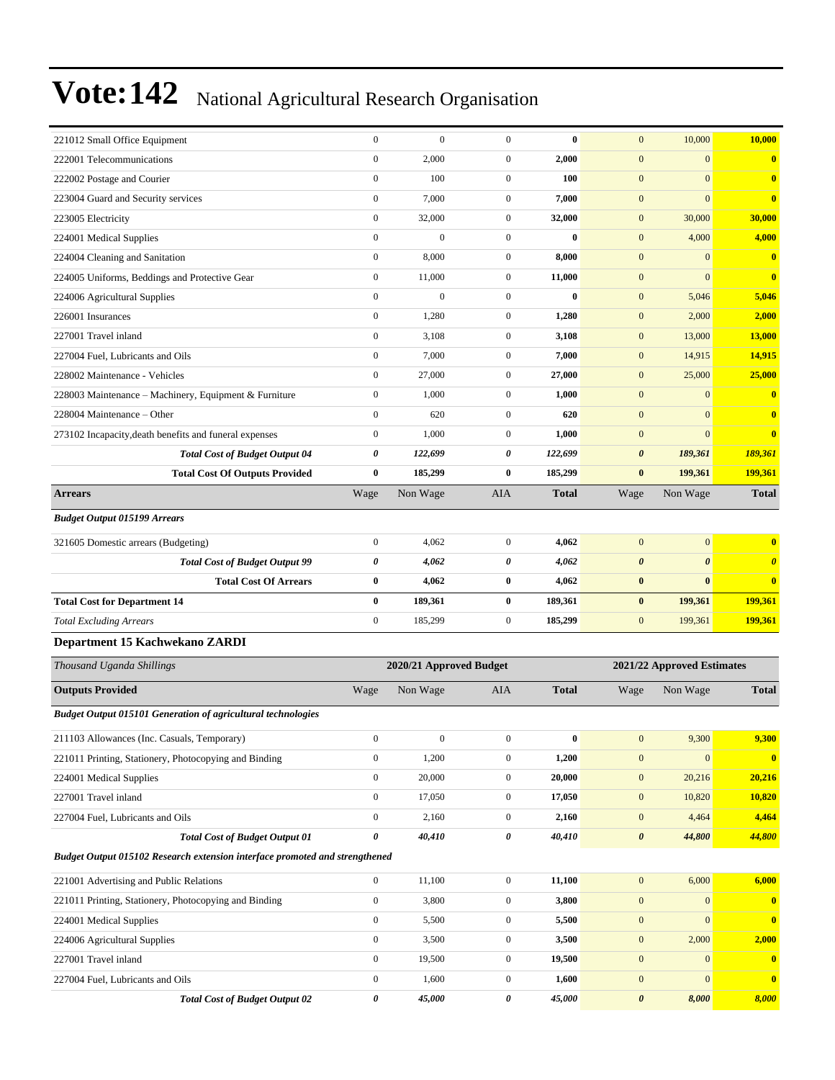| 221012 Small Office Equipment                                               | $\boldsymbol{0}$ | $\mathbf{0}$            | $\mathbf{0}$     | $\bf{0}$     | $\mathbf{0}$          | 10,000                     | 10,000                  |
|-----------------------------------------------------------------------------|------------------|-------------------------|------------------|--------------|-----------------------|----------------------------|-------------------------|
| 222001 Telecommunications                                                   | $\boldsymbol{0}$ | 2,000                   | $\boldsymbol{0}$ | 2,000        | $\boldsymbol{0}$      | $\mathbf{0}$               | $\bf{0}$                |
| 222002 Postage and Courier                                                  | $\boldsymbol{0}$ | 100                     | $\mathbf{0}$     | 100          | $\boldsymbol{0}$      | $\mathbf{0}$               | $\mathbf{0}$            |
| 223004 Guard and Security services                                          | $\boldsymbol{0}$ | 7,000                   | $\boldsymbol{0}$ | 7,000        | $\boldsymbol{0}$      | $\overline{0}$             | $\bf{0}$                |
| 223005 Electricity                                                          | $\boldsymbol{0}$ | 32,000                  | $\mathbf{0}$     | 32,000       | $\boldsymbol{0}$      | 30,000                     | 30,000                  |
| 224001 Medical Supplies                                                     | $\boldsymbol{0}$ | $\mathbf{0}$            | $\boldsymbol{0}$ | $\bf{0}$     | $\boldsymbol{0}$      | 4,000                      | 4,000                   |
| 224004 Cleaning and Sanitation                                              | $\boldsymbol{0}$ | 8,000                   | $\boldsymbol{0}$ | 8,000        | $\boldsymbol{0}$      | $\mathbf{0}$               | $\bf{0}$                |
| 224005 Uniforms, Beddings and Protective Gear                               | $\boldsymbol{0}$ | 11,000                  | $\boldsymbol{0}$ | 11,000       | $\boldsymbol{0}$      | $\mathbf{0}$               | $\bf{0}$                |
| 224006 Agricultural Supplies                                                | $\boldsymbol{0}$ | $\boldsymbol{0}$        | $\boldsymbol{0}$ | $\bf{0}$     | $\boldsymbol{0}$      | 5,046                      | 5,046                   |
| 226001 Insurances                                                           | $\boldsymbol{0}$ | 1,280                   | $\mathbf{0}$     | 1,280        | $\mathbf{0}$          | 2,000                      | 2,000                   |
| 227001 Travel inland                                                        | $\boldsymbol{0}$ | 3,108                   | $\mathbf{0}$     | 3,108        | $\boldsymbol{0}$      | 13,000                     | 13,000                  |
| 227004 Fuel, Lubricants and Oils                                            | $\boldsymbol{0}$ | 7,000                   | $\boldsymbol{0}$ | 7,000        | $\boldsymbol{0}$      | 14,915                     | 14,915                  |
| 228002 Maintenance - Vehicles                                               | $\boldsymbol{0}$ | 27,000                  | $\mathbf{0}$     | 27,000       | $\boldsymbol{0}$      | 25,000                     | 25,000                  |
| 228003 Maintenance - Machinery, Equipment & Furniture                       | $\boldsymbol{0}$ | 1,000                   | $\boldsymbol{0}$ | 1,000        | $\boldsymbol{0}$      | $\mathbf{0}$               | $\bf{0}$                |
| 228004 Maintenance - Other                                                  | $\boldsymbol{0}$ | 620                     | $\mathbf{0}$     | 620          | $\boldsymbol{0}$      | $\mathbf{0}$               | $\mathbf{0}$            |
| 273102 Incapacity, death benefits and funeral expenses                      | $\boldsymbol{0}$ | 1,000                   | $\boldsymbol{0}$ | 1,000        | $\mathbf{0}$          | $\mathbf{0}$               | $\overline{\mathbf{0}}$ |
| <b>Total Cost of Budget Output 04</b>                                       | 0                | 122,699                 | 0                | 122,699      | $\pmb{\theta}$        | 189,361                    | 189,361                 |
| <b>Total Cost Of Outputs Provided</b>                                       | $\bf{0}$         | 185,299                 | $\bf{0}$         | 185,299      | $\bf{0}$              | 199,361                    | 199,361                 |
| <b>Arrears</b>                                                              | Wage             | Non Wage                | AIA              | <b>Total</b> | Wage                  | Non Wage                   | <b>Total</b>            |
| <b>Budget Output 015199 Arrears</b>                                         |                  |                         |                  |              |                       |                            |                         |
| 321605 Domestic arrears (Budgeting)                                         | $\boldsymbol{0}$ | 4,062                   | $\boldsymbol{0}$ | 4,062        | $\boldsymbol{0}$      | $\mathbf{0}$               | $\bf{0}$                |
| <b>Total Cost of Budget Output 99</b>                                       | 0                | 4,062                   | 0                | 4,062        | $\boldsymbol{\theta}$ | $\boldsymbol{\theta}$      | $\boldsymbol{\theta}$   |
| <b>Total Cost Of Arrears</b>                                                | $\bf{0}$         | 4,062                   | $\bf{0}$         | 4,062        | $\bf{0}$              | $\bf{0}$                   | $\bf{0}$                |
| <b>Total Cost for Department 14</b>                                         | $\bf{0}$         | 189,361                 | $\bf{0}$         | 189,361      | $\bf{0}$              | 199,361                    | 199,361                 |
| <b>Total Excluding Arrears</b>                                              | $\boldsymbol{0}$ | 185,299                 | $\boldsymbol{0}$ | 185,299      | $\mathbf{0}$          | 199,361                    | 199,361                 |
| Department 15 Kachwekano ZARDI                                              |                  |                         |                  |              |                       |                            |                         |
| Thousand Uganda Shillings                                                   |                  | 2020/21 Approved Budget |                  |              |                       | 2021/22 Approved Estimates |                         |
| <b>Outputs Provided</b>                                                     | Wage             | Non Wage                | AIA              | <b>Total</b> | Wage                  | Non Wage                   | <b>Total</b>            |
| <b>Budget Output 015101 Generation of agricultural technologies</b>         |                  |                         |                  |              |                       |                            |                         |
| 211103 Allowances (Inc. Casuals, Temporary)                                 | $\boldsymbol{0}$ | $\Omega$                | $\boldsymbol{0}$ | 0            | $\boldsymbol{0}$      | 9,300                      | 9,300                   |
| 221011 Printing, Stationery, Photocopying and Binding                       | $\boldsymbol{0}$ | 1,200                   | $\boldsymbol{0}$ | 1,200        | $\boldsymbol{0}$      | $\mathbf{0}$               | $\bf{0}$                |
| 224001 Medical Supplies                                                     | $\boldsymbol{0}$ | 20,000                  | $\boldsymbol{0}$ | 20,000       | $\mathbf{0}$          | 20,216                     | 20,216                  |
| 227001 Travel inland                                                        | $\boldsymbol{0}$ | 17,050                  | $\boldsymbol{0}$ | 17,050       | $\boldsymbol{0}$      | 10,820                     | 10,820                  |
| 227004 Fuel, Lubricants and Oils                                            | $\boldsymbol{0}$ | 2,160                   | $\boldsymbol{0}$ | 2,160        | $\mathbf{0}$          | 4,464                      | 4,464                   |
| <b>Total Cost of Budget Output 01</b>                                       | 0                | 40,410                  | 0                | 40,410       | $\boldsymbol{\theta}$ | 44,800                     | 44,800                  |
| Budget Output 015102 Research extension interface promoted and strengthened |                  |                         |                  |              |                       |                            |                         |
| 221001 Advertising and Public Relations                                     | $\boldsymbol{0}$ | 11,100                  | $\boldsymbol{0}$ | 11,100       | $\boldsymbol{0}$      | 6,000                      | 6,000                   |
| 221011 Printing, Stationery, Photocopying and Binding                       | $\boldsymbol{0}$ | 3,800                   | 0                | 3,800        | $\boldsymbol{0}$      | $\mathbf{0}$               | $\bf{0}$                |
| 224001 Medical Supplies                                                     | $\boldsymbol{0}$ | 5,500                   | $\boldsymbol{0}$ | 5,500        | $\boldsymbol{0}$      | $\mathbf{0}$               | $\bf{0}$                |
| 224006 Agricultural Supplies                                                | $\boldsymbol{0}$ | 3,500                   | $\boldsymbol{0}$ | 3,500        | $\boldsymbol{0}$      | 2,000                      | 2,000                   |
| 227001 Travel inland                                                        |                  |                         |                  | 19,500       | $\boldsymbol{0}$      | $\mathbf{0}$               | $\bf{0}$                |
|                                                                             | $\boldsymbol{0}$ | 19,500                  | $\boldsymbol{0}$ |              |                       |                            |                         |
| 227004 Fuel, Lubricants and Oils                                            | $\boldsymbol{0}$ | 1,600                   | $\boldsymbol{0}$ | 1,600        | $\boldsymbol{0}$      | $\mathbf{0}$               | $\mathbf{0}$            |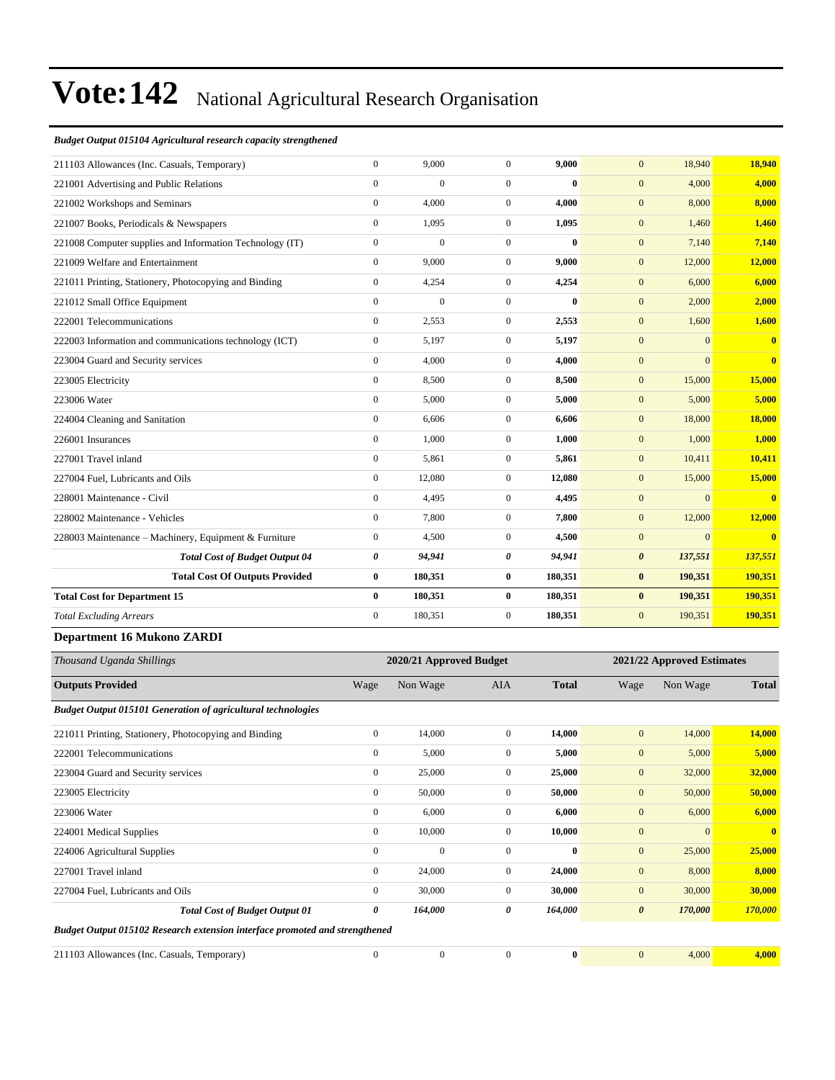#### *Budget Output 015104 Agricultural research capacity strengthened*

| <b>Outputs Provided</b>                               |                                                          | Wage                  | Non Wage                | AIA            | <b>Total</b> | Wage                  | Non Wage                   | <b>Total</b>            |
|-------------------------------------------------------|----------------------------------------------------------|-----------------------|-------------------------|----------------|--------------|-----------------------|----------------------------|-------------------------|
| Thousand Uganda Shillings                             |                                                          |                       | 2020/21 Approved Budget |                |              |                       | 2021/22 Approved Estimates |                         |
| <b>Department 16 Mukono ZARDI</b>                     |                                                          |                       |                         |                |              |                       |                            |                         |
| <b>Total Excluding Arrears</b>                        |                                                          | $\mathbf{0}$          | 180,351                 | $\overline{0}$ | 180,351      | $\mathbf{0}$          | 190,351                    | 190,351                 |
| <b>Total Cost for Department 15</b>                   |                                                          | $\bf{0}$              | 180,351                 | $\bf{0}$       | 180,351      | $\bf{0}$              | 190,351                    | 190,351                 |
|                                                       | <b>Total Cost Of Outputs Provided</b>                    | $\bf{0}$              | 180,351                 | $\bf{0}$       | 180,351      | $\bf{0}$              | 190,351                    | 190,351                 |
|                                                       | <b>Total Cost of Budget Output 04</b>                    | $\boldsymbol{\theta}$ | 94,941                  | 0              | 94,941       | $\boldsymbol{\theta}$ | 137,551                    | 137,551                 |
|                                                       | 228003 Maintenance - Machinery, Equipment & Furniture    | $\mathbf{0}$          | 4,500                   | $\overline{0}$ | 4,500        | $\mathbf{0}$          | $\mathbf{0}$               | $\overline{\mathbf{0}}$ |
| 228002 Maintenance - Vehicles                         |                                                          | $\mathbf{0}$          | 7,800                   | $\overline{0}$ | 7,800        | $\mathbf{0}$          | 12,000                     | 12,000                  |
| 228001 Maintenance - Civil                            |                                                          | $\mathbf{0}$          | 4,495                   | $\overline{0}$ | 4,495        | $\mathbf{0}$          | $\Omega$                   | $\overline{0}$          |
| 227004 Fuel, Lubricants and Oils                      |                                                          | $\mathbf{0}$          | 12,080                  | $\overline{0}$ | 12,080       | $\mathbf{0}$          | 15,000                     | 15,000                  |
| 227001 Travel inland                                  |                                                          | $\mathbf{0}$          | 5,861                   | $\overline{0}$ | 5,861        | $\mathbf{0}$          | 10,411                     | 10,411                  |
| 226001 Insurances                                     |                                                          | $\mathbf{0}$          | 1,000                   | $\overline{0}$ | 1,000        | $\mathbf{0}$          | 1,000                      | 1,000                   |
| 224004 Cleaning and Sanitation                        |                                                          | $\mathbf{0}$          | 6,606                   | $\overline{0}$ | 6,606        | $\mathbf{0}$          | 18,000                     | <b>18,000</b>           |
| 223006 Water                                          |                                                          | $\mathbf{0}$          | 5,000                   | $\overline{0}$ | 5,000        | $\mathbf{0}$          | 5,000                      | 5,000                   |
| 223005 Electricity                                    |                                                          | $\mathbf{0}$          | 8,500                   | $\overline{0}$ | 8,500        | $\mathbf{0}$          | 15,000                     | 15,000                  |
| 223004 Guard and Security services                    |                                                          | $\mathbf{0}$          | 4,000                   | $\overline{0}$ | 4,000        | $\mathbf{0}$          | $\mathbf{0}$               | $\mathbf{0}$            |
|                                                       | 222003 Information and communications technology (ICT)   | $\mathbf{0}$          | 5,197                   | $\overline{0}$ | 5,197        | $\mathbf{0}$          | $\mathbf{0}$               | $\mathbf{0}$            |
| 222001 Telecommunications                             |                                                          | $\mathbf{0}$          | 2,553                   | $\overline{0}$ | 2,553        | $\mathbf{0}$          | 1,600                      | 1,600                   |
| 221012 Small Office Equipment                         |                                                          | $\mathbf{0}$          | $\overline{0}$          | $\overline{0}$ | $\bf{0}$     | $\mathbf{0}$          | 2,000                      | 2,000                   |
| 221011 Printing, Stationery, Photocopying and Binding |                                                          | $\mathbf{0}$          | 4,254                   | $\overline{0}$ | 4,254        | $\mathbf{0}$          | 6,000                      | 6,000                   |
| 221009 Welfare and Entertainment                      |                                                          | $\mathbf{0}$          | 9,000                   | $\overline{0}$ | 9,000        | $\mathbf{0}$          | 12,000                     | 12,000                  |
|                                                       | 221008 Computer supplies and Information Technology (IT) | $\boldsymbol{0}$      | $\overline{0}$          | $\overline{0}$ | $\bf{0}$     | $\mathbf{0}$          | 7,140                      | 7,140                   |
| 221007 Books, Periodicals & Newspapers                |                                                          | $\mathbf{0}$          | 1,095                   | $\overline{0}$ | 1,095        | $\mathbf{0}$          | 1,460                      | 1,460                   |
| 221002 Workshops and Seminars                         |                                                          | $\overline{0}$        | 4,000                   | $\overline{0}$ | 4,000        | $\mathbf{0}$          | 8,000                      | 8,000                   |
| 221001 Advertising and Public Relations               |                                                          | $\boldsymbol{0}$      | $\overline{0}$          | $\overline{0}$ | $\bf{0}$     | $\mathbf{0}$          | 4,000                      | 4,000                   |
| 211103 Allowances (Inc. Casuals, Temporary)           |                                                          | $\mathbf{0}$          | 9,000                   | $\overline{0}$ | 9,000        | $\mathbf{0}$          | 18,940                     | 18,940                  |

| <b>Budget Output 015101 Generation of agricultural technologies</b>         |              |              |                |          |                       |          |              |
|-----------------------------------------------------------------------------|--------------|--------------|----------------|----------|-----------------------|----------|--------------|
| 221011 Printing, Stationery, Photocopying and Binding                       | $\mathbf{0}$ | 14,000       | $\overline{0}$ | 14,000   | $\mathbf{0}$          | 14,000   | 14,000       |
| 222001 Telecommunications                                                   | $\mathbf{0}$ | 5,000        | $\overline{0}$ | 5,000    | $\mathbf{0}$          | 5,000    | 5,000        |
| 223004 Guard and Security services                                          | $\mathbf{0}$ | 25,000       | $\overline{0}$ | 25,000   | $\mathbf{0}$          | 32,000   | 32,000       |
| 223005 Electricity                                                          | $\mathbf{0}$ | 50,000       | $\overline{0}$ | 50,000   | $\mathbf{0}$          | 50,000   | 50,000       |
| 223006 Water                                                                | $\mathbf{0}$ | 6,000        | $\overline{0}$ | 6,000    | $\mathbf{0}$          | 6,000    | 6,000        |
| 224001 Medical Supplies                                                     | $\mathbf{0}$ | 10,000       | $\overline{0}$ | 10,000   | $\mathbf{0}$          | $\Omega$ | $\mathbf{0}$ |
| 224006 Agricultural Supplies                                                | $\mathbf{0}$ | $\mathbf{0}$ | $\mathbf{0}$   | $\bf{0}$ | $\mathbf{0}$          | 25,000   | 25,000       |
| 227001 Travel inland                                                        | $\mathbf{0}$ | 24,000       | $\overline{0}$ | 24,000   | $\mathbf{0}$          | 8,000    | 8,000        |
| 227004 Fuel, Lubricants and Oils                                            | $\mathbf{0}$ | 30,000       | $\overline{0}$ | 30,000   | $\mathbf{0}$          | 30,000   | 30,000       |
| <b>Total Cost of Budget Output 01</b>                                       | 0            | 164,000      | 0              | 164,000  | $\boldsymbol{\theta}$ | 170,000  | 170,000      |
| Budget Output 015102 Research extension interface promoted and strengthened |              |              |                |          |                       |          |              |
| 211103 Allowances (Inc. Casuals, Temporary)                                 | $\mathbf{0}$ | $\mathbf{0}$ | $\mathbf{0}$   | $\bf{0}$ | $\mathbf{0}$          | 4,000    | 4,000        |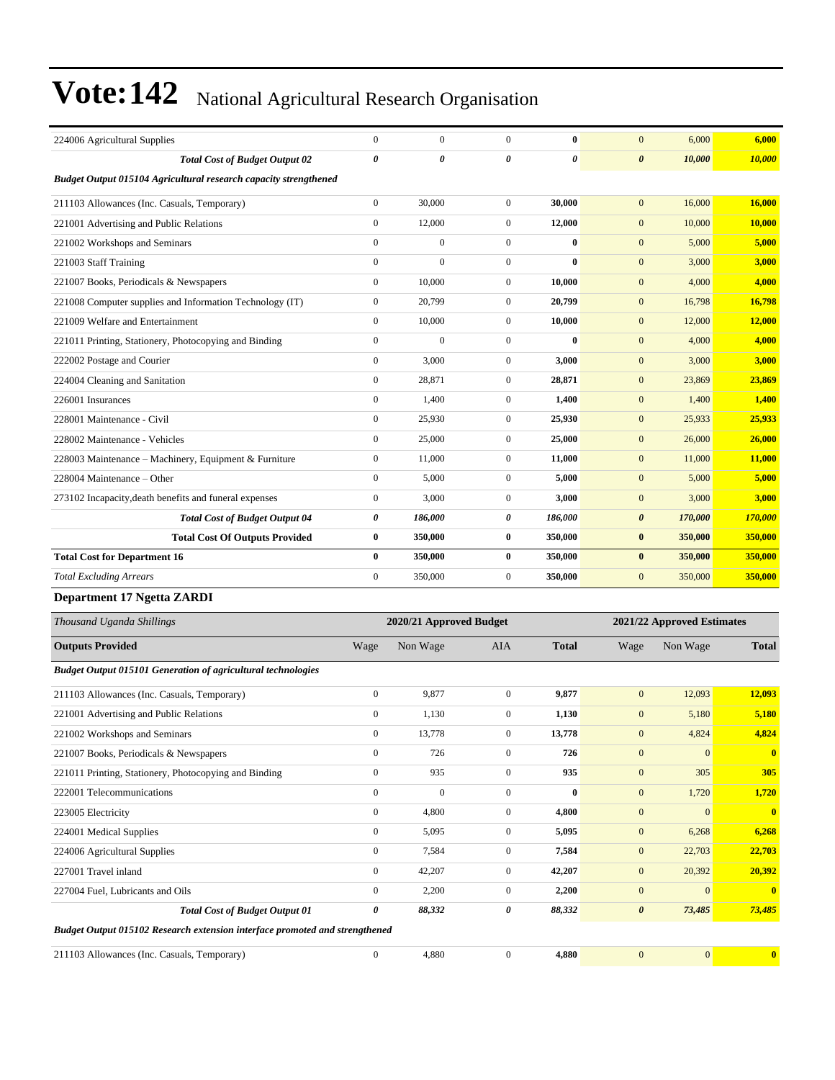| 224006 Agricultural Supplies                                     | $\mathbf{0}$     | $\mathbf{0}$   | $\Omega$         | 0        | 6,000<br>$\mathbf{0}$            | 6,000   |
|------------------------------------------------------------------|------------------|----------------|------------------|----------|----------------------------------|---------|
| <b>Total Cost of Budget Output 02</b>                            | $\theta$         | 0              | 0                | $\theta$ | 10,000<br>$\boldsymbol{\theta}$  | 10,000  |
| Budget Output 015104 Agricultural research capacity strengthened |                  |                |                  |          |                                  |         |
| 211103 Allowances (Inc. Casuals, Temporary)                      | $\mathbf{0}$     | 30,000         | $\overline{0}$   | 30,000   | $\mathbf{0}$<br>16,000           | 16,000  |
| 221001 Advertising and Public Relations                          | $\mathbf{0}$     | 12,000         | $\overline{0}$   | 12,000   | 10,000<br>$\mathbf{0}$           | 10,000  |
| 221002 Workshops and Seminars                                    | $\mathbf{0}$     | $\overline{0}$ | $\overline{0}$   | $\bf{0}$ | $\mathbf{0}$<br>5,000            | 5,000   |
| 221003 Staff Training                                            | $\mathbf{0}$     | $\overline{0}$ | $\mathbf{0}$     | $\bf{0}$ | $\mathbf{0}$<br>3,000            | 3,000   |
| 221007 Books, Periodicals & Newspapers                           | $\mathbf{0}$     | 10,000         | $\mathbf{0}$     | 10,000   | $\mathbf{0}$<br>4,000            | 4,000   |
| 221008 Computer supplies and Information Technology (IT)         | $\boldsymbol{0}$ | 20,799         | $\boldsymbol{0}$ | 20,799   | 16,798<br>$\mathbf{0}$           | 16,798  |
| 221009 Welfare and Entertainment                                 | $\overline{0}$   | 10,000         | $\overline{0}$   | 10,000   | 12,000<br>$\mathbf{0}$           | 12,000  |
| 221011 Printing, Stationery, Photocopying and Binding            | $\mathbf{0}$     | $\overline{0}$ | $\mathbf{0}$     | $\bf{0}$ | $\mathbf{0}$<br>4,000            | 4,000   |
| 222002 Postage and Courier                                       | $\mathbf{0}$     | 3,000          | $\mathbf{0}$     | 3,000    | 3,000<br>$\mathbf{0}$            | 3,000   |
| 224004 Cleaning and Sanitation                                   | $\mathbf{0}$     | 28,871         | $\mathbf{0}$     | 28.871   | $\mathbf{0}$<br>23,869           | 23,869  |
| 226001 Insurances                                                | $\mathbf{0}$     | 1.400          | $\overline{0}$   | 1,400    | $\mathbf{0}$<br>1,400            | 1,400   |
| 228001 Maintenance - Civil                                       | $\overline{0}$   | 25,930         | $\overline{0}$   | 25,930   | $\mathbf{0}$<br>25,933           | 25,933  |
| 228002 Maintenance - Vehicles                                    | $\mathbf{0}$     | 25,000         | $\overline{0}$   | 25,000   | 26,000<br>$\mathbf{0}$           | 26,000  |
| 228003 Maintenance - Machinery, Equipment & Furniture            | $\boldsymbol{0}$ | 11,000         | $\overline{0}$   | 11,000   | $\mathbf{0}$<br>11,000           | 11,000  |
| 228004 Maintenance – Other                                       | $\mathbf{0}$     | 5,000          | $\mathbf{0}$     | 5,000    | 5,000<br>$\mathbf{0}$            | 5,000   |
| 273102 Incapacity, death benefits and funeral expenses           | $\overline{0}$   | 3,000          | $\overline{0}$   | 3,000    | 3,000<br>$\mathbf{0}$            | 3,000   |
| <b>Total Cost of Budget Output 04</b>                            | 0                | 186,000        | 0                | 186,000  | 170,000<br>$\boldsymbol{\theta}$ | 170,000 |
| <b>Total Cost Of Outputs Provided</b>                            | $\bf{0}$         | 350,000        | $\bf{0}$         | 350,000  | 350,000<br>$\bf{0}$              | 350,000 |
| <b>Total Cost for Department 16</b>                              | $\bf{0}$         | 350,000        | $\bf{0}$         | 350,000  | $\bf{0}$<br>350,000              | 350,000 |
| <b>Total Excluding Arrears</b>                                   | $\mathbf{0}$     | 350,000        | $\mathbf{0}$     | 350,000  | $\mathbf{0}$<br>350,000          | 350,000 |
|                                                                  |                  |                |                  |          |                                  |         |

#### **Department 17 Ngetta ZARDI**

| Thousand Uganda Shillings                                                   |                  | 2020/21 Approved Budget |                  |              | 2021/22 Approved Estimates |              |              |  |
|-----------------------------------------------------------------------------|------------------|-------------------------|------------------|--------------|----------------------------|--------------|--------------|--|
| <b>Outputs Provided</b>                                                     | Wage             | Non Wage                | <b>AIA</b>       | <b>Total</b> | Wage                       | Non Wage     | <b>Total</b> |  |
| <b>Budget Output 015101 Generation of agricultural technologies</b>         |                  |                         |                  |              |                            |              |              |  |
| 211103 Allowances (Inc. Casuals, Temporary)                                 | $\overline{0}$   | 9,877                   | $\mathbf{0}$     | 9,877        | $\mathbf{0}$               | 12,093       | 12,093       |  |
| 221001 Advertising and Public Relations                                     | 0                | 1,130                   | $\mathbf{0}$     | 1,130        | $\mathbf{0}$               | 5,180        | 5,180        |  |
| 221002 Workshops and Seminars                                               | $\boldsymbol{0}$ | 13,778                  | $\boldsymbol{0}$ | 13,778       | $\mathbf{0}$               | 4,824        | 4,824        |  |
| 221007 Books, Periodicals & Newspapers                                      | $\mathbf{0}$     | 726                     | $\mathbf{0}$     | 726          | $\mathbf{0}$               | $\mathbf{0}$ |              |  |
| 221011 Printing, Stationery, Photocopying and Binding                       | 0                | 935                     | $\mathbf{0}$     | 935          | $\mathbf{0}$               | 305          | 305          |  |
| 222001 Telecommunications                                                   | $\overline{0}$   | $\mathbf{0}$            | $\mathbf{0}$     | $\bf{0}$     | $\mathbf{0}$               | 1,720        | 1,720        |  |
| 223005 Electricity                                                          | $\overline{0}$   | 4,800                   | $\mathbf{0}$     | 4,800        | $\overline{0}$             | $\Omega$     | $\mathbf{0}$ |  |
| 224001 Medical Supplies                                                     | $\overline{0}$   | 5,095                   | $\mathbf{0}$     | 5,095        | $\mathbf{0}$               | 6,268        | 6,268        |  |
| 224006 Agricultural Supplies                                                | $\overline{0}$   | 7,584                   | $\mathbf{0}$     | 7,584        | $\mathbf{0}$               | 22,703       | 22,703       |  |
| 227001 Travel inland                                                        | $\overline{0}$   | 42,207                  | $\mathbf{0}$     | 42,207       | $\mathbf{0}$               | 20,392       | 20,392       |  |
| 227004 Fuel, Lubricants and Oils                                            | $\mathbf{0}$     | 2,200                   | $\mathbf{0}$     | 2,200        | $\mathbf{0}$               | $\mathbf{0}$ |              |  |
| <b>Total Cost of Budget Output 01</b>                                       | 0                | 88,332                  | 0                | 88,332       | $\boldsymbol{\theta}$      | 73,485       | 73,485       |  |
| Budget Output 015102 Research extension interface promoted and strengthened |                  |                         |                  |              |                            |              |              |  |
| 211103 Allowances (Inc. Casuals, Temporary)                                 | $\Omega$         | 4,880                   | $\Omega$         | 4,880        | $\Omega$                   | $\mathbf{0}$ | $\mathbf{0}$ |  |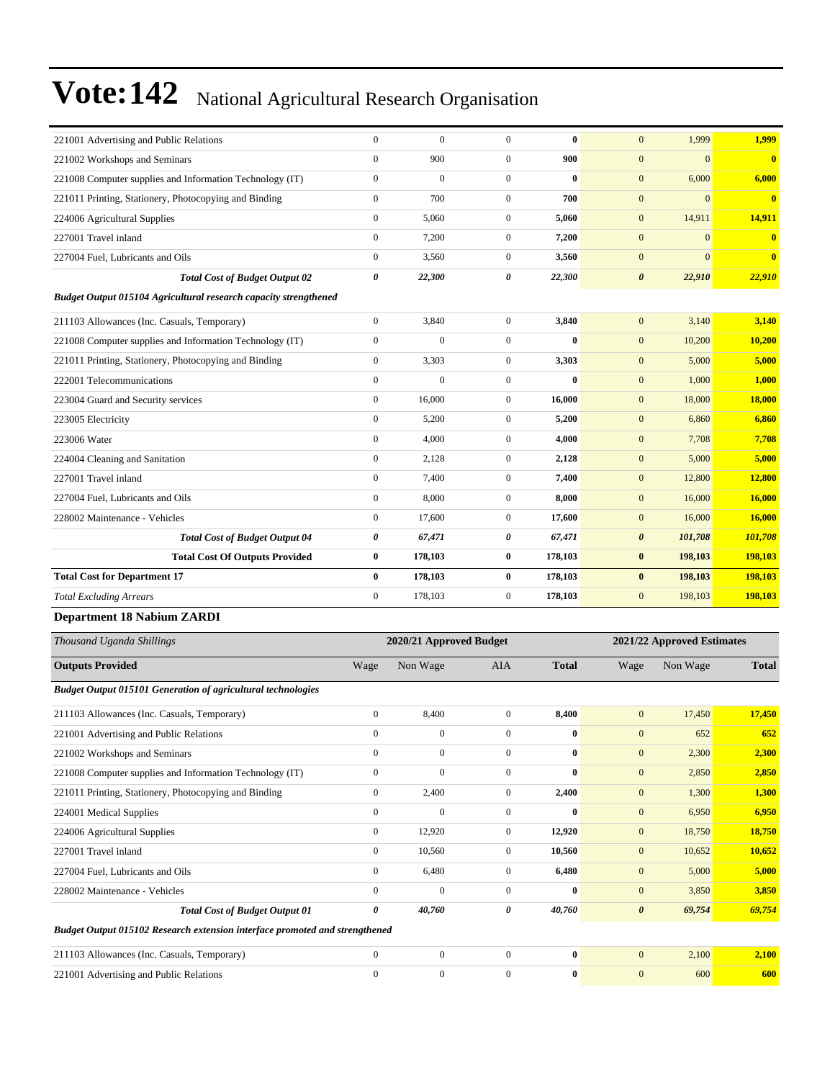| 221001 Advertising and Public Relations                                     | $\boldsymbol{0}$ | $\boldsymbol{0}$        | $\boldsymbol{0}$ | $\bf{0}$     | $\mathbf{0}$          | 1,999                      | 1,999         |
|-----------------------------------------------------------------------------|------------------|-------------------------|------------------|--------------|-----------------------|----------------------------|---------------|
| 221002 Workshops and Seminars                                               | $\mathbf{0}$     | 900                     | $\boldsymbol{0}$ | 900          | $\mathbf{0}$          | $\overline{0}$             | $\bf{0}$      |
| 221008 Computer supplies and Information Technology (IT)                    | $\mathbf{0}$     | $\boldsymbol{0}$        | $\boldsymbol{0}$ | $\bf{0}$     | $\mathbf{0}$          | 6,000                      | 6,000         |
| 221011 Printing, Stationery, Photocopying and Binding                       | $\mathbf{0}$     | 700                     | $\boldsymbol{0}$ | 700          | $\mathbf{0}$          | $\overline{0}$             | $\bf{0}$      |
| 224006 Agricultural Supplies                                                | $\mathbf{0}$     | 5,060                   | $\boldsymbol{0}$ | 5,060        | $\boldsymbol{0}$      | 14,911                     | 14,911        |
| 227001 Travel inland                                                        | $\boldsymbol{0}$ | 7,200                   | $\boldsymbol{0}$ | 7,200        | $\boldsymbol{0}$      | $\overline{0}$             | $\bf{0}$      |
| 227004 Fuel, Lubricants and Oils                                            | $\boldsymbol{0}$ | 3,560                   | $\boldsymbol{0}$ | 3,560        | $\mathbf{0}$          | $\overline{0}$             | $\bf{0}$      |
| <b>Total Cost of Budget Output 02</b>                                       | 0                | 22,300                  | 0                | 22,300       | $\pmb{\theta}$        | 22,910                     | 22,910        |
| <b>Budget Output 015104 Agricultural research capacity strengthened</b>     |                  |                         |                  |              |                       |                            |               |
| 211103 Allowances (Inc. Casuals, Temporary)                                 | $\mathbf{0}$     | 3,840                   | $\boldsymbol{0}$ | 3,840        | $\mathbf{0}$          | 3,140                      | 3,140         |
| 221008 Computer supplies and Information Technology (IT)                    | $\boldsymbol{0}$ | $\mathbf{0}$            | $\boldsymbol{0}$ | $\bf{0}$     | $\mathbf{0}$          | 10,200                     | 10,200        |
| 221011 Printing, Stationery, Photocopying and Binding                       | $\boldsymbol{0}$ | 3,303                   | $\boldsymbol{0}$ | 3,303        | $\mathbf{0}$          | 5,000                      | 5,000         |
| 222001 Telecommunications                                                   | $\boldsymbol{0}$ | $\boldsymbol{0}$        | $\boldsymbol{0}$ | $\bf{0}$     | $\boldsymbol{0}$      | 1,000                      | 1,000         |
| 223004 Guard and Security services                                          | $\mathbf{0}$     | 16,000                  | $\boldsymbol{0}$ | 16,000       | $\mathbf{0}$          | 18,000                     | <b>18,000</b> |
| 223005 Electricity                                                          | $\mathbf{0}$     | 5,200                   | $\boldsymbol{0}$ | 5,200        | $\boldsymbol{0}$      | 6,860                      | 6,860         |
| 223006 Water                                                                | $\boldsymbol{0}$ | 4,000                   | $\boldsymbol{0}$ | 4,000        | $\boldsymbol{0}$      | 7,708                      | 7,708         |
| 224004 Cleaning and Sanitation                                              | $\boldsymbol{0}$ | 2,128                   | $\boldsymbol{0}$ | 2,128        | $\mathbf{0}$          | 5,000                      | 5,000         |
| 227001 Travel inland                                                        | $\mathbf{0}$     | 7,400                   | $\boldsymbol{0}$ | 7,400        | $\boldsymbol{0}$      | 12,800                     | 12,800        |
| 227004 Fuel, Lubricants and Oils                                            | $\mathbf{0}$     | 8,000                   | $\boldsymbol{0}$ | 8,000        | $\mathbf{0}$          | 16,000                     | 16,000        |
| 228002 Maintenance - Vehicles                                               | $\mathbf{0}$     | 17,600                  | $\boldsymbol{0}$ | 17,600       | $\boldsymbol{0}$      | 16,000                     | 16,000        |
| <b>Total Cost of Budget Output 04</b>                                       | 0                | 67,471                  | 0                | 67,471       | $\boldsymbol{\theta}$ | 101,708                    | 101,708       |
| <b>Total Cost Of Outputs Provided</b>                                       | $\bf{0}$         | 178,103                 | 0                | 178,103      | $\bf{0}$              | 198,103                    | 198,103       |
| <b>Total Cost for Department 17</b>                                         | $\bf{0}$         | 178,103                 | $\bf{0}$         | 178,103      | $\bf{0}$              | 198,103                    | 198,103       |
| <b>Total Excluding Arrears</b>                                              | $\mathbf{0}$     | 178,103                 | $\boldsymbol{0}$ | 178,103      | $\mathbf{0}$          | 198,103                    | 198,103       |
| <b>Department 18 Nabium ZARDI</b>                                           |                  |                         |                  |              |                       |                            |               |
| Thousand Uganda Shillings                                                   |                  | 2020/21 Approved Budget |                  |              |                       | 2021/22 Approved Estimates |               |
| <b>Outputs Provided</b>                                                     | Wage             | Non Wage                | AIA              | <b>Total</b> | Wage                  | Non Wage                   | <b>Total</b>  |
| <b>Budget Output 015101 Generation of agricultural technologies</b>         |                  |                         |                  |              |                       |                            |               |
| 211103 Allowances (Inc. Casuals, Temporary)                                 | $\mathbf{0}$     | 8,400                   | $\boldsymbol{0}$ | 8,400        | $\mathbf{0}$          | 17,450                     | 17,450        |
| 221001 Advertising and Public Relations                                     | $\boldsymbol{0}$ | $\theta$                | $\boldsymbol{0}$ | 0            | $\boldsymbol{0}$      | 652                        | 652           |
| 221002 Workshops and Seminars                                               | $\boldsymbol{0}$ | $\boldsymbol{0}$        | $\boldsymbol{0}$ | $\bf{0}$     | $\boldsymbol{0}$      | 2,300                      | 2,300         |
| 221008 Computer supplies and Information Technology (IT)                    | $\boldsymbol{0}$ | $\boldsymbol{0}$        | $\boldsymbol{0}$ | $\bf{0}$     | $\boldsymbol{0}$      | 2,850                      | 2,850         |
| 221011 Printing, Stationery, Photocopying and Binding                       | $\boldsymbol{0}$ | 2,400                   | $\boldsymbol{0}$ | 2,400        | $\boldsymbol{0}$      | 1,300                      | 1,300         |
| 224001 Medical Supplies                                                     | $\mathbf{0}$     | $\mathbf{0}$            | $\boldsymbol{0}$ | $\bf{0}$     | $\boldsymbol{0}$      | 6,950                      | 6,950         |
| 224006 Agricultural Supplies                                                | $\boldsymbol{0}$ | 12,920                  | 0                | 12,920       | $\boldsymbol{0}$      | 18,750                     | <b>18,750</b> |
| 227001 Travel inland                                                        | $\boldsymbol{0}$ | 10,560                  | $\boldsymbol{0}$ | 10,560       | $\boldsymbol{0}$      | 10,652                     | 10,652        |
| 227004 Fuel, Lubricants and Oils                                            | $\boldsymbol{0}$ | 6,480                   | $\boldsymbol{0}$ | 6,480        | $\boldsymbol{0}$      | 5,000                      | 5,000         |
| 228002 Maintenance - Vehicles                                               | $\mathbf{0}$     | $\boldsymbol{0}$        | $\boldsymbol{0}$ | $\bf{0}$     | $\boldsymbol{0}$      | 3,850                      | 3,850         |
| <b>Total Cost of Budget Output 01</b>                                       | $\pmb{\theta}$   | 40,760                  | 0                | 40,760       | $\boldsymbol{\theta}$ | 69,754                     | 69,754        |
| Budget Output 015102 Research extension interface promoted and strengthened |                  |                         |                  |              |                       |                            |               |
| 211103 Allowances (Inc. Casuals, Temporary)                                 | $\mathbf{0}$     | $\boldsymbol{0}$        | $\overline{0}$   | $\bf{0}$     | $\mathbf{0}$          | 2,100                      | 2,100         |

221001 Advertising and Public Relations 0 0 0 **0** 0 600 **600**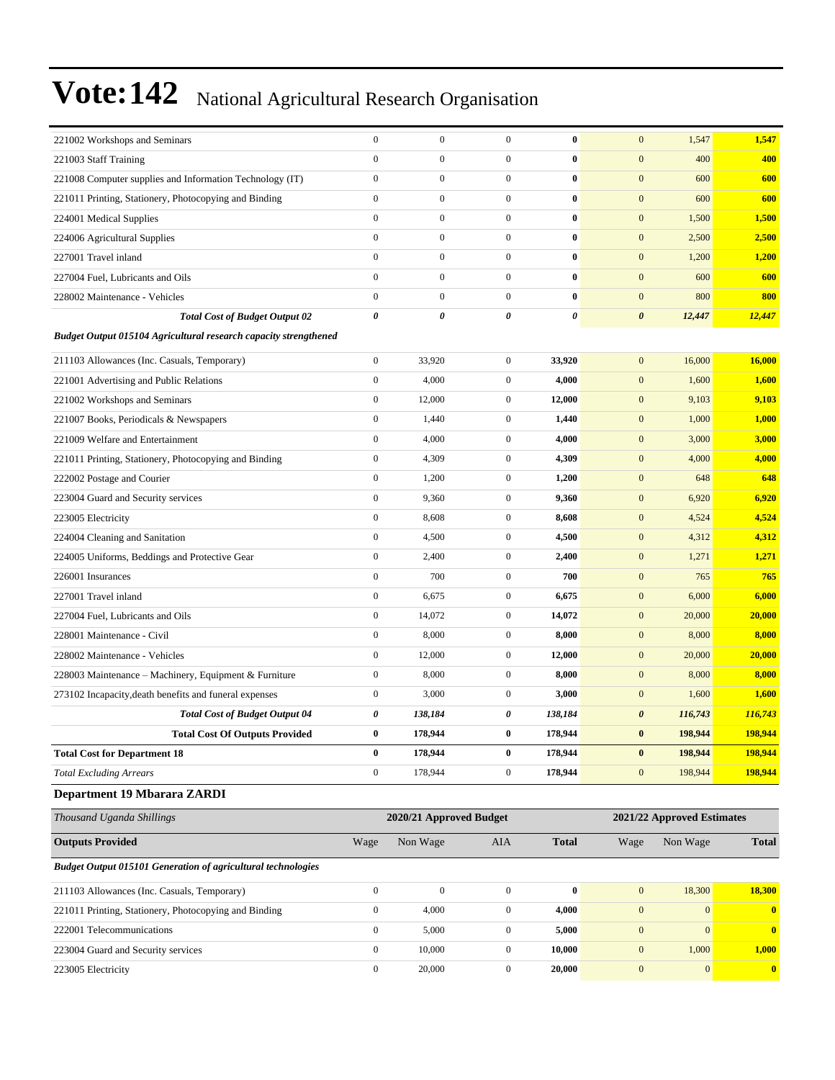| 221002 Workshops and Seminars                                           | $\boldsymbol{0}$ | $\boldsymbol{0}$        | $\boldsymbol{0}$ | $\bf{0}$     | $\mathbf{0}$          | 1,547                      | 1,547          |
|-------------------------------------------------------------------------|------------------|-------------------------|------------------|--------------|-----------------------|----------------------------|----------------|
| 221003 Staff Training                                                   | $\mathbf{0}$     | $\boldsymbol{0}$        | $\boldsymbol{0}$ | $\bf{0}$     | $\boldsymbol{0}$      | 400                        | 400            |
| 221008 Computer supplies and Information Technology (IT)                | $\boldsymbol{0}$ | $\boldsymbol{0}$        | $\mathbf{0}$     | $\bf{0}$     | $\mathbf{0}$          | 600                        | 600            |
| 221011 Printing, Stationery, Photocopying and Binding                   | $\boldsymbol{0}$ | $\boldsymbol{0}$        | $\mathbf{0}$     | $\bf{0}$     | $\mathbf{0}$          | 600                        | 600            |
| 224001 Medical Supplies                                                 | $\boldsymbol{0}$ | $\boldsymbol{0}$        | $\mathbf{0}$     | $\bf{0}$     | $\mathbf{0}$          | 1,500                      | 1,500          |
| 224006 Agricultural Supplies                                            | $\mathbf{0}$     | $\boldsymbol{0}$        | $\mathbf{0}$     | $\bf{0}$     | $\boldsymbol{0}$      | 2,500                      | 2,500          |
| 227001 Travel inland                                                    | $\mathbf{0}$     | $\boldsymbol{0}$        | $\mathbf{0}$     | $\bf{0}$     | $\boldsymbol{0}$      | 1,200                      | 1,200          |
| 227004 Fuel, Lubricants and Oils                                        | $\boldsymbol{0}$ | $\boldsymbol{0}$        | $\mathbf{0}$     | $\bf{0}$     | $\mathbf{0}$          | 600                        | 600            |
| 228002 Maintenance - Vehicles                                           | $\mathbf{0}$     | $\boldsymbol{0}$        | $\mathbf{0}$     | $\bf{0}$     | $\mathbf{0}$          | 800                        | 800            |
| <b>Total Cost of Budget Output 02</b>                                   | 0                | $\pmb{\theta}$          | 0                | 0            | $\boldsymbol{\theta}$ | 12,447                     | 12,447         |
| <b>Budget Output 015104 Agricultural research capacity strengthened</b> |                  |                         |                  |              |                       |                            |                |
| 211103 Allowances (Inc. Casuals, Temporary)                             | $\boldsymbol{0}$ | 33,920                  | $\mathbf{0}$     | 33,920       | $\mathbf{0}$          | 16,000                     | 16,000         |
| 221001 Advertising and Public Relations                                 | $\boldsymbol{0}$ | 4,000                   | $\mathbf{0}$     | 4,000        | $\mathbf{0}$          | 1,600                      | 1,600          |
| 221002 Workshops and Seminars                                           | $\boldsymbol{0}$ | 12,000                  | $\mathbf{0}$     | 12,000       | $\mathbf{0}$          | 9,103                      | 9,103          |
| 221007 Books, Periodicals & Newspapers                                  | $\boldsymbol{0}$ | 1,440                   | $\mathbf{0}$     | 1,440        | $\boldsymbol{0}$      | 1,000                      | 1,000          |
| 221009 Welfare and Entertainment                                        | $\boldsymbol{0}$ | 4,000                   | $\mathbf{0}$     | 4,000        | $\mathbf{0}$          | 3,000                      | 3,000          |
| 221011 Printing, Stationery, Photocopying and Binding                   | $\boldsymbol{0}$ | 4,309                   | $\mathbf{0}$     | 4,309        | $\mathbf{0}$          | 4,000                      | 4,000          |
| 222002 Postage and Courier                                              | $\boldsymbol{0}$ | 1,200                   | $\mathbf{0}$     | 1,200        | $\mathbf{0}$          | 648                        | 648            |
| 223004 Guard and Security services                                      | $\boldsymbol{0}$ | 9,360                   | $\mathbf{0}$     | 9,360        | $\mathbf{0}$          | 6,920                      | 6,920          |
| 223005 Electricity                                                      | $\boldsymbol{0}$ | 8,608                   | $\mathbf{0}$     | 8,608        | $\mathbf{0}$          | 4,524                      | 4,524          |
| 224004 Cleaning and Sanitation                                          | $\boldsymbol{0}$ | 4,500                   | $\mathbf{0}$     | 4,500        | $\mathbf{0}$          | 4,312                      | 4,312          |
| 224005 Uniforms, Beddings and Protective Gear                           | $\boldsymbol{0}$ | 2,400                   | $\mathbf{0}$     | 2,400        | $\mathbf{0}$          | 1,271                      | 1,271          |
| 226001 Insurances                                                       | $\boldsymbol{0}$ | 700                     | $\mathbf{0}$     | 700          | $\mathbf{0}$          | 765                        | 765            |
| 227001 Travel inland                                                    | $\boldsymbol{0}$ | 6,675                   | $\mathbf{0}$     | 6,675        | $\mathbf{0}$          | 6,000                      | 6,000          |
| 227004 Fuel, Lubricants and Oils                                        | $\boldsymbol{0}$ | 14,072                  | $\mathbf{0}$     | 14,072       | $\mathbf{0}$          | 20,000                     | 20,000         |
| 228001 Maintenance - Civil                                              | $\mathbf{0}$     | 8,000                   | $\mathbf{0}$     | 8,000        | $\mathbf{0}$          | 8,000                      | 8,000          |
| 228002 Maintenance - Vehicles                                           | $\mathbf{0}$     | 12,000                  | $\mathbf{0}$     | 12,000       | $\mathbf{0}$          | 20,000                     | 20,000         |
| 228003 Maintenance – Machinery, Equipment & Furniture                   | $\boldsymbol{0}$ | 8,000                   | $\mathbf{0}$     | 8,000        | $\mathbf{0}$          | 8,000                      | 8,000          |
| 273102 Incapacity, death benefits and funeral expenses                  | $\boldsymbol{0}$ | 3,000                   | $\mathbf{0}$     | 3,000        | $\mathbf{0}$          | 1,600                      | 1,600          |
| <b>Total Cost of Budget Output 04</b>                                   | 0                | 138,184                 | 0                | 138,184      | $\boldsymbol{\theta}$ | 116,743                    | 116,743        |
| <b>Total Cost Of Outputs Provided</b>                                   | $\boldsymbol{0}$ | 178,944                 | $\boldsymbol{0}$ | 178,944      | $\bf{0}$              | 198,944                    | <u>198,944</u> |
| <b>Total Cost for Department 18</b>                                     | $\bf{0}$         | 178,944                 | $\bf{0}$         | 178,944      | $\bf{0}$              | 198,944                    | 198,944        |
| <b>Total Excluding Arrears</b>                                          | $\boldsymbol{0}$ | 178,944                 | $\boldsymbol{0}$ | 178,944      | $\boldsymbol{0}$      | 198,944                    | 198,944        |
| Department 19 Mbarara ZARDI                                             |                  |                         |                  |              |                       |                            |                |
| Thousand Uganda Shillings                                               |                  | 2020/21 Approved Budget |                  |              |                       | 2021/22 Approved Estimates |                |
| <b>Outputs Provided</b>                                                 | Wage             | Non Wage                | AIA              | <b>Total</b> | Wage                  | Non Wage                   | <b>Total</b>   |
| <b>Budget Output 015101 Generation of agricultural technologies</b>     |                  |                         |                  |              |                       |                            |                |
| 211103 Allowances (Inc. Casuals, Temporary)                             | $\boldsymbol{0}$ | $\boldsymbol{0}$        | $\boldsymbol{0}$ | $\bf{0}$     | $\boldsymbol{0}$      | 18,300                     | 18,300         |
| 221011 Printing, Stationery, Photocopying and Binding                   | $\boldsymbol{0}$ | 4,000                   | $\boldsymbol{0}$ | 4,000        | $\boldsymbol{0}$      | $\mathbf{0}$               | $\bf{0}$       |
| 222001 Telecommunications                                               | $\boldsymbol{0}$ | 5,000                   | $\boldsymbol{0}$ | 5,000        | $\boldsymbol{0}$      | $\mathbf{0}$               | $\bf{0}$       |
| 223004 Guard and Security services                                      | $\boldsymbol{0}$ | 10,000                  | $\boldsymbol{0}$ | 10,000       | $\boldsymbol{0}$      | 1,000                      | 1,000          |
| 223005 Electricity                                                      | $\boldsymbol{0}$ | 20,000                  | $\boldsymbol{0}$ | 20,000       | $\boldsymbol{0}$      | $\mathbf{0}$               | $\mathbf{0}$   |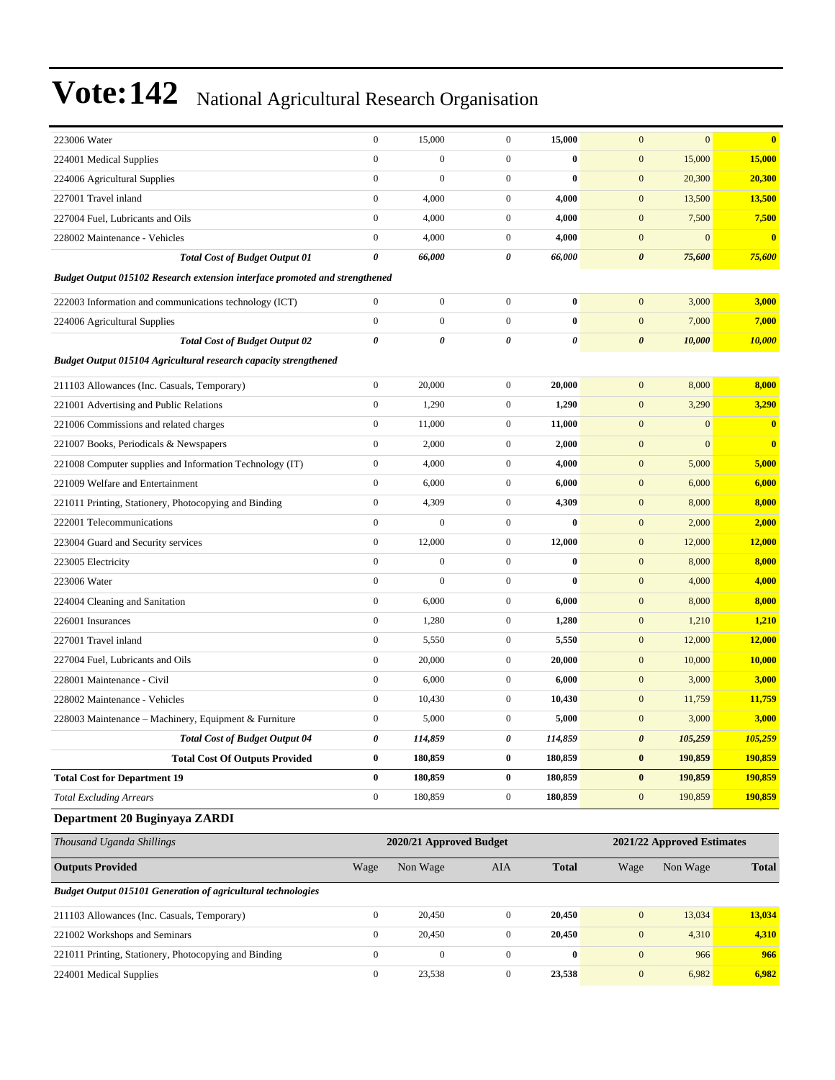| 223006 Water                                                                | $\boldsymbol{0}$      | 15,000                  | $\boldsymbol{0}$ | 15,000       | $\mathbf{0}$          | $\mathbf{0}$               | $\bf{0}$       |
|-----------------------------------------------------------------------------|-----------------------|-------------------------|------------------|--------------|-----------------------|----------------------------|----------------|
| 224001 Medical Supplies                                                     | $\boldsymbol{0}$      | $\boldsymbol{0}$        | $\boldsymbol{0}$ | $\bf{0}$     | $\boldsymbol{0}$      | 15,000                     | 15,000         |
| 224006 Agricultural Supplies                                                | $\mathbf{0}$          | $\boldsymbol{0}$        | $\boldsymbol{0}$ | $\bf{0}$     | $\mathbf{0}$          | 20,300                     | 20,300         |
| 227001 Travel inland                                                        | $\mathbf{0}$          | 4,000                   | $\overline{0}$   | 4,000        | $\mathbf{0}$          | 13,500                     | 13,500         |
| 227004 Fuel. Lubricants and Oils                                            | $\boldsymbol{0}$      | 4,000                   | $\mathbf{0}$     | 4,000        | $\mathbf{0}$          | 7,500                      | 7,500          |
| 228002 Maintenance - Vehicles                                               | $\boldsymbol{0}$      | 4,000                   | $\mathbf{0}$     | 4,000        | $\mathbf{0}$          | $\mathbf{0}$               | $\bf{0}$       |
| <b>Total Cost of Budget Output 01</b>                                       | $\boldsymbol{\theta}$ | 66,000                  | 0                | 66,000       | $\boldsymbol{\theta}$ | 75,600                     | 75,600         |
| Budget Output 015102 Research extension interface promoted and strengthened |                       |                         |                  |              |                       |                            |                |
| 222003 Information and communications technology (ICT)                      | $\boldsymbol{0}$      | $\boldsymbol{0}$        | $\boldsymbol{0}$ | $\bf{0}$     | $\mathbf{0}$          | 3,000                      | 3,000          |
| 224006 Agricultural Supplies                                                | $\boldsymbol{0}$      | $\mathbf{0}$            | $\overline{0}$   | $\bf{0}$     | $\mathbf{0}$          | 7,000                      | 7,000          |
| <b>Total Cost of Budget Output 02</b>                                       | $\boldsymbol{\theta}$ | 0                       | $\theta$         | 0            | $\boldsymbol{\theta}$ | 10,000                     | 10,000         |
| <b>Budget Output 015104 Agricultural research capacity strengthened</b>     |                       |                         |                  |              |                       |                            |                |
| 211103 Allowances (Inc. Casuals, Temporary)                                 | $\boldsymbol{0}$      | 20,000                  | $\mathbf{0}$     | 20,000       | $\mathbf{0}$          | 8,000                      | 8,000          |
| 221001 Advertising and Public Relations                                     | $\boldsymbol{0}$      | 1,290                   | $\overline{0}$   | 1,290        | $\boldsymbol{0}$      | 3,290                      | 3,290          |
| 221006 Commissions and related charges                                      | $\boldsymbol{0}$      | 11,000                  | $\boldsymbol{0}$ | 11,000       | $\mathbf{0}$          | $\mathbf{0}$               | $\bf{0}$       |
| 221007 Books, Periodicals & Newspapers                                      | $\boldsymbol{0}$      | 2,000                   | $\overline{0}$   | 2,000        | $\boldsymbol{0}$      | $\mathbf{0}$               | $\mathbf{0}$   |
| 221008 Computer supplies and Information Technology (IT)                    | $\boldsymbol{0}$      | 4,000                   | $\mathbf{0}$     | 4,000        | $\mathbf{0}$          | 5,000                      | 5,000          |
| 221009 Welfare and Entertainment                                            | $\boldsymbol{0}$      | 6,000                   | $\overline{0}$   | 6,000        | $\mathbf{0}$          | 6,000                      | 6,000          |
| 221011 Printing, Stationery, Photocopying and Binding                       | $\boldsymbol{0}$      | 4,309                   | $\overline{0}$   | 4,309        | $\boldsymbol{0}$      | 8,000                      | 8,000          |
| 222001 Telecommunications                                                   | $\boldsymbol{0}$      | $\overline{0}$          | $\boldsymbol{0}$ | $\bf{0}$     | $\mathbf{0}$          | 2,000                      | 2,000          |
| 223004 Guard and Security services                                          | $\boldsymbol{0}$      | 12,000                  | $\overline{0}$   | 12,000       | $\mathbf{0}$          | 12,000                     | 12,000         |
| 223005 Electricity                                                          | $\boldsymbol{0}$      | $\overline{0}$          | $\mathbf{0}$     | $\bf{0}$     | $\mathbf{0}$          | 8,000                      | 8,000          |
| 223006 Water                                                                | $\mathbf{0}$          | $\boldsymbol{0}$        | $\overline{0}$   | $\bf{0}$     | $\mathbf{0}$          | 4,000                      | 4,000          |
| 224004 Cleaning and Sanitation                                              | $\boldsymbol{0}$      | 6,000                   | $\overline{0}$   | 6,000        | $\boldsymbol{0}$      | 8,000                      | 8,000          |
| 226001 Insurances                                                           | $\boldsymbol{0}$      | 1,280                   | $\boldsymbol{0}$ | 1,280        | $\mathbf{0}$          | 1,210                      | 1,210          |
| 227001 Travel inland                                                        | $\boldsymbol{0}$      | 5,550                   | $\overline{0}$   | 5,550        | $\mathbf{0}$          | 12,000                     | 12,000         |
| 227004 Fuel. Lubricants and Oils                                            | $\boldsymbol{0}$      | 20,000                  | $\mathbf{0}$     | 20,000       | $\mathbf{0}$          | 10,000                     | 10,000         |
| 228001 Maintenance - Civil                                                  | $\boldsymbol{0}$      | 6,000                   | $\mathbf{0}$     | 6,000        | $\mathbf{0}$          | 3,000                      | 3,000          |
| 228002 Maintenance - Vehicles                                               | $\boldsymbol{0}$      | 10,430                  | $\overline{0}$   | 10,430       | $\boldsymbol{0}$      | 11,759                     | 11,759         |
| 228003 Maintenance - Machinery, Equipment & Furniture                       | $\boldsymbol{0}$      | 5,000                   | $\boldsymbol{0}$ | 5,000        | $\mathbf{0}$          | 3,000                      | 3,000          |
| <b>Total Cost of Budget Output 04</b>                                       | $\boldsymbol{\theta}$ | 114,859                 | 0                | 114,859      | $\boldsymbol{\theta}$ | 105,259                    | <u>105,259</u> |
| <b>Total Cost Of Outputs Provided</b>                                       | $\bf{0}$              | 180,859                 | $\bf{0}$         | 180,859      | $\boldsymbol{0}$      | 190,859                    | 190,859        |
| <b>Total Cost for Department 19</b>                                         | $\bf{0}$              | 180,859                 | $\bf{0}$         | 180,859      | $\pmb{0}$             | 190,859                    | 190,859        |
| <b>Total Excluding Arrears</b>                                              | $\boldsymbol{0}$      | 180,859                 | $\mathbf{0}$     | 180,859      | $\boldsymbol{0}$      | 190,859                    | 190,859        |
| Department 20 Buginyaya ZARDI                                               |                       |                         |                  |              |                       |                            |                |
| Thousand Uganda Shillings                                                   |                       | 2020/21 Approved Budget |                  |              |                       | 2021/22 Approved Estimates |                |
| <b>Outputs Provided</b>                                                     | Wage                  | Non Wage                | AIA              | <b>Total</b> | Wage                  | Non Wage                   | <b>Total</b>   |
| <b>Budget Output 015101 Generation of agricultural technologies</b>         |                       |                         |                  |              |                       |                            |                |
|                                                                             |                       |                         |                  |              |                       |                            |                |

| 211103 Allowances (Inc. Casuals, Temporary)           | 20,450 | 20,450 | 13.034 | 13.034 |
|-------------------------------------------------------|--------|--------|--------|--------|
| 221002 Workshops and Seminars                         | 20.450 | 20.450 | 4.310  | 4,310  |
| 221011 Printing, Stationery, Photocopying and Binding |        |        | 966    | 966    |
| 224001 Medical Supplies                               | 23.538 | 23.538 | 6.982  | 6.982  |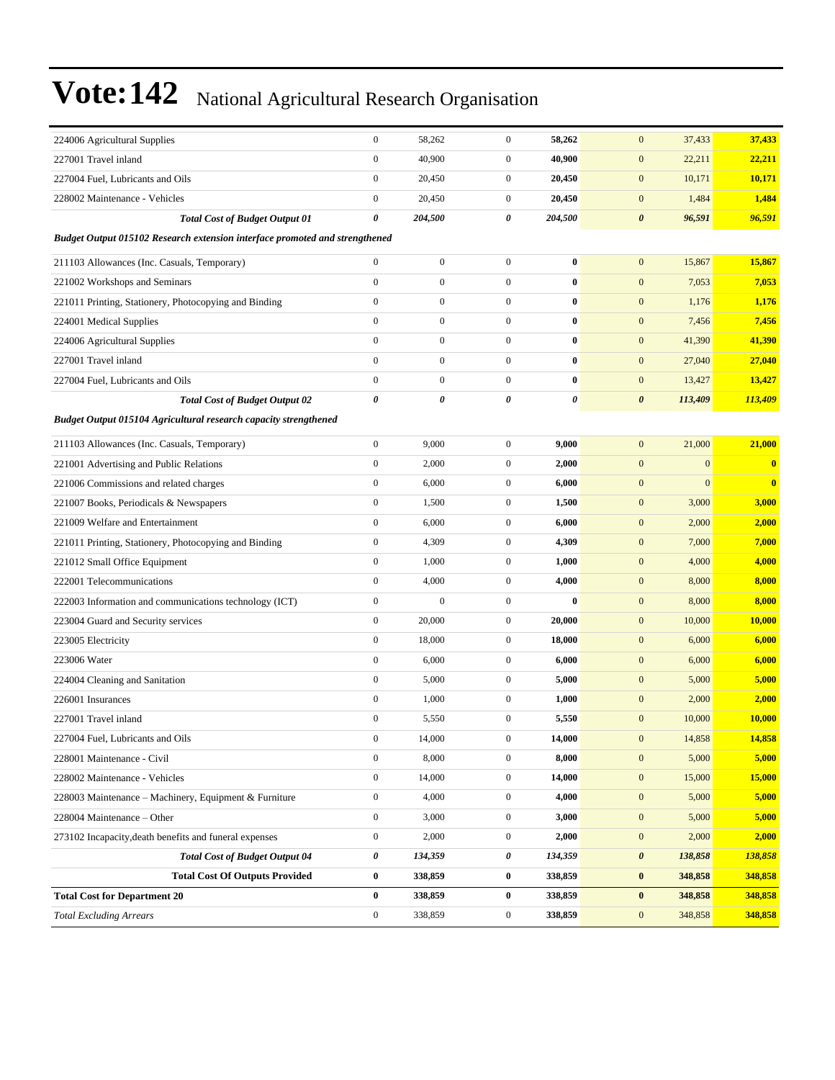| 224006 Agricultural Supplies                                                | $\mathbf{0}$     | 58,262           | $\boldsymbol{0}$ | 58,262   | $\mathbf{0}$<br>37,433           | 37,433   |
|-----------------------------------------------------------------------------|------------------|------------------|------------------|----------|----------------------------------|----------|
| 227001 Travel inland                                                        | $\boldsymbol{0}$ | 40,900           | $\mathbf{0}$     | 40,900   | $\mathbf{0}$<br>22,211           | 22,211   |
| 227004 Fuel, Lubricants and Oils                                            | $\mathbf{0}$     | 20,450           | $\mathbf{0}$     | 20,450   | 10,171<br>$\mathbf{0}$           | 10,171   |
| 228002 Maintenance - Vehicles                                               | $\mathbf{0}$     | 20,450           | $\mathbf{0}$     | 20,450   | $\mathbf{0}$<br>1,484            | 1,484    |
| <b>Total Cost of Budget Output 01</b>                                       | 0                | 204,500          | 0                | 204,500  | $\boldsymbol{\theta}$<br>96,591  | 96,591   |
| Budget Output 015102 Research extension interface promoted and strengthened |                  |                  |                  |          |                                  |          |
| 211103 Allowances (Inc. Casuals, Temporary)                                 | $\boldsymbol{0}$ | $\boldsymbol{0}$ | $\boldsymbol{0}$ | $\bf{0}$ | $\mathbf{0}$<br>15,867           | 15,867   |
| 221002 Workshops and Seminars                                               | $\mathbf{0}$     | $\boldsymbol{0}$ | $\overline{0}$   | $\bf{0}$ | 7,053<br>$\mathbf{0}$            | 7,053    |
| 221011 Printing, Stationery, Photocopying and Binding                       | $\boldsymbol{0}$ | $\boldsymbol{0}$ | $\overline{0}$   | $\bf{0}$ | $\mathbf{0}$<br>1,176            | 1,176    |
| 224001 Medical Supplies                                                     | $\mathbf{0}$     | $\boldsymbol{0}$ | $\overline{0}$   | $\bf{0}$ | $\mathbf{0}$<br>7,456            | 7,456    |
| 224006 Agricultural Supplies                                                | $\mathbf{0}$     | $\boldsymbol{0}$ | $\overline{0}$   | $\bf{0}$ | $\mathbf{0}$<br>41,390           | 41,390   |
| 227001 Travel inland                                                        | $\mathbf{0}$     | $\boldsymbol{0}$ | $\mathbf{0}$     | $\bf{0}$ | $\mathbf{0}$<br>27,040           | 27,040   |
| 227004 Fuel, Lubricants and Oils                                            | $\boldsymbol{0}$ | $\boldsymbol{0}$ | $\overline{0}$   | $\bf{0}$ | $\mathbf{0}$<br>13,427           | 13,427   |
| <b>Total Cost of Budget Output 02</b>                                       | $\pmb{\theta}$   | 0                | 0                | 0        | $\boldsymbol{\theta}$<br>113,409 | 113,409  |
| Budget Output 015104 Agricultural research capacity strengthened            |                  |                  |                  |          |                                  |          |
| 211103 Allowances (Inc. Casuals, Temporary)                                 | $\boldsymbol{0}$ | 9,000            | $\overline{0}$   | 9,000    | $\mathbf{0}$<br>21,000           | 21,000   |
| 221001 Advertising and Public Relations                                     | $\boldsymbol{0}$ | 2,000            | $\mathbf{0}$     | 2,000    | $\mathbf{0}$<br>$\overline{0}$   | $\bf{0}$ |
| 221006 Commissions and related charges                                      | $\boldsymbol{0}$ | 6,000            | $\boldsymbol{0}$ | 6,000    | $\mathbf{0}$<br>$\boldsymbol{0}$ | $\bf{0}$ |
| 221007 Books, Periodicals & Newspapers                                      | $\boldsymbol{0}$ | 1,500            | $\mathbf{0}$     | 1,500    | $\mathbf{0}$<br>3,000            | 3,000    |
| 221009 Welfare and Entertainment                                            | $\boldsymbol{0}$ | 6,000            | $\mathbf{0}$     | 6,000    | $\mathbf{0}$<br>2,000            | 2,000    |
| 221011 Printing, Stationery, Photocopying and Binding                       | $\mathbf{0}$     | 4,309            | $\mathbf{0}$     | 4,309    | $\mathbf{0}$<br>7,000            | 7,000    |
| 221012 Small Office Equipment                                               | $\mathbf{0}$     | 1,000            | $\mathbf{0}$     | 1,000    | $\mathbf{0}$<br>4,000            | 4,000    |
| 222001 Telecommunications                                                   | $\mathbf{0}$     | 4,000            | $\mathbf{0}$     | 4,000    | $\mathbf{0}$<br>8,000            | 8,000    |
| 222003 Information and communications technology (ICT)                      | $\boldsymbol{0}$ | $\boldsymbol{0}$ | $\mathbf{0}$     | $\bf{0}$ | $\mathbf{0}$<br>8,000            | 8,000    |
| 223004 Guard and Security services                                          | $\mathbf{0}$     | 20,000           | $\mathbf{0}$     | 20,000   | $\mathbf{0}$<br>10,000           | 10,000   |
| 223005 Electricity                                                          | $\mathbf{0}$     | 18,000           | $\mathbf{0}$     | 18,000   | $\mathbf{0}$<br>6,000            | 6,000    |
| 223006 Water                                                                | $\mathbf{0}$     | 6,000            | $\mathbf{0}$     | 6,000    | $\mathbf{0}$<br>6,000            | 6,000    |
| 224004 Cleaning and Sanitation                                              | $\boldsymbol{0}$ | 5,000            | $\boldsymbol{0}$ | 5,000    | $\mathbf{0}$<br>5,000            | 5,000    |
| 226001 Insurances                                                           | $\boldsymbol{0}$ | 1,000            | $\mathbf{0}$     | 1,000    | $\mathbf{0}$<br>2,000            | 2,000    |
| 227001 Travel inland                                                        | $\boldsymbol{0}$ | 5,550            | $\mathbf{0}$     | 5,550    | $\mathbf{0}$<br>10,000           | 10,000   |
| 227004 Fuel, Lubricants and Oils                                            | $\boldsymbol{0}$ | 14,000           | $\overline{0}$   | 14,000   | 14,858<br>$\overline{0}$         | 14,858   |
| 228001 Maintenance - Civil                                                  | $\boldsymbol{0}$ | 8,000            | $\boldsymbol{0}$ | 8,000    | $\boldsymbol{0}$<br>5,000        | 5,000    |
| 228002 Maintenance - Vehicles                                               | $\boldsymbol{0}$ | 14,000           | $\boldsymbol{0}$ | 14,000   | $\mathbf{0}$<br>15,000           | 15,000   |
| 228003 Maintenance - Machinery, Equipment & Furniture                       | $\boldsymbol{0}$ | 4,000            | $\boldsymbol{0}$ | 4,000    | $\mathbf{0}$<br>5,000            | 5,000    |
| 228004 Maintenance - Other                                                  | $\boldsymbol{0}$ | 3,000            | $\boldsymbol{0}$ | 3,000    | $\mathbf{0}$<br>5,000            | 5,000    |
| 273102 Incapacity, death benefits and funeral expenses                      | $\boldsymbol{0}$ | 2,000            | $\boldsymbol{0}$ | 2,000    | $\boldsymbol{0}$<br>2,000        | 2,000    |
| <b>Total Cost of Budget Output 04</b>                                       | 0                | 134,359          | 0                | 134,359  | $\pmb{\theta}$<br>138,858        | 138,858  |
| <b>Total Cost Of Outputs Provided</b>                                       | $\bf{0}$         | 338,859          | $\bf{0}$         | 338,859  | $\bf{0}$<br>348,858              | 348,858  |
| <b>Total Cost for Department 20</b>                                         | $\bf{0}$         | 338,859          | $\bf{0}$         | 338,859  | $\bf{0}$<br>348,858              | 348,858  |
| <b>Total Excluding Arrears</b>                                              | $\boldsymbol{0}$ | 338,859          | $\boldsymbol{0}$ | 338,859  | 348,858<br>$\mathbf{0}$          | 348,858  |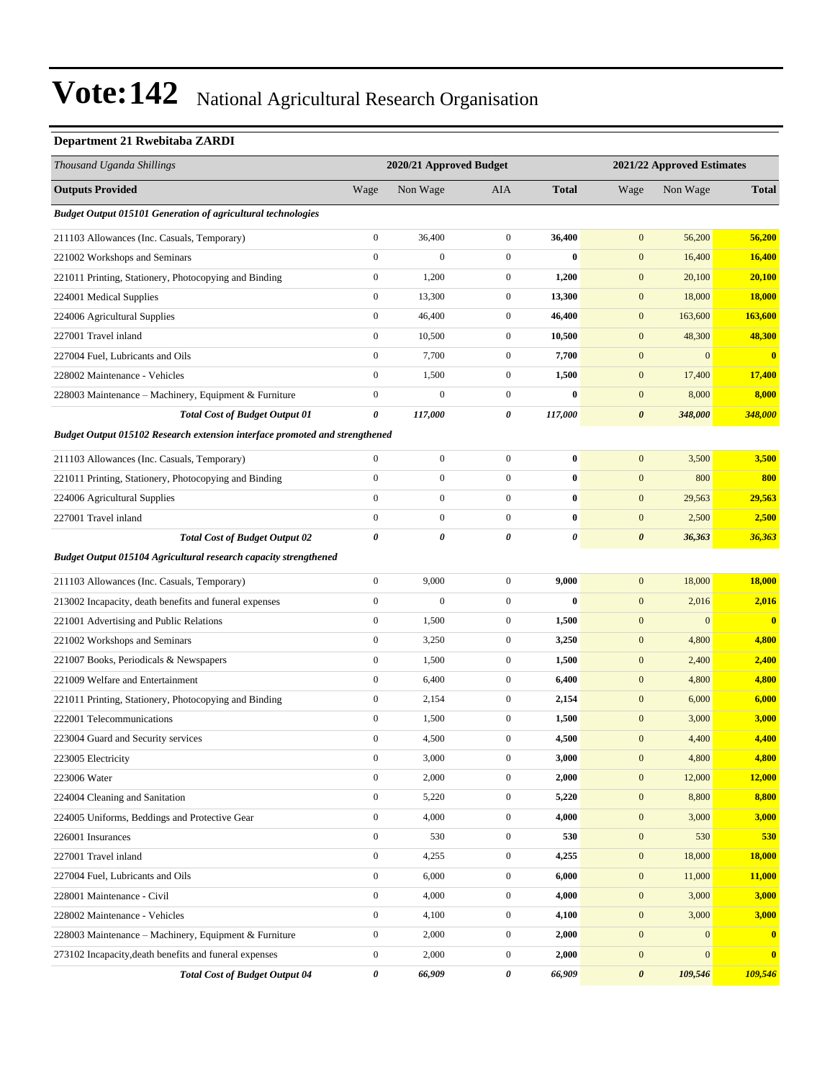#### **Department 21 Rwebitaba ZARDI**

| Thousand Uganda Shillings                                                   |                  | 2020/21 Approved Budget |                  |              |                  | 2021/22 Approved Estimates |                         |
|-----------------------------------------------------------------------------|------------------|-------------------------|------------------|--------------|------------------|----------------------------|-------------------------|
| <b>Outputs Provided</b>                                                     | Wage             | Non Wage                | AIA              | <b>Total</b> | Wage             | Non Wage                   | <b>Total</b>            |
| <b>Budget Output 015101 Generation of agricultural technologies</b>         |                  |                         |                  |              |                  |                            |                         |
| 211103 Allowances (Inc. Casuals, Temporary)                                 | $\boldsymbol{0}$ | 36,400                  | $\boldsymbol{0}$ | 36,400       | $\boldsymbol{0}$ | 56,200                     | 56,200                  |
| 221002 Workshops and Seminars                                               | $\boldsymbol{0}$ | $\overline{0}$          | $\boldsymbol{0}$ | $\bf{0}$     | $\boldsymbol{0}$ | 16,400                     | 16,400                  |
| 221011 Printing, Stationery, Photocopying and Binding                       | $\boldsymbol{0}$ | 1,200                   | $\boldsymbol{0}$ | 1,200        | $\boldsymbol{0}$ | 20,100                     | 20,100                  |
| 224001 Medical Supplies                                                     | $\boldsymbol{0}$ | 13,300                  | $\boldsymbol{0}$ | 13,300       | $\boldsymbol{0}$ | 18,000                     | 18,000                  |
| 224006 Agricultural Supplies                                                | $\boldsymbol{0}$ | 46,400                  | $\boldsymbol{0}$ | 46,400       | $\boldsymbol{0}$ | 163,600                    | <b>163,600</b>          |
| 227001 Travel inland                                                        | $\boldsymbol{0}$ | 10,500                  | $\boldsymbol{0}$ | 10,500       | $\boldsymbol{0}$ | 48,300                     | 48,300                  |
| 227004 Fuel, Lubricants and Oils                                            | $\boldsymbol{0}$ | 7,700                   | $\boldsymbol{0}$ | 7,700        | $\boldsymbol{0}$ | $\mathbf{0}$               | $\overline{\mathbf{0}}$ |
| 228002 Maintenance - Vehicles                                               | $\boldsymbol{0}$ | 1,500                   | $\boldsymbol{0}$ | 1,500        | $\boldsymbol{0}$ | 17,400                     | 17,400                  |
| 228003 Maintenance – Machinery, Equipment & Furniture                       | $\boldsymbol{0}$ | $\boldsymbol{0}$        | $\boldsymbol{0}$ | $\bf{0}$     | $\boldsymbol{0}$ | 8,000                      | 8,000                   |
| <b>Total Cost of Budget Output 01</b>                                       | 0                | 117,000                 | 0                | 117,000      | $\pmb{\theta}$   | 348,000                    | 348,000                 |
| Budget Output 015102 Research extension interface promoted and strengthened |                  |                         |                  |              |                  |                            |                         |
| 211103 Allowances (Inc. Casuals, Temporary)                                 | $\mathbf{0}$     | $\boldsymbol{0}$        | $\boldsymbol{0}$ | $\bf{0}$     | $\boldsymbol{0}$ | 3,500                      | 3,500                   |
| 221011 Printing, Stationery, Photocopying and Binding                       | $\boldsymbol{0}$ | $\boldsymbol{0}$        | $\boldsymbol{0}$ | $\bf{0}$     | $\boldsymbol{0}$ | 800                        | 800                     |
| 224006 Agricultural Supplies                                                | $\mathbf{0}$     | $\overline{0}$          | $\boldsymbol{0}$ | $\bf{0}$     | $\mathbf{0}$     | 29,563                     | 29,563                  |
| 227001 Travel inland                                                        | $\mathbf{0}$     | $\boldsymbol{0}$        | $\boldsymbol{0}$ | $\bf{0}$     | $\boldsymbol{0}$ | 2,500                      | 2,500                   |
| <b>Total Cost of Budget Output 02</b>                                       | $\pmb{\theta}$   | 0                       | 0                | 0            | $\pmb{\theta}$   | 36,363                     | 36,363                  |
| Budget Output 015104 Agricultural research capacity strengthened            |                  |                         |                  |              |                  |                            |                         |
| 211103 Allowances (Inc. Casuals, Temporary)                                 | $\mathbf{0}$     | 9,000                   | $\boldsymbol{0}$ | 9,000        | $\boldsymbol{0}$ | 18,000                     | 18,000                  |
| 213002 Incapacity, death benefits and funeral expenses                      | $\boldsymbol{0}$ | $\boldsymbol{0}$        | $\boldsymbol{0}$ | $\bf{0}$     | $\boldsymbol{0}$ | 2,016                      | 2,016                   |
| 221001 Advertising and Public Relations                                     | $\mathbf{0}$     | 1,500                   | $\boldsymbol{0}$ | 1,500        | $\boldsymbol{0}$ | $\mathbf{0}$               | $\bf{0}$                |
| 221002 Workshops and Seminars                                               | $\boldsymbol{0}$ | 3,250                   | $\boldsymbol{0}$ | 3,250        | $\boldsymbol{0}$ | 4,800                      | 4,800                   |
| 221007 Books, Periodicals & Newspapers                                      | $\boldsymbol{0}$ | 1,500                   | $\boldsymbol{0}$ | 1,500        | $\boldsymbol{0}$ | 2,400                      | 2,400                   |
| 221009 Welfare and Entertainment                                            | $\boldsymbol{0}$ | 6,400                   | $\boldsymbol{0}$ | 6,400        | $\boldsymbol{0}$ | 4,800                      | 4,800                   |
| 221011 Printing, Stationery, Photocopying and Binding                       | $\boldsymbol{0}$ | 2,154                   | $\boldsymbol{0}$ | 2,154        | $\mathbf{0}$     | 6,000                      | 6,000                   |
| 222001 Telecommunications                                                   | $\boldsymbol{0}$ | 1,500                   | $\boldsymbol{0}$ | 1,500        | $\boldsymbol{0}$ | 3,000                      | 3,000                   |
| 223004 Guard and Security services                                          | $\boldsymbol{0}$ | 4,500                   | $\boldsymbol{0}$ | 4,500        | $\boldsymbol{0}$ | 4,400                      | 4,400                   |
| 223005 Electricity                                                          | $\boldsymbol{0}$ | 3,000                   | $\overline{0}$   | 3,000        | $\boldsymbol{0}$ | 4,800                      | 4,800                   |
| 223006 Water                                                                | $\mathbf{0}$     | 2,000                   | $\boldsymbol{0}$ | 2,000        | $\boldsymbol{0}$ | 12,000                     | 12,000                  |
| 224004 Cleaning and Sanitation                                              | $\boldsymbol{0}$ | 5,220                   | $\boldsymbol{0}$ | 5,220        | $\boldsymbol{0}$ | 8,800                      | 8,800                   |
| 224005 Uniforms, Beddings and Protective Gear                               | $\boldsymbol{0}$ | 4,000                   | $\boldsymbol{0}$ | 4,000        | $\boldsymbol{0}$ | 3,000                      | 3,000                   |
| 226001 Insurances                                                           | $\boldsymbol{0}$ | 530                     | $\boldsymbol{0}$ | 530          | $\boldsymbol{0}$ | 530                        | 530                     |
| 227001 Travel inland                                                        | $\boldsymbol{0}$ | 4,255                   | $\boldsymbol{0}$ | 4,255        | $\boldsymbol{0}$ | 18,000                     | 18,000                  |
| 227004 Fuel, Lubricants and Oils                                            | $\mathbf{0}$     | 6,000                   | $\boldsymbol{0}$ | 6,000        | $\boldsymbol{0}$ | 11,000                     | 11,000                  |
| 228001 Maintenance - Civil                                                  | $\boldsymbol{0}$ | 4,000                   | $\boldsymbol{0}$ | 4,000        | $\boldsymbol{0}$ | 3,000                      | 3,000                   |
| 228002 Maintenance - Vehicles                                               | $\boldsymbol{0}$ | 4,100                   | $\boldsymbol{0}$ | 4,100        | $\boldsymbol{0}$ | 3,000                      | 3,000                   |
| 228003 Maintenance – Machinery, Equipment & Furniture                       | $\boldsymbol{0}$ | 2,000                   | $\boldsymbol{0}$ | 2,000        | $\boldsymbol{0}$ | $\mathbf{0}$               | $\mathbf{0}$            |
| 273102 Incapacity, death benefits and funeral expenses                      | $\boldsymbol{0}$ | 2,000                   | $\boldsymbol{0}$ | 2,000        | $\boldsymbol{0}$ | $\mathbf{0}$               | $\bf{0}$                |
| <b>Total Cost of Budget Output 04</b>                                       | 0                | 66,909                  | 0                | 66,909       | $\pmb{\theta}$   | 109,546                    | 109,546                 |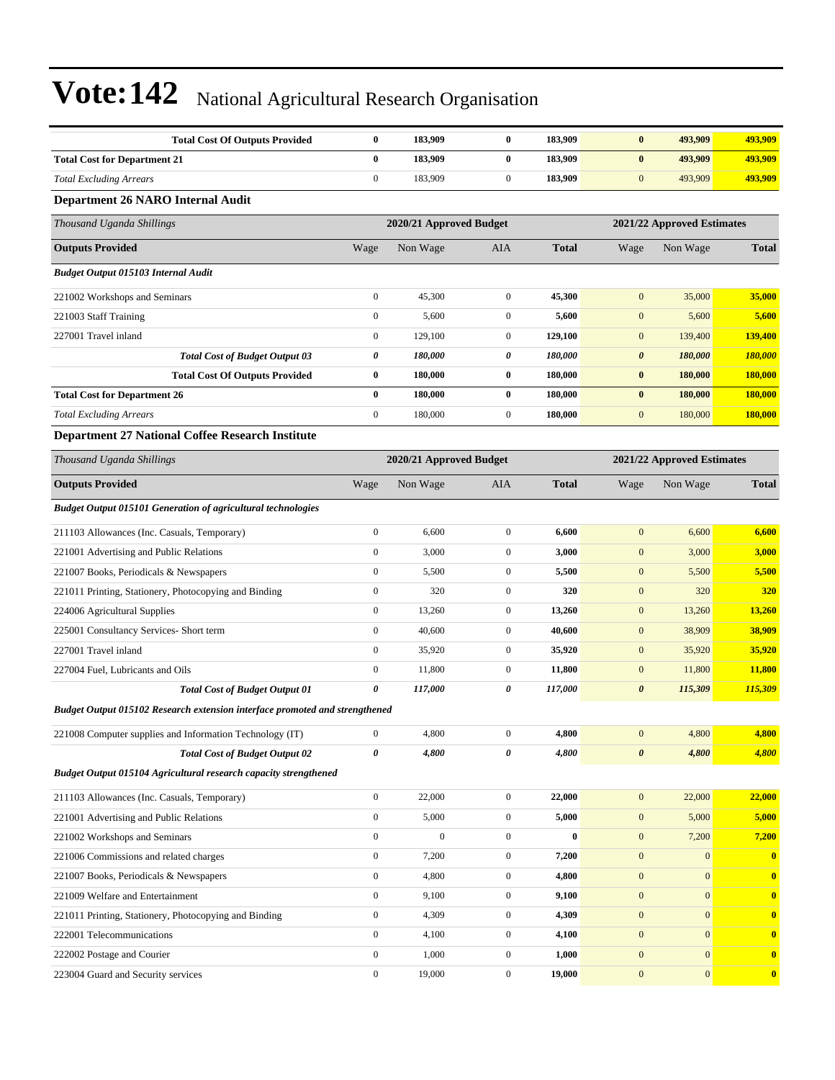| <b>Total Cost Of Outputs Provided</b>                                       | $\bf{0}$         | 183,909                 | $\bf{0}$         | 183,909      | $\bf{0}$              | 493,909                    | 493,909          |  |
|-----------------------------------------------------------------------------|------------------|-------------------------|------------------|--------------|-----------------------|----------------------------|------------------|--|
| <b>Total Cost for Department 21</b>                                         | $\bf{0}$         | 183,909                 | $\bf{0}$         | 183,909      | $\pmb{0}$             | 493,909                    | 493,909          |  |
| <b>Total Excluding Arrears</b>                                              | $\boldsymbol{0}$ | 183,909                 | $\boldsymbol{0}$ | 183,909      | $\mathbf{0}$          | 493,909                    | 493,909          |  |
| Department 26 NARO Internal Audit                                           |                  |                         |                  |              |                       |                            |                  |  |
| Thousand Uganda Shillings                                                   |                  | 2020/21 Approved Budget |                  |              |                       | 2021/22 Approved Estimates |                  |  |
| <b>Outputs Provided</b>                                                     | Wage             | Non Wage                | AIA              | <b>Total</b> | Wage                  | Non Wage                   | <b>Total</b>     |  |
| <b>Budget Output 015103 Internal Audit</b>                                  |                  |                         |                  |              |                       |                            |                  |  |
| 221002 Workshops and Seminars                                               | $\boldsymbol{0}$ | 45,300                  | $\boldsymbol{0}$ | 45,300       | $\mathbf{0}$          | 35,000                     | 35,000           |  |
| 221003 Staff Training                                                       | $\boldsymbol{0}$ | 5,600                   | $\boldsymbol{0}$ | 5,600        | $\mathbf{0}$          | 5,600                      | 5,600            |  |
| 227001 Travel inland                                                        | $\boldsymbol{0}$ | 129,100                 | $\boldsymbol{0}$ | 129,100      | $\mathbf{0}$          | 139,400                    | 139,400          |  |
| <b>Total Cost of Budget Output 03</b>                                       | 0                | 180,000                 | 0                | 180,000      | $\pmb{\theta}$        | 180,000                    | <b>180,000</b>   |  |
| <b>Total Cost Of Outputs Provided</b>                                       | $\bf{0}$         | 180,000                 | $\bf{0}$         | 180,000      | $\bf{0}$              | 180,000                    | 180,000          |  |
| <b>Total Cost for Department 26</b>                                         | $\bf{0}$         | 180,000                 | $\bf{0}$         | 180,000      | $\bf{0}$              | 180,000                    | 180,000          |  |
| <b>Total Excluding Arrears</b>                                              | $\boldsymbol{0}$ | 180,000                 | $\boldsymbol{0}$ | 180,000      | $\boldsymbol{0}$      | 180,000                    | 180,000          |  |
| <b>Department 27 National Coffee Research Institute</b>                     |                  |                         |                  |              |                       |                            |                  |  |
| Thousand Uganda Shillings                                                   |                  | 2020/21 Approved Budget |                  |              |                       | 2021/22 Approved Estimates |                  |  |
| <b>Outputs Provided</b>                                                     | Wage             | Non Wage                | <b>AIA</b>       | <b>Total</b> | Wage                  | Non Wage                   | <b>Total</b>     |  |
| <b>Budget Output 015101 Generation of agricultural technologies</b>         |                  |                         |                  |              |                       |                            |                  |  |
| 211103 Allowances (Inc. Casuals, Temporary)                                 | $\boldsymbol{0}$ | 6,600                   | $\boldsymbol{0}$ | 6,600        | $\mathbf{0}$          | 6,600                      | 6,600            |  |
| 221001 Advertising and Public Relations                                     | $\boldsymbol{0}$ | 3,000                   | $\boldsymbol{0}$ | 3,000        | $\boldsymbol{0}$      | 3,000                      | 3,000            |  |
| 221007 Books, Periodicals & Newspapers                                      | $\boldsymbol{0}$ | 5,500                   | $\boldsymbol{0}$ | 5,500        | $\mathbf{0}$          | 5,500                      | 5,500            |  |
| 221011 Printing, Stationery, Photocopying and Binding                       | $\boldsymbol{0}$ | 320                     | $\boldsymbol{0}$ | 320          | $\mathbf{0}$          | 320                        | <b>320</b>       |  |
| 224006 Agricultural Supplies                                                | $\boldsymbol{0}$ | 13,260                  | $\mathbf{0}$     | 13,260       | $\mathbf{0}$          | 13,260                     | 13,260           |  |
| 225001 Consultancy Services- Short term                                     | $\boldsymbol{0}$ | 40,600                  | $\boldsymbol{0}$ | 40,600       | $\mathbf{0}$          | 38,909                     | 38,909           |  |
| 227001 Travel inland                                                        | $\boldsymbol{0}$ | 35,920                  | $\boldsymbol{0}$ | 35,920       | $\boldsymbol{0}$      | 35,920                     | 35,920           |  |
| 227004 Fuel, Lubricants and Oils                                            | $\boldsymbol{0}$ | 11,800                  | $\boldsymbol{0}$ | 11,800       | $\mathbf{0}$          | 11,800                     | 11,800           |  |
| <b>Total Cost of Budget Output 01</b>                                       | 0                | 117,000                 | 0                | 117,000      | $\boldsymbol{\theta}$ | 115,309                    | 115,309          |  |
| Budget Output 015102 Research extension interface promoted and strengthened |                  |                         |                  |              |                       |                            |                  |  |
| 221008 Computer supplies and Information Technology (IT)                    | $\boldsymbol{0}$ | 4,800                   | $\overline{0}$   | 4,800        | $\overline{0}$        | 4,800                      | 4,800            |  |
| <b>Total Cost of Budget Output 02</b>                                       | 0                | 4,800                   | 0                | 4,800        | $\boldsymbol{\theta}$ | 4,800                      | 4,800            |  |
| Budget Output 015104 Agricultural research capacity strengthened            |                  |                         |                  |              |                       |                            |                  |  |
| 211103 Allowances (Inc. Casuals, Temporary)                                 | $\boldsymbol{0}$ | 22,000                  | $\mathbf{0}$     | 22,000       | $\mathbf{0}$          | 22,000                     | 22,000           |  |
| 221001 Advertising and Public Relations                                     | $\boldsymbol{0}$ | 5,000                   | $\boldsymbol{0}$ | 5,000        | $\mathbf{0}$          | 5,000                      | 5,000            |  |
| 221002 Workshops and Seminars                                               | $\boldsymbol{0}$ | $\boldsymbol{0}$        | $\boldsymbol{0}$ | $\bf{0}$     | $\boldsymbol{0}$      | 7,200                      | 7,200            |  |
| 221006 Commissions and related charges                                      | $\boldsymbol{0}$ | 7,200                   | $\boldsymbol{0}$ | 7,200        | $\mathbf{0}$          | $\boldsymbol{0}$           | $\bf{0}$         |  |
| 221007 Books, Periodicals & Newspapers                                      | $\boldsymbol{0}$ | 4,800                   | $\boldsymbol{0}$ | 4,800        | $\boldsymbol{0}$      | $\boldsymbol{0}$           | $\bf{0}$         |  |
| 221009 Welfare and Entertainment                                            | $\boldsymbol{0}$ | 9,100                   | $\boldsymbol{0}$ | 9,100        | $\mathbf{0}$          | $\boldsymbol{0}$           | $\bf{0}$         |  |
| 221011 Printing, Stationery, Photocopying and Binding                       | $\boldsymbol{0}$ | 4,309                   | $\boldsymbol{0}$ | 4,309        | $\mathbf{0}$          | $\boldsymbol{0}$           | $\bf{0}$         |  |
| 222001 Telecommunications                                                   | $\boldsymbol{0}$ | 4,100                   | $\boldsymbol{0}$ | 4,100        | $\boldsymbol{0}$      | $\boldsymbol{0}$           | $\bf{0}$         |  |
| 222002 Postage and Courier                                                  | $\boldsymbol{0}$ | 1,000                   | $\boldsymbol{0}$ | 1,000        | $\boldsymbol{0}$      | $\boldsymbol{0}$           | $\bf{0}$         |  |
| 223004 Guard and Security services                                          | $\boldsymbol{0}$ | 19,000                  | $\mathbf{0}$     | 19,000       | $\mathbf{0}$          | $\mathbf{0}$               | $\boldsymbol{0}$ |  |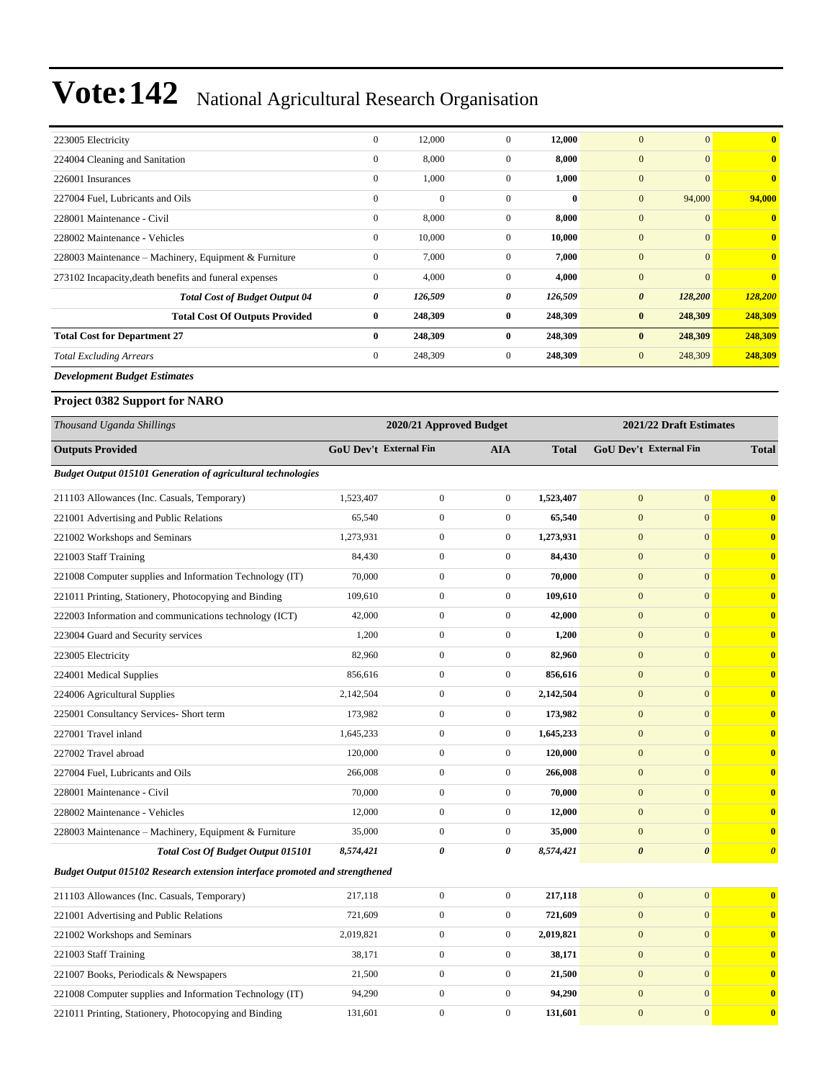| 223005 Electricity                                     | $\mathbf{0}$ | 12,000       | $\overline{0}$ | 12,000   | $\overline{0}$<br>$\mathbf{0}$   | $\bf{0}$                |
|--------------------------------------------------------|--------------|--------------|----------------|----------|----------------------------------|-------------------------|
| 224004 Cleaning and Sanitation                         | $\mathbf{0}$ | 8,000        | $\overline{0}$ | 8,000    | $\mathbf{0}$<br>$\mathbf{0}$     | $\overline{\mathbf{0}}$ |
| 226001 Insurances                                      | $\mathbf{0}$ | 1,000        | $\mathbf{0}$   | 1,000    | $\mathbf{0}$<br>$\boldsymbol{0}$ | $\bf{0}$                |
| 227004 Fuel, Lubricants and Oils                       | $\mathbf{0}$ | $\mathbf{0}$ | $\Omega$       | $\bf{0}$ | $\mathbf{0}$<br>94,000           | 94,000                  |
| 228001 Maintenance - Civil                             | $\mathbf{0}$ | 8,000        | $\overline{0}$ | 8,000    | $\mathbf{0}$<br>$\boldsymbol{0}$ | $\mathbf{0}$            |
| 228002 Maintenance - Vehicles                          | $\mathbf{0}$ | 10,000       | $\overline{0}$ | 10,000   | $\mathbf{0}$<br>$\theta$         | $\overline{0}$          |
| 228003 Maintenance – Machinery, Equipment & Furniture  | $\mathbf{0}$ | 7,000        | $\overline{0}$ | 7,000    | $\mathbf{0}$<br>$\overline{0}$   | $\bf{0}$                |
| 273102 Incapacity, death benefits and funeral expenses | $\mathbf{0}$ | 4,000        | $\overline{0}$ | 4,000    | $\mathbf{0}$<br>$\mathbf{0}$     | $\mathbf{0}$            |
| <b>Total Cost of Budget Output 04</b>                  | 0            | 126,509      | 0              | 126,509  | $\boldsymbol{\theta}$<br>128,200 | 128,200                 |
| <b>Total Cost Of Outputs Provided</b>                  | $\bf{0}$     | 248,309      | $\bf{0}$       | 248,309  | $\bf{0}$<br>248,309              | 248,309                 |
| <b>Total Cost for Department 27</b>                    | $\bf{0}$     | 248,309      | $\bf{0}$       | 248,309  | 248,309<br>$\mathbf{0}$          | 248,309                 |
| <b>Total Excluding Arrears</b>                         | $\mathbf{0}$ | 248,309      | $\overline{0}$ | 248,309  | $\mathbf{0}$<br>248,309          | 248,309                 |
| <b>Development Budget Estimates</b>                    |              |              |                |          |                                  |                         |

#### **Project 0382 Support for NARO**

| Thousand Uganda Shillings                                                          |           | 2020/21 Approved Budget       |                  |              | 2021/22 Draft Estimates       |                       |                       |  |
|------------------------------------------------------------------------------------|-----------|-------------------------------|------------------|--------------|-------------------------------|-----------------------|-----------------------|--|
| <b>Outputs Provided</b>                                                            |           | <b>GoU Dev't External Fin</b> | <b>AIA</b>       | <b>Total</b> | <b>GoU Dev't External Fin</b> |                       | <b>Total</b>          |  |
| <b>Budget Output 015101 Generation of agricultural technologies</b>                |           |                               |                  |              |                               |                       |                       |  |
| 211103 Allowances (Inc. Casuals, Temporary)                                        | 1,523,407 | $\boldsymbol{0}$              | $\boldsymbol{0}$ | 1,523,407    | $\mathbf{0}$                  | $\mathbf{0}$          | $\bf{0}$              |  |
| 221001 Advertising and Public Relations                                            | 65,540    | $\boldsymbol{0}$              | $\boldsymbol{0}$ | 65,540       | $\mathbf{0}$                  | $\mathbf{0}$          | $\bf{0}$              |  |
| 221002 Workshops and Seminars                                                      | 1,273,931 | $\boldsymbol{0}$              | $\boldsymbol{0}$ | 1,273,931    | $\mathbf{0}$                  | $\overline{0}$        | $\bf{0}$              |  |
| 221003 Staff Training                                                              | 84,430    | $\boldsymbol{0}$              | $\boldsymbol{0}$ | 84,430       | $\mathbf{0}$                  | $\mathbf{0}$          | $\bf{0}$              |  |
| 221008 Computer supplies and Information Technology (IT)                           | 70,000    | $\boldsymbol{0}$              | $\boldsymbol{0}$ | 70,000       | $\mathbf{0}$                  | $\overline{0}$        | $\bf{0}$              |  |
| 221011 Printing, Stationery, Photocopying and Binding                              | 109,610   | $\boldsymbol{0}$              | $\boldsymbol{0}$ | 109,610      | $\mathbf{0}$                  | $\mathbf{0}$          | $\bf{0}$              |  |
| 222003 Information and communications technology (ICT)                             | 42,000    | $\boldsymbol{0}$              | $\boldsymbol{0}$ | 42,000       | $\overline{0}$                | $\mathbf{0}$          | $\bf{0}$              |  |
| 223004 Guard and Security services                                                 | 1,200     | $\boldsymbol{0}$              | $\boldsymbol{0}$ | 1,200        | $\mathbf{0}$                  | $\mathbf{0}$          | $\bf{0}$              |  |
| 223005 Electricity                                                                 | 82,960    | $\boldsymbol{0}$              | $\mathbf{0}$     | 82,960       | $\mathbf{0}$                  | $\mathbf{0}$          | $\bf{0}$              |  |
| 224001 Medical Supplies                                                            | 856,616   | $\boldsymbol{0}$              | $\boldsymbol{0}$ | 856,616      | $\boldsymbol{0}$              | $\mathbf{0}$          | $\bf{0}$              |  |
| 224006 Agricultural Supplies                                                       | 2,142,504 | $\boldsymbol{0}$              | $\boldsymbol{0}$ | 2,142,504    | $\mathbf{0}$                  | $\overline{0}$        | $\bf{0}$              |  |
| 225001 Consultancy Services- Short term                                            | 173,982   | $\boldsymbol{0}$              | $\boldsymbol{0}$ | 173,982      | $\mathbf{0}$                  | $\mathbf{0}$          | $\bf{0}$              |  |
| 227001 Travel inland                                                               | 1,645,233 | $\boldsymbol{0}$              | $\boldsymbol{0}$ | 1,645,233    | $\mathbf{0}$                  | $\overline{0}$        | $\bf{0}$              |  |
| 227002 Travel abroad                                                               | 120,000   | $\boldsymbol{0}$              | $\mathbf{0}$     | 120,000      | $\mathbf{0}$                  | $\mathbf{0}$          | $\mathbf{0}$          |  |
| 227004 Fuel, Lubricants and Oils                                                   | 266,008   | $\boldsymbol{0}$              | $\boldsymbol{0}$ | 266,008      | $\mathbf{0}$                  | $\mathbf{0}$          | $\mathbf{0}$          |  |
| 228001 Maintenance - Civil                                                         | 70,000    | $\boldsymbol{0}$              | $\mathbf{0}$     | 70,000       | $\mathbf{0}$                  | $\mathbf{0}$          | $\bf{0}$              |  |
| 228002 Maintenance - Vehicles                                                      | 12,000    | $\boldsymbol{0}$              | $\boldsymbol{0}$ | 12,000       | $\mathbf{0}$                  | $\overline{0}$        | $\bf{0}$              |  |
| 228003 Maintenance – Machinery, Equipment & Furniture                              | 35,000    | $\overline{0}$                | $\mathbf{0}$     | 35,000       | $\mathbf{0}$                  | $\Omega$              | $\bf{0}$              |  |
| Total Cost Of Budget Output 015101                                                 | 8,574,421 | 0                             | $\pmb{\theta}$   | 8,574,421    | $\boldsymbol{\theta}$         | $\boldsymbol{\theta}$ | $\boldsymbol{\theta}$ |  |
| <b>Budget Output 015102 Research extension interface promoted and strengthened</b> |           |                               |                  |              |                               |                       |                       |  |
| 211103 Allowances (Inc. Casuals, Temporary)                                        | 217,118   | $\boldsymbol{0}$              | $\boldsymbol{0}$ | 217,118      | $\mathbf{0}$                  | $\mathbf{0}$          | $\bf{0}$              |  |
| 221001 Advertising and Public Relations                                            | 721,609   | $\boldsymbol{0}$              | $\mathbf{0}$     | 721,609      | $\mathbf{0}$                  | $\mathbf{0}$          | $\bf{0}$              |  |
| 221002 Workshops and Seminars                                                      | 2,019,821 | $\boldsymbol{0}$              | $\boldsymbol{0}$ | 2,019,821    | $\mathbf{0}$                  | $\mathbf{0}$          | $\bf{0}$              |  |
| 221003 Staff Training                                                              | 38,171    | $\boldsymbol{0}$              | $\boldsymbol{0}$ | 38,171       | $\overline{0}$                | $\overline{0}$        | $\bf{0}$              |  |
| 221007 Books, Periodicals & Newspapers                                             | 21,500    | $\boldsymbol{0}$              | $\boldsymbol{0}$ | 21,500       | $\mathbf{0}$                  | $\mathbf{0}$          | $\bf{0}$              |  |
| 221008 Computer supplies and Information Technology (IT)                           | 94,290    | $\boldsymbol{0}$              | $\mathbf{0}$     | 94,290       | $\mathbf{0}$                  | $\mathbf{0}$          | $\bf{0}$              |  |
| 221011 Printing, Stationery, Photocopying and Binding                              | 131,601   | $\boldsymbol{0}$              | $\boldsymbol{0}$ | 131,601      | $\mathbf{0}$                  | $\mathbf{0}$          | $\bf{0}$              |  |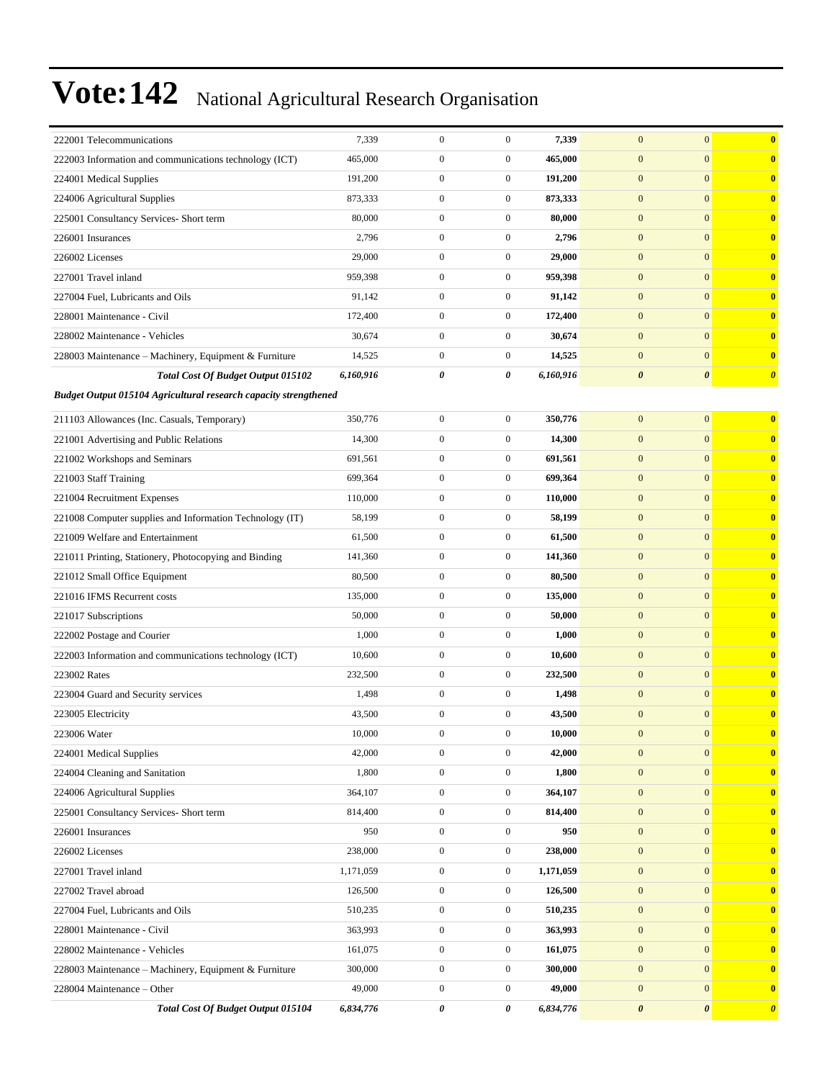| 222001 Telecommunications                                        | 7,339     | $\boldsymbol{0}$ | $\boldsymbol{0}$      | 7,339     | $\boldsymbol{0}$      | $\mathbf{0}$          | $\bf{0}$                |
|------------------------------------------------------------------|-----------|------------------|-----------------------|-----------|-----------------------|-----------------------|-------------------------|
| 222003 Information and communications technology (ICT)           | 465,000   | $\mathbf{0}$     | $\boldsymbol{0}$      | 465,000   | $\mathbf{0}$          | $\mathbf{0}$          | $\bf{0}$                |
| 224001 Medical Supplies                                          | 191,200   | $\boldsymbol{0}$ | $\boldsymbol{0}$      | 191,200   | $\boldsymbol{0}$      | $\mathbf{0}$          | $\mathbf{0}$            |
| 224006 Agricultural Supplies                                     | 873,333   | $\mathbf{0}$     | $\boldsymbol{0}$      | 873,333   | $\mathbf{0}$          | $\mathbf{0}$          | $\bf{0}$                |
| 225001 Consultancy Services- Short term                          | 80,000    | $\boldsymbol{0}$ | $\mathbf{0}$          | 80,000    | $\mathbf{0}$          | $\mathbf{0}$          | $\bf{0}$                |
| 226001 Insurances                                                | 2,796     | $\mathbf{0}$     | $\boldsymbol{0}$      | 2,796     | $\boldsymbol{0}$      | $\mathbf{0}$          | $\bf{0}$                |
| 226002 Licenses                                                  | 29,000    | $\boldsymbol{0}$ | $\mathbf{0}$          | 29,000    | $\mathbf{0}$          | $\mathbf{0}$          | $\bf{0}$                |
| 227001 Travel inland                                             | 959,398   | $\boldsymbol{0}$ | $\boldsymbol{0}$      | 959,398   | $\boldsymbol{0}$      | $\mathbf{0}$          | $\mathbf{0}$            |
| 227004 Fuel, Lubricants and Oils                                 | 91,142    | $\boldsymbol{0}$ | $\boldsymbol{0}$      | 91,142    | $\mathbf{0}$          | $\mathbf{0}$          | $\bf{0}$                |
| 228001 Maintenance - Civil                                       | 172,400   | $\boldsymbol{0}$ | $\boldsymbol{0}$      | 172,400   | $\boldsymbol{0}$      | $\mathbf{0}$          | $\bf{0}$                |
| 228002 Maintenance - Vehicles                                    | 30,674    | $\boldsymbol{0}$ | $\boldsymbol{0}$      | 30,674    | $\boldsymbol{0}$      | $\mathbf{0}$          | $\bf{0}$                |
| 228003 Maintenance - Machinery, Equipment & Furniture            | 14,525    | $\boldsymbol{0}$ | $\boldsymbol{0}$      | 14,525    | $\mathbf{0}$          | $\mathbf{0}$          | $\bf{0}$                |
| Total Cost Of Budget Output 015102                               | 6,160,916 | 0                | $\boldsymbol{\theta}$ | 6,160,916 | $\boldsymbol{\theta}$ | $\boldsymbol{\theta}$ | $\boldsymbol{\theta}$   |
| Budget Output 015104 Agricultural research capacity strengthened |           |                  |                       |           |                       |                       |                         |
| 211103 Allowances (Inc. Casuals, Temporary)                      | 350,776   | $\mathbf{0}$     | $\boldsymbol{0}$      | 350,776   | $\mathbf{0}$          | $\mathbf{0}$          | $\bf{0}$                |
| 221001 Advertising and Public Relations                          | 14,300    | $\overline{0}$   | $\boldsymbol{0}$      | 14,300    | $\boldsymbol{0}$      | $\mathbf{0}$          | $\bf{0}$                |
| 221002 Workshops and Seminars                                    | 691,561   | $\mathbf{0}$     | $\boldsymbol{0}$      | 691,561   | $\mathbf{0}$          | $\mathbf{0}$          | $\bf{0}$                |
| 221003 Staff Training                                            | 699,364   | $\boldsymbol{0}$ | $\mathbf{0}$          | 699,364   | $\mathbf{0}$          | $\mathbf{0}$          | $\bf{0}$                |
| 221004 Recruitment Expenses                                      | 110,000   | $\boldsymbol{0}$ | $\boldsymbol{0}$      | 110,000   | $\mathbf{0}$          | $\mathbf{0}$          | $\mathbf{0}$            |
| 221008 Computer supplies and Information Technology (IT)         | 58,199    | $\boldsymbol{0}$ | $\boldsymbol{0}$      | 58,199    | $\mathbf{0}$          | $\mathbf{0}$          | $\bf{0}$                |
| 221009 Welfare and Entertainment                                 | 61,500    | $\overline{0}$   | $\boldsymbol{0}$      | 61,500    | $\boldsymbol{0}$      | $\mathbf{0}$          | $\bf{0}$                |
| 221011 Printing, Stationery, Photocopying and Binding            | 141,360   | $\mathbf{0}$     | $\boldsymbol{0}$      | 141,360   | $\mathbf{0}$          | $\mathbf{0}$          | $\bf{0}$                |
| 221012 Small Office Equipment                                    | 80,500    | $\boldsymbol{0}$ | $\mathbf{0}$          | 80,500    | $\mathbf{0}$          | $\mathbf{0}$          | $\bf{0}$                |
| 221016 IFMS Recurrent costs                                      | 135,000   | $\boldsymbol{0}$ | $\boldsymbol{0}$      | 135,000   | $\mathbf{0}$          | $\mathbf{0}$          | $\mathbf{0}$            |
| 221017 Subscriptions                                             | 50,000    | $\mathbf{0}$     | $\boldsymbol{0}$      | 50,000    | $\mathbf{0}$          | $\mathbf{0}$          | $\bf{0}$                |
| 222002 Postage and Courier                                       | 1,000     | $\overline{0}$   | $\boldsymbol{0}$      | 1,000     | $\boldsymbol{0}$      | $\mathbf{0}$          | $\bf{0}$                |
| 222003 Information and communications technology (ICT)           | 10,600    | $\overline{0}$   | $\boldsymbol{0}$      | 10,600    | $\mathbf{0}$          | $\mathbf{0}$          | $\bf{0}$                |
| 223002 Rates                                                     | 232,500   | $\boldsymbol{0}$ | $\mathbf{0}$          | 232,500   | $\mathbf{0}$          | $\mathbf{0}$          | $\bf{0}$                |
| 223004 Guard and Security services                               | 1,498     | $\boldsymbol{0}$ | $\boldsymbol{0}$      | 1,498     | $\boldsymbol{0}$      | $\mathbf{0}$          | $\bf{0}$                |
| 223005 Electricity                                               | 43,500    | $\mathbf{0}$     | $\boldsymbol{0}$      | 43,500    | $\mathbf{0}$          | $\mathbf{0}$          | $\bf{0}$                |
| 223006 Water                                                     | 10,000    | $\boldsymbol{0}$ | $\boldsymbol{0}$      | 10,000    | $\bf{0}$              | $\boldsymbol{0}$      | v                       |
| 224001 Medical Supplies                                          | 42,000    | $\boldsymbol{0}$ | $\boldsymbol{0}$      | 42,000    | $\boldsymbol{0}$      | $\boldsymbol{0}$      | $\overline{\mathbf{0}}$ |
| 224004 Cleaning and Sanitation                                   | 1,800     | $\boldsymbol{0}$ | $\boldsymbol{0}$      | 1,800     | $\boldsymbol{0}$      | $\mathbf{0}$          | $\bf{0}$                |
| 224006 Agricultural Supplies                                     | 364,107   | $\boldsymbol{0}$ | $\boldsymbol{0}$      | 364,107   | $\boldsymbol{0}$      | $\mathbf{0}$          | $\bf{0}$                |
| 225001 Consultancy Services- Short term                          | 814,400   | $\boldsymbol{0}$ | $\boldsymbol{0}$      | 814,400   | $\boldsymbol{0}$      | $\mathbf{0}$          | $\mathbf{0}$            |
| 226001 Insurances                                                | 950       | $\boldsymbol{0}$ | $\boldsymbol{0}$      | 950       | $\boldsymbol{0}$      | $\mathbf{0}$          | $\bf{0}$                |
| 226002 Licenses                                                  | 238,000   | $\boldsymbol{0}$ | $\boldsymbol{0}$      | 238,000   | $\boldsymbol{0}$      | $\mathbf{0}$          | $\bf{0}$                |
| 227001 Travel inland                                             | 1,171,059 | $\boldsymbol{0}$ | $\boldsymbol{0}$      | 1,171,059 | $\boldsymbol{0}$      | $\mathbf{0}$          | $\bf{0}$                |
| 227002 Travel abroad                                             | 126,500   | $\boldsymbol{0}$ | $\boldsymbol{0}$      | 126,500   | $\boldsymbol{0}$      | $\mathbf{0}$          | $\bf{0}$                |
| 227004 Fuel, Lubricants and Oils                                 | 510,235   | $\boldsymbol{0}$ | $\boldsymbol{0}$      | 510,235   | $\boldsymbol{0}$      | $\mathbf{0}$          | $\mathbf{0}$            |
| 228001 Maintenance - Civil                                       | 363,993   | $\boldsymbol{0}$ | $\boldsymbol{0}$      | 363,993   | $\boldsymbol{0}$      | $\mathbf{0}$          | $\bf{0}$                |
| 228002 Maintenance - Vehicles                                    | 161,075   | $\boldsymbol{0}$ | $\boldsymbol{0}$      | 161,075   | $\boldsymbol{0}$      | $\boldsymbol{0}$      | $\bf{0}$                |
| 228003 Maintenance - Machinery, Equipment & Furniture            | 300,000   | $\boldsymbol{0}$ | $\boldsymbol{0}$      | 300,000   | $\boldsymbol{0}$      | $\mathbf{0}$          | $\overline{\mathbf{0}}$ |
| 228004 Maintenance - Other                                       | 49,000    | $\boldsymbol{0}$ | $\boldsymbol{0}$      | 49,000    | $\boldsymbol{0}$      | $\mathbf{0}$          | $\overline{\mathbf{0}}$ |
| Total Cost Of Budget Output 015104                               | 6,834,776 | 0                | 0                     | 6,834,776 | $\pmb{\theta}$        | $\boldsymbol{\theta}$ | $\boldsymbol{\theta}$   |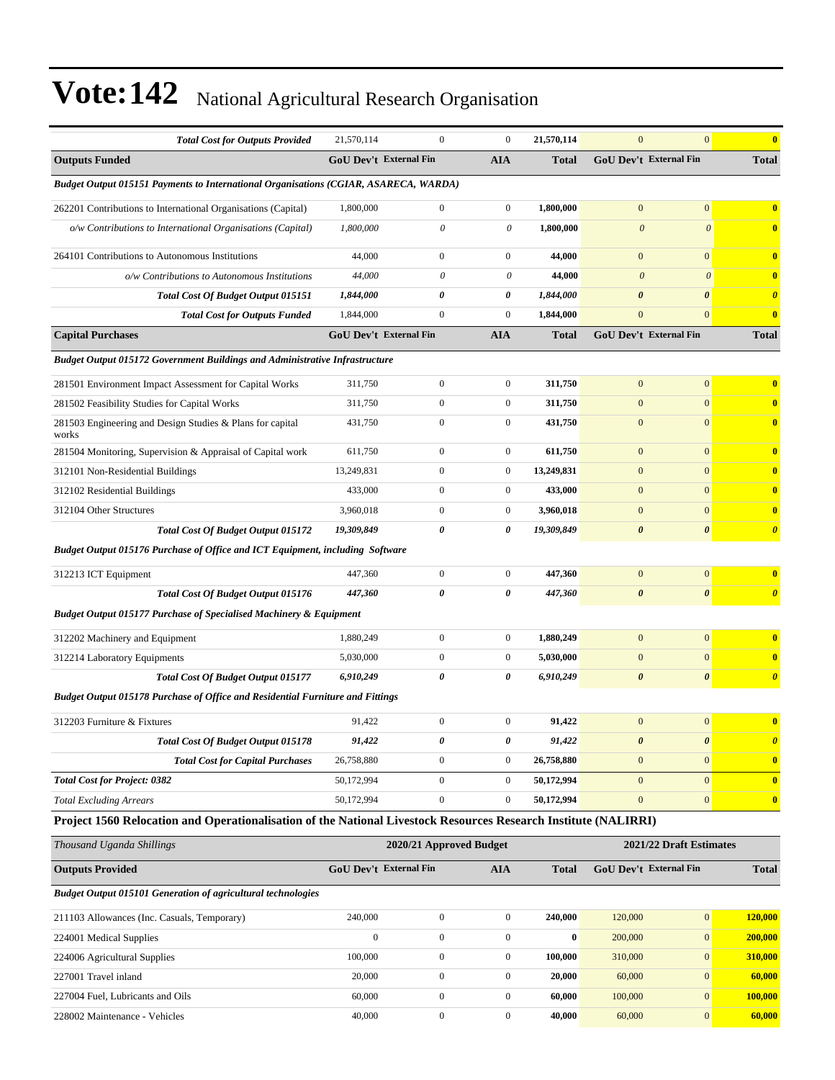| <b>Total Cost for Outputs Provided</b>                                                                          | 21,570,114                    | $\mathbf{0}$            | $\mathbf{0}$     | 21,570,114   | $\mathbf{0}$                  | $\overline{0}$          | $\overline{\mathbf{0}}$ |
|-----------------------------------------------------------------------------------------------------------------|-------------------------------|-------------------------|------------------|--------------|-------------------------------|-------------------------|-------------------------|
| <b>Outputs Funded</b>                                                                                           | <b>GoU Dev't External Fin</b> |                         | <b>AIA</b>       | <b>Total</b> | <b>GoU Dev't External Fin</b> |                         | <b>Total</b>            |
| <b>Budget Output 015151 Payments to International Organisations (CGIAR, ASARECA, WARDA)</b>                     |                               |                         |                  |              |                               |                         |                         |
| 262201 Contributions to International Organisations (Capital)                                                   | 1,800,000                     | $\boldsymbol{0}$        | $\mathbf{0}$     | 1,800,000    | $\mathbf{0}$                  | $\overline{0}$          | $\bf{0}$                |
| o/w Contributions to International Organisations (Capital)                                                      | 1,800,000                     | $\theta$                | 0                | 1,800,000    | $\boldsymbol{\theta}$         | $\theta$                | $\bf{0}$                |
| 264101 Contributions to Autonomous Institutions                                                                 | 44,000                        | $\boldsymbol{0}$        | $\mathbf{0}$     | 44,000       | $\mathbf{0}$                  | $\overline{0}$          | $\bf{0}$                |
| o/w Contributions to Autonomous Institutions                                                                    | 44,000                        | $\theta$                | 0                | 44,000       | $\boldsymbol{\theta}$         | $\boldsymbol{\theta}$   | $\bf{0}$                |
| <b>Total Cost Of Budget Output 015151</b>                                                                       | 1,844,000                     | 0                       | 0                | 1,844,000    | $\boldsymbol{\theta}$         | 0                       | $\boldsymbol{\theta}$   |
| <b>Total Cost for Outputs Funded</b>                                                                            | 1,844,000                     | $\mathbf{0}$            | $\mathbf{0}$     | 1,844,000    | $\mathbf{0}$                  | $\overline{0}$          | $\bf{0}$                |
| <b>Capital Purchases</b>                                                                                        | <b>GoU Dev't External Fin</b> |                         | <b>AIA</b>       | <b>Total</b> | GoU Dev't External Fin        |                         | <b>Total</b>            |
| <b>Budget Output 015172 Government Buildings and Administrative Infrastructure</b>                              |                               |                         |                  |              |                               |                         |                         |
| 281501 Environment Impact Assessment for Capital Works                                                          | 311,750                       | $\mathbf{0}$            | $\mathbf{0}$     | 311,750      | $\mathbf{0}$                  | $\boldsymbol{0}$        | $\bf{0}$                |
| 281502 Feasibility Studies for Capital Works                                                                    | 311,750                       | $\mathbf{0}$            | $\mathbf{0}$     | 311,750      | $\mathbf{0}$                  | $\overline{0}$          | $\overline{\mathbf{0}}$ |
| 281503 Engineering and Design Studies & Plans for capital<br>works                                              | 431,750                       | $\mathbf{0}$            | $\overline{0}$   | 431,750      | $\mathbf{0}$                  | $\overline{0}$          | $\bf{0}$                |
| 281504 Monitoring, Supervision & Appraisal of Capital work                                                      | 611,750                       | $\mathbf{0}$            | $\mathbf{0}$     | 611,750      | $\mathbf{0}$                  | $\overline{0}$          | $\bf{0}$                |
| 312101 Non-Residential Buildings                                                                                | 13,249,831                    | $\boldsymbol{0}$        | $\mathbf{0}$     | 13,249,831   | $\mathbf{0}$                  | $\overline{0}$          | $\bf{0}$                |
| 312102 Residential Buildings                                                                                    | 433,000                       | $\mathbf{0}$            | $\overline{0}$   | 433,000      | $\mathbf{0}$                  | $\overline{0}$          | $\bf{0}$                |
| 312104 Other Structures                                                                                         | 3,960,018                     | $\mathbf{0}$            | $\mathbf{0}$     | 3,960,018    | $\mathbf{0}$                  | $\overline{0}$          | $\overline{\mathbf{0}}$ |
| <b>Total Cost Of Budget Output 015172</b>                                                                       | 19,309,849                    | 0                       | 0                | 19,309,849   | $\boldsymbol{\theta}$         | 0                       | $\boldsymbol{\theta}$   |
| Budget Output 015176 Purchase of Office and ICT Equipment, including Software                                   |                               |                         |                  |              |                               |                         |                         |
| 312213 ICT Equipment                                                                                            | 447,360                       | $\boldsymbol{0}$        | $\overline{0}$   | 447,360      | $\mathbf{0}$                  | $\overline{0}$          | $\bf{0}$                |
| Total Cost Of Budget Output 015176                                                                              | 447,360                       | 0                       | 0                | 447,360      | $\boldsymbol{\theta}$         | 0                       | $\boldsymbol{\theta}$   |
| <b>Budget Output 015177 Purchase of Specialised Machinery &amp; Equipment</b>                                   |                               |                         |                  |              |                               |                         |                         |
| 312202 Machinery and Equipment                                                                                  | 1,880,249                     | $\mathbf{0}$            | $\mathbf{0}$     | 1,880,249    | $\mathbf{0}$                  | $\mathbf{0}$            | $\bf{0}$                |
| 312214 Laboratory Equipments                                                                                    | 5,030,000                     | $\boldsymbol{0}$        | $\mathbf{0}$     | 5,030,000    | $\mathbf{0}$                  | $\overline{0}$          | $\overline{\mathbf{0}}$ |
| Total Cost Of Budget Output 015177                                                                              | 6,910,249                     | 0                       | 0                | 6,910,249    | $\boldsymbol{\theta}$         | 0                       | $\boldsymbol{\theta}$   |
| <b>Budget Output 015178 Purchase of Office and Residential Furniture and Fittings</b>                           |                               |                         |                  |              |                               |                         |                         |
| 312203 Furniture & Fixtures                                                                                     | 91,422                        | $\boldsymbol{0}$        | $\boldsymbol{0}$ | 91,422       | $\mathbf{0}$                  | $\boldsymbol{0}$        | $\bf{0}$                |
| Total Cost Of Budget Output 015178                                                                              | 91,422                        | 0                       | 0                | 91,422       | $\boldsymbol{\theta}$         | $\boldsymbol{\theta}$   | $\boldsymbol{\theta}$   |
| <b>Total Cost for Capital Purchases</b>                                                                         | 26,758,880                    | $\boldsymbol{0}$        | $\boldsymbol{0}$ | 26,758,880   | $\boldsymbol{0}$              | $\overline{0}$          | $\bf{0}$                |
| <b>Total Cost for Project: 0382</b>                                                                             | 50,172,994                    | $\boldsymbol{0}$        | $\boldsymbol{0}$ | 50,172,994   | $\mathbf{0}$                  | $\overline{0}$          | $\mathbf{0}$            |
| <b>Total Excluding Arrears</b>                                                                                  | 50,172,994                    | $\boldsymbol{0}$        | $\boldsymbol{0}$ | 50,172,994   | $\boldsymbol{0}$              | $\overline{0}$          | $\bf{0}$                |
| Project 1560 Relocation and Operationalisation of the National Livestock Resources Research Institute (NALIRRI) |                               |                         |                  |              |                               |                         |                         |
| Thousand Uganda Shillings                                                                                       |                               | 2020/21 Approved Budget |                  |              |                               | 2021/22 Draft Estimates |                         |
| <b>Outputs Provided</b>                                                                                         | GoU Dev't External Fin        |                         | <b>AIA</b>       | <b>Total</b> | GoU Dev't External Fin        |                         | <b>Total</b>            |
| <b>Budget Output 015101 Generation of agricultural technologies</b>                                             |                               |                         |                  |              |                               |                         |                         |
|                                                                                                                 |                               |                         |                  |              |                               |                         | LOO AAA                 |

| 211103 Allowances (Inc. Casuals, Temporary) | 240,000 |  | 240,000 | 120,000 | $\Omega$       | 120,000 |
|---------------------------------------------|---------|--|---------|---------|----------------|---------|
| 224001 Medical Supplies                     |         |  |         | 200,000 | $\Omega$       | 200,000 |
| 224006 Agricultural Supplies                | 100,000 |  | 100.000 | 310,000 | $\Omega$       | 310,000 |
| 227001 Travel inland                        | 20,000  |  | 20.000  | 60,000  | $\Omega$       | 60,000  |
| 227004 Fuel. Lubricants and Oils            | 60,000  |  | 60.000  | 100,000 | $\overline{0}$ | 100,000 |
| 228002 Maintenance - Vehicles               | 40,000  |  | 40.000  | 60,000  | $\Omega$       | 60,000  |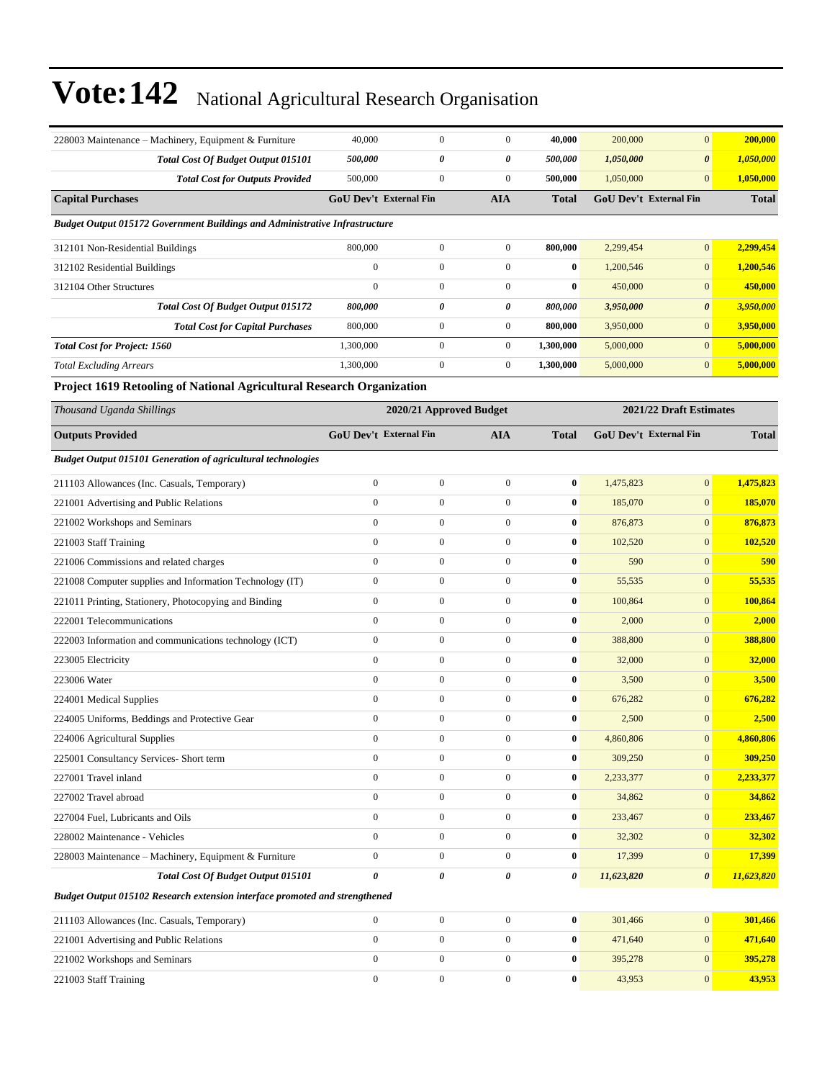| 228003 Maintenance - Machinery, Equipment & Furniture                       | 40,000           | $\boldsymbol{0}$              | $\boldsymbol{0}$ | 40,000           | 200,000    | $\mathbf{0}$                  | 200,000      |
|-----------------------------------------------------------------------------|------------------|-------------------------------|------------------|------------------|------------|-------------------------------|--------------|
| Total Cost Of Budget Output 015101                                          | 500,000          | 0                             | 0                | 500,000          | 1,050,000  | $\boldsymbol{\theta}$         | 1,050,000    |
| <b>Total Cost for Outputs Provided</b>                                      | 500,000          | $\mathbf{0}$                  | $\boldsymbol{0}$ | 500,000          | 1,050,000  | $\mathbf{0}$                  | 1,050,000    |
| <b>Capital Purchases</b>                                                    |                  | <b>GoU Dev't External Fin</b> | <b>AIA</b>       | <b>Total</b>     |            | <b>GoU Dev't External Fin</b> | <b>Total</b> |
| Budget Output 015172 Government Buildings and Administrative Infrastructure |                  |                               |                  |                  |            |                               |              |
| 312101 Non-Residential Buildings                                            | 800,000          | $\boldsymbol{0}$              | $\boldsymbol{0}$ | 800,000          | 2,299,454  | $\mathbf{0}$                  | 2,299,454    |
| 312102 Residential Buildings                                                | $\mathbf{0}$     | $\mathbf{0}$                  | $\mathbf{0}$     | $\bf{0}$         | 1,200,546  | $\mathbf{0}$                  | 1,200,546    |
| 312104 Other Structures                                                     | $\mathbf{0}$     | $\mathbf{0}$                  | $\boldsymbol{0}$ | $\bf{0}$         | 450,000    | $\mathbf{0}$                  | 450,000      |
| Total Cost Of Budget Output 015172                                          | 800,000          | 0                             | 0                | 800,000          | 3,950,000  | $\boldsymbol{\theta}$         | 3,950,000    |
| <b>Total Cost for Capital Purchases</b>                                     | 800,000          | $\boldsymbol{0}$              | $\boldsymbol{0}$ | 800,000          | 3,950,000  | $\mathbf{0}$                  | 3,950,000    |
| <b>Total Cost for Project: 1560</b>                                         | 1,300,000        | $\boldsymbol{0}$              | $\boldsymbol{0}$ | 1,300,000        | 5,000,000  | $\mathbf{0}$                  | 5,000,000    |
| <b>Total Excluding Arrears</b>                                              | 1,300,000        | $\boldsymbol{0}$              | $\boldsymbol{0}$ | 1,300,000        | 5,000,000  | $\mathbf{0}$                  | 5,000,000    |
| Project 1619 Retooling of National Agricultural Research Organization       |                  |                               |                  |                  |            |                               |              |
| Thousand Uganda Shillings                                                   |                  | 2020/21 Approved Budget       |                  |                  |            | 2021/22 Draft Estimates       |              |
| <b>Outputs Provided</b>                                                     |                  | <b>GoU Dev't External Fin</b> | <b>AIA</b>       | <b>Total</b>     |            | <b>GoU Dev't External Fin</b> | <b>Total</b> |
| <b>Budget Output 015101 Generation of agricultural technologies</b>         |                  |                               |                  |                  |            |                               |              |
| 211103 Allowances (Inc. Casuals, Temporary)                                 | $\boldsymbol{0}$ | $\boldsymbol{0}$              | $\boldsymbol{0}$ | $\bf{0}$         | 1,475,823  | $\mathbf{0}$                  | 1,475,823    |
| 221001 Advertising and Public Relations                                     | $\boldsymbol{0}$ | $\boldsymbol{0}$              | $\boldsymbol{0}$ | $\bf{0}$         | 185,070    | $\mathbf{0}$                  | 185,070      |
| 221002 Workshops and Seminars                                               | $\boldsymbol{0}$ | $\boldsymbol{0}$              | $\boldsymbol{0}$ | $\bf{0}$         | 876,873    | $\mathbf{0}$                  | 876,873      |
| 221003 Staff Training                                                       | $\mathbf{0}$     | $\boldsymbol{0}$              | $\boldsymbol{0}$ | $\bf{0}$         | 102,520    | $\mathbf{0}$                  | 102,520      |
| 221006 Commissions and related charges                                      | $\boldsymbol{0}$ | $\boldsymbol{0}$              | $\boldsymbol{0}$ | $\bf{0}$         | 590        | $\mathbf{0}$                  | 590          |
| 221008 Computer supplies and Information Technology (IT)                    | $\mathbf{0}$     | $\boldsymbol{0}$              | $\boldsymbol{0}$ | $\bf{0}$         | 55,535     | $\mathbf{0}$                  | 55,535       |
| 221011 Printing, Stationery, Photocopying and Binding                       | $\boldsymbol{0}$ | $\boldsymbol{0}$              | $\boldsymbol{0}$ | $\bf{0}$         | 100,864    | $\mathbf{0}$                  | 100,864      |
| 222001 Telecommunications                                                   | $\boldsymbol{0}$ | $\boldsymbol{0}$              | $\boldsymbol{0}$ | $\bf{0}$         | 2,000      | $\mathbf{0}$                  | 2,000        |
| 222003 Information and communications technology (ICT)                      | $\mathbf{0}$     | $\boldsymbol{0}$              | $\boldsymbol{0}$ | $\bf{0}$         | 388,800    | $\mathbf{0}$                  | 388,800      |
| 223005 Electricity                                                          | $\mathbf{0}$     | $\boldsymbol{0}$              | $\boldsymbol{0}$ | $\bf{0}$         | 32,000     | $\mathbf{0}$                  | 32,000       |
| 223006 Water                                                                | $\mathbf{0}$     | $\boldsymbol{0}$              | $\mathbf{0}$     | $\bf{0}$         | 3,500      | $\mathbf{0}$                  | 3,500        |
| 224001 Medical Supplies                                                     | $\boldsymbol{0}$ | $\boldsymbol{0}$              | $\boldsymbol{0}$ | $\bf{0}$         | 676,282    | $\mathbf{0}$                  | 676,282      |
| 224005 Uniforms, Beddings and Protective Gear                               | $\boldsymbol{0}$ | $\boldsymbol{0}$              | $\boldsymbol{0}$ | $\bf{0}$         | 2,500      | $\mathbf{0}$                  | 2,500        |
| 224006 Agricultural Supplies                                                | $\boldsymbol{0}$ | $\boldsymbol{0}$              | 0                | $\boldsymbol{0}$ | 4,860,806  | $\mathbf{0}$                  | 4,860,806    |
| 225001 Consultancy Services- Short term                                     | $\mathbf{0}$     | $\boldsymbol{0}$              | $\boldsymbol{0}$ | $\bf{0}$         | 309,250    | $\mathbf{0}$                  | 309,250      |
| 227001 Travel inland                                                        | $\boldsymbol{0}$ | $\boldsymbol{0}$              | $\boldsymbol{0}$ | $\bf{0}$         | 2,233,377  | $\mathbf{0}$                  | 2,233,377    |
| 227002 Travel abroad                                                        | $\boldsymbol{0}$ | $\boldsymbol{0}$              | $\boldsymbol{0}$ | $\bf{0}$         | 34,862     | $\mathbf{0}$                  | 34,862       |
| 227004 Fuel, Lubricants and Oils                                            | $\boldsymbol{0}$ | $\boldsymbol{0}$              | $\boldsymbol{0}$ | 0                | 233,467    | $\mathbf{0}$                  | 233,467      |
| 228002 Maintenance - Vehicles                                               | $\boldsymbol{0}$ | $\boldsymbol{0}$              | $\boldsymbol{0}$ | 0                | 32,302     | $\mathbf{0}$                  | 32,302       |
| 228003 Maintenance - Machinery, Equipment & Furniture                       | $\mathbf{0}$     | $\boldsymbol{0}$              | $\boldsymbol{0}$ | 0                | 17,399     | $\mathbf{0}$                  | 17,399       |
| Total Cost Of Budget Output 015101                                          | 0                | 0                             | 0                | 0                | 11,623,820 | $\boldsymbol{\theta}$         | 11,623,820   |
| Budget Output 015102 Research extension interface promoted and strengthened |                  |                               |                  |                  |            |                               |              |
| 211103 Allowances (Inc. Casuals, Temporary)                                 | $\boldsymbol{0}$ | $\boldsymbol{0}$              | $\boldsymbol{0}$ | $\bf{0}$         | 301,466    | $\mathbf{0}$                  | 301,466      |
| 221001 Advertising and Public Relations                                     | $\boldsymbol{0}$ | $\boldsymbol{0}$              | $\boldsymbol{0}$ | 0                | 471,640    | $\mathbf{0}$                  | 471,640      |
| 221002 Workshops and Seminars                                               | $\boldsymbol{0}$ | $\boldsymbol{0}$              | $\boldsymbol{0}$ | $\boldsymbol{0}$ | 395,278    | $\mathbf{0}$                  | 395,278      |
| 221003 Staff Training                                                       | $\boldsymbol{0}$ | $\boldsymbol{0}$              | $\boldsymbol{0}$ | $\boldsymbol{0}$ | 43,953     | $\mathbf{0}$                  | 43,953       |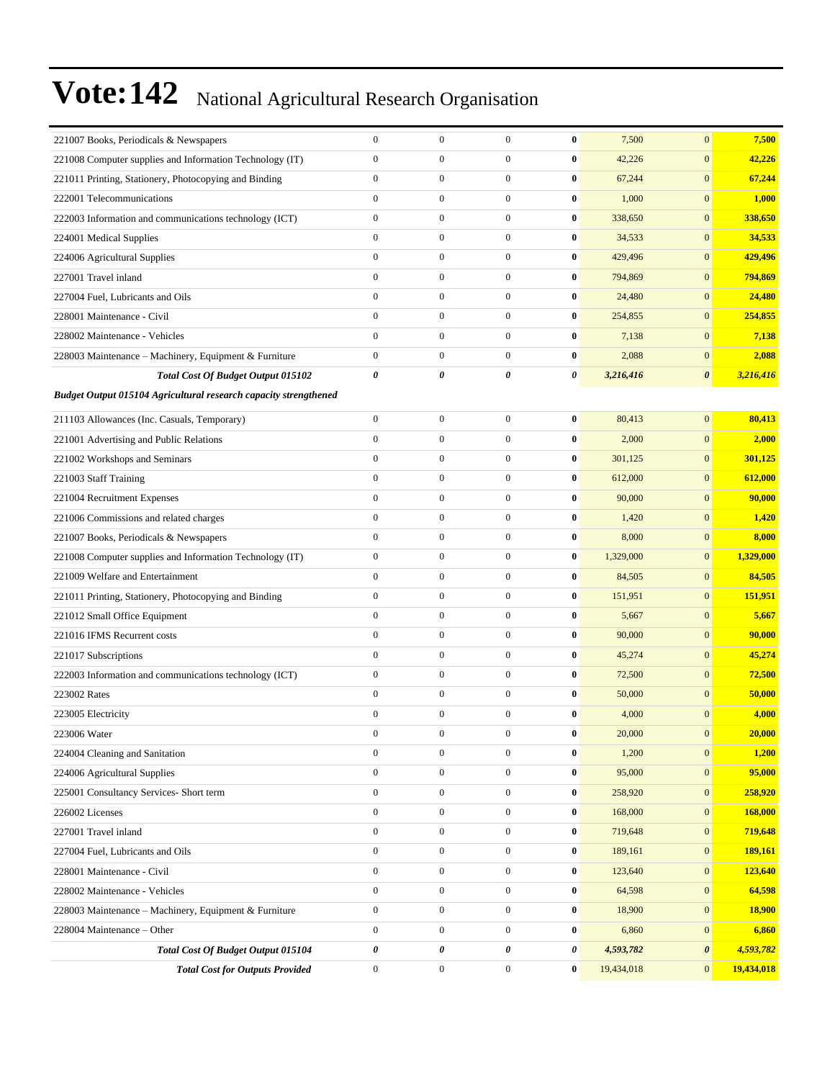| 221007 Books, Periodicals & Newspapers                           | $\boldsymbol{0}$ | $\boldsymbol{0}$ | $\mathbf{0}$     | $\bf{0}$         | 7,500      | $\mathbf{0}$     | 7,500      |
|------------------------------------------------------------------|------------------|------------------|------------------|------------------|------------|------------------|------------|
| 221008 Computer supplies and Information Technology (IT)         | $\boldsymbol{0}$ | $\boldsymbol{0}$ | $\boldsymbol{0}$ | $\bf{0}$         | 42,226     | $\boldsymbol{0}$ | 42,226     |
| 221011 Printing, Stationery, Photocopying and Binding            | $\boldsymbol{0}$ | $\boldsymbol{0}$ | $\mathbf{0}$     | $\bf{0}$         | 67,244     | $\mathbf{0}$     | 67,244     |
| 222001 Telecommunications                                        | $\boldsymbol{0}$ | $\boldsymbol{0}$ | $\mathbf{0}$     | $\bf{0}$         | 1,000      | $\mathbf{0}$     | 1,000      |
| 222003 Information and communications technology (ICT)           | $\boldsymbol{0}$ | $\boldsymbol{0}$ | $\mathbf{0}$     | $\bf{0}$         | 338,650    | $\mathbf{0}$     | 338,650    |
| 224001 Medical Supplies                                          | $\mathbf{0}$     | $\boldsymbol{0}$ | $\boldsymbol{0}$ | $\bf{0}$         | 34,533     | $\mathbf{0}$     | 34,533     |
| 224006 Agricultural Supplies                                     | $\mathbf{0}$     | $\boldsymbol{0}$ | $\boldsymbol{0}$ | $\bf{0}$         | 429,496    | $\boldsymbol{0}$ | 429,496    |
| 227001 Travel inland                                             | $\boldsymbol{0}$ | $\boldsymbol{0}$ | $\boldsymbol{0}$ | $\bf{0}$         | 794,869    | $\mathbf{0}$     | 794,869    |
| 227004 Fuel, Lubricants and Oils                                 | $\boldsymbol{0}$ | $\boldsymbol{0}$ | $\mathbf{0}$     | $\bf{0}$         | 24,480     | $\mathbf{0}$     | 24,480     |
| 228001 Maintenance - Civil                                       | $\mathbf{0}$     | $\boldsymbol{0}$ | $\mathbf{0}$     | $\bf{0}$         | 254,855    | $\mathbf{0}$     | 254,855    |
| 228002 Maintenance - Vehicles                                    | $\mathbf{0}$     | $\mathbf{0}$     | $\boldsymbol{0}$ | $\bf{0}$         | 7,138      | $\mathbf{0}$     | 7,138      |
| 228003 Maintenance – Machinery, Equipment & Furniture            | $\boldsymbol{0}$ | $\boldsymbol{0}$ | $\boldsymbol{0}$ | $\bf{0}$         | 2,088      | $\boldsymbol{0}$ | 2,088      |
| Total Cost Of Budget Output 015102                               | 0                | 0                | 0                | 0                | 3,216,416  | 0                | 3,216,416  |
| Budget Output 015104 Agricultural research capacity strengthened |                  |                  |                  |                  |            |                  |            |
| 211103 Allowances (Inc. Casuals, Temporary)                      | $\boldsymbol{0}$ | $\boldsymbol{0}$ | $\boldsymbol{0}$ | $\bf{0}$         | 80,413     | $\boldsymbol{0}$ | 80,413     |
| 221001 Advertising and Public Relations                          | $\boldsymbol{0}$ | $\boldsymbol{0}$ | $\boldsymbol{0}$ | $\bf{0}$         | 2,000      | $\boldsymbol{0}$ | 2,000      |
| 221002 Workshops and Seminars                                    | $\boldsymbol{0}$ | $\boldsymbol{0}$ | $\boldsymbol{0}$ | $\bf{0}$         | 301,125    | $\mathbf{0}$     | 301,125    |
| 221003 Staff Training                                            | $\mathbf{0}$     | $\boldsymbol{0}$ | $\boldsymbol{0}$ | $\bf{0}$         | 612,000    | $\mathbf{0}$     | 612,000    |
| 221004 Recruitment Expenses                                      | $\boldsymbol{0}$ | $\boldsymbol{0}$ | $\boldsymbol{0}$ | $\bf{0}$         | 90,000     | $\mathbf{0}$     | 90,000     |
| 221006 Commissions and related charges                           | $\boldsymbol{0}$ | $\boldsymbol{0}$ | $\boldsymbol{0}$ | $\bf{0}$         | 1,420      | $\mathbf{0}$     | 1,420      |
| 221007 Books, Periodicals & Newspapers                           | $\boldsymbol{0}$ | $\boldsymbol{0}$ | $\boldsymbol{0}$ | $\bf{0}$         | 8,000      | $\mathbf{0}$     | 8,000      |
| 221008 Computer supplies and Information Technology (IT)         | $\boldsymbol{0}$ | $\boldsymbol{0}$ | $\boldsymbol{0}$ | $\bf{0}$         | 1,329,000  | $\mathbf{0}$     | 1,329,000  |
| 221009 Welfare and Entertainment                                 | $\mathbf{0}$     | $\boldsymbol{0}$ | $\boldsymbol{0}$ | $\bf{0}$         | 84,505     | $\mathbf{0}$     | 84,505     |
| 221011 Printing, Stationery, Photocopying and Binding            | $\boldsymbol{0}$ | $\boldsymbol{0}$ | $\boldsymbol{0}$ | $\bf{0}$         | 151,951    | $\mathbf{0}$     | 151,951    |
| 221012 Small Office Equipment                                    | $\boldsymbol{0}$ | $\boldsymbol{0}$ | $\boldsymbol{0}$ | $\bf{0}$         | 5,667      | $\mathbf{0}$     | 5,667      |
| 221016 IFMS Recurrent costs                                      | $\boldsymbol{0}$ | $\boldsymbol{0}$ | $\boldsymbol{0}$ | $\bf{0}$         | 90,000     | $\mathbf{0}$     | 90,000     |
| 221017 Subscriptions                                             | $\boldsymbol{0}$ | $\boldsymbol{0}$ | $\boldsymbol{0}$ | $\bf{0}$         | 45,274     | $\mathbf{0}$     | 45,274     |
| 222003 Information and communications technology (ICT)           | $\boldsymbol{0}$ | $\boldsymbol{0}$ | $\boldsymbol{0}$ | $\bf{0}$         | 72,500     | $\mathbf{0}$     | 72,500     |
| 223002 Rates                                                     | $\boldsymbol{0}$ | $\boldsymbol{0}$ | $\boldsymbol{0}$ | $\bf{0}$         | 50,000     | $\mathbf{0}$     | 50,000     |
| 223005 Electricity                                               | $\boldsymbol{0}$ | $\boldsymbol{0}$ | $\boldsymbol{0}$ | $\bf{0}$         | 4,000      | $\mathbf{0}$     | 4,000      |
| 223006 Water                                                     | $\mathbf{0}$     | $\boldsymbol{0}$ | $\overline{0}$   | $\bf{0}$         | 20,000     | $\mathbf{0}$     | 20,000     |
| 224004 Cleaning and Sanitation                                   | $\boldsymbol{0}$ | $\boldsymbol{0}$ | $\boldsymbol{0}$ | $\bf{0}$         | 1,200      | $\mathbf{0}$     | 1,200      |
| 224006 Agricultural Supplies                                     | $\boldsymbol{0}$ | $\boldsymbol{0}$ | $\boldsymbol{0}$ | $\boldsymbol{0}$ | 95,000     | $\mathbf{0}$     | 95,000     |
| 225001 Consultancy Services- Short term                          | $\boldsymbol{0}$ | $\boldsymbol{0}$ | $\boldsymbol{0}$ | $\bf{0}$         | 258,920    | $\mathbf{0}$     | 258,920    |
| 226002 Licenses                                                  | $\boldsymbol{0}$ | $\boldsymbol{0}$ | $\boldsymbol{0}$ | $\bf{0}$         | 168,000    | $\mathbf{0}$     | 168,000    |
| 227001 Travel inland                                             | $\overline{0}$   | $\boldsymbol{0}$ | $\mathbf{0}$     | $\bf{0}$         | 719,648    | $\mathbf{0}$     | 719,648    |
| 227004 Fuel, Lubricants and Oils                                 | $\boldsymbol{0}$ | $\boldsymbol{0}$ | $\boldsymbol{0}$ | $\bf{0}$         | 189,161    | $\mathbf{0}$     | 189,161    |
| 228001 Maintenance - Civil                                       | $\boldsymbol{0}$ | $\boldsymbol{0}$ | $\boldsymbol{0}$ | $\bf{0}$         | 123,640    | $\boldsymbol{0}$ | 123,640    |
| 228002 Maintenance - Vehicles                                    | $\boldsymbol{0}$ | $\boldsymbol{0}$ | $\boldsymbol{0}$ | $\bf{0}$         | 64,598     | $\mathbf{0}$     | 64,598     |
| 228003 Maintenance - Machinery, Equipment & Furniture            | $\boldsymbol{0}$ | $\boldsymbol{0}$ | $\boldsymbol{0}$ | $\bf{0}$         | 18,900     | $\mathbf{0}$     | 18,900     |
| 228004 Maintenance - Other                                       | $\overline{0}$   | $\boldsymbol{0}$ | $\mathbf{0}$     | $\bf{0}$         | 6,860      | $\mathbf{0}$     | 6,860      |
| Total Cost Of Budget Output 015104                               | 0                | 0                | 0                | 0                | 4,593,782  | 0                | 4,593,782  |
| <b>Total Cost for Outputs Provided</b>                           | $\boldsymbol{0}$ | $\boldsymbol{0}$ | $\boldsymbol{0}$ | $\bf{0}$         | 19,434,018 | $\boldsymbol{0}$ | 19,434,018 |